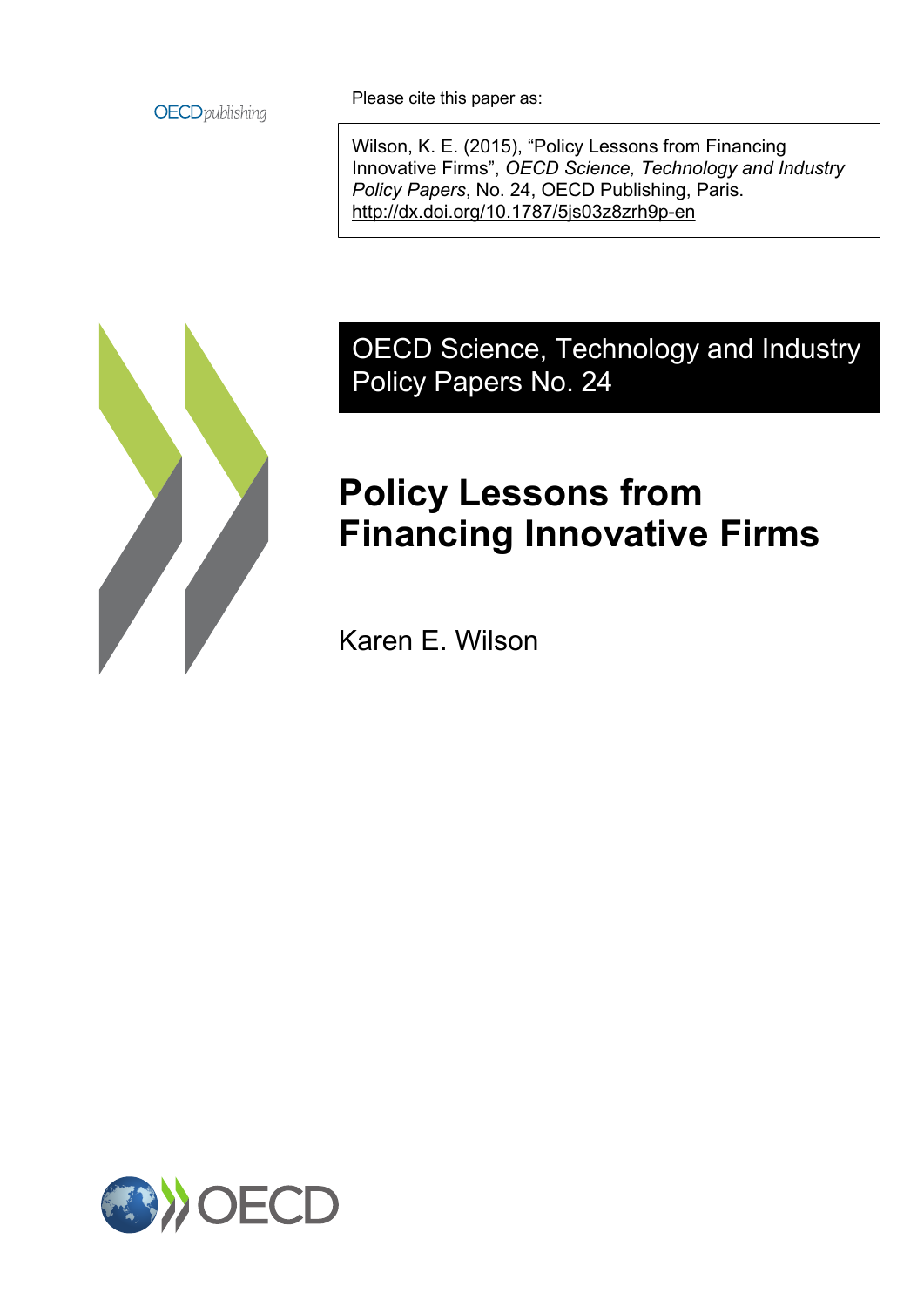**OECD** publishing

Please cite this paper as:

Wilson, K. E. (2015), "Policy Lessons from Financing Innovative Firms", *OECD Science, Technology and Industry Policy Papers*, No. 24, OECD Publishing, Paris. <http://dx.doi.org/10.1787/5js03z8zrh9p-en>



OECD Science, Technology and Industry Policy Papers No. 24

# **Policy Lessons from Financing Innovative Firms**

Karen E. Wilson

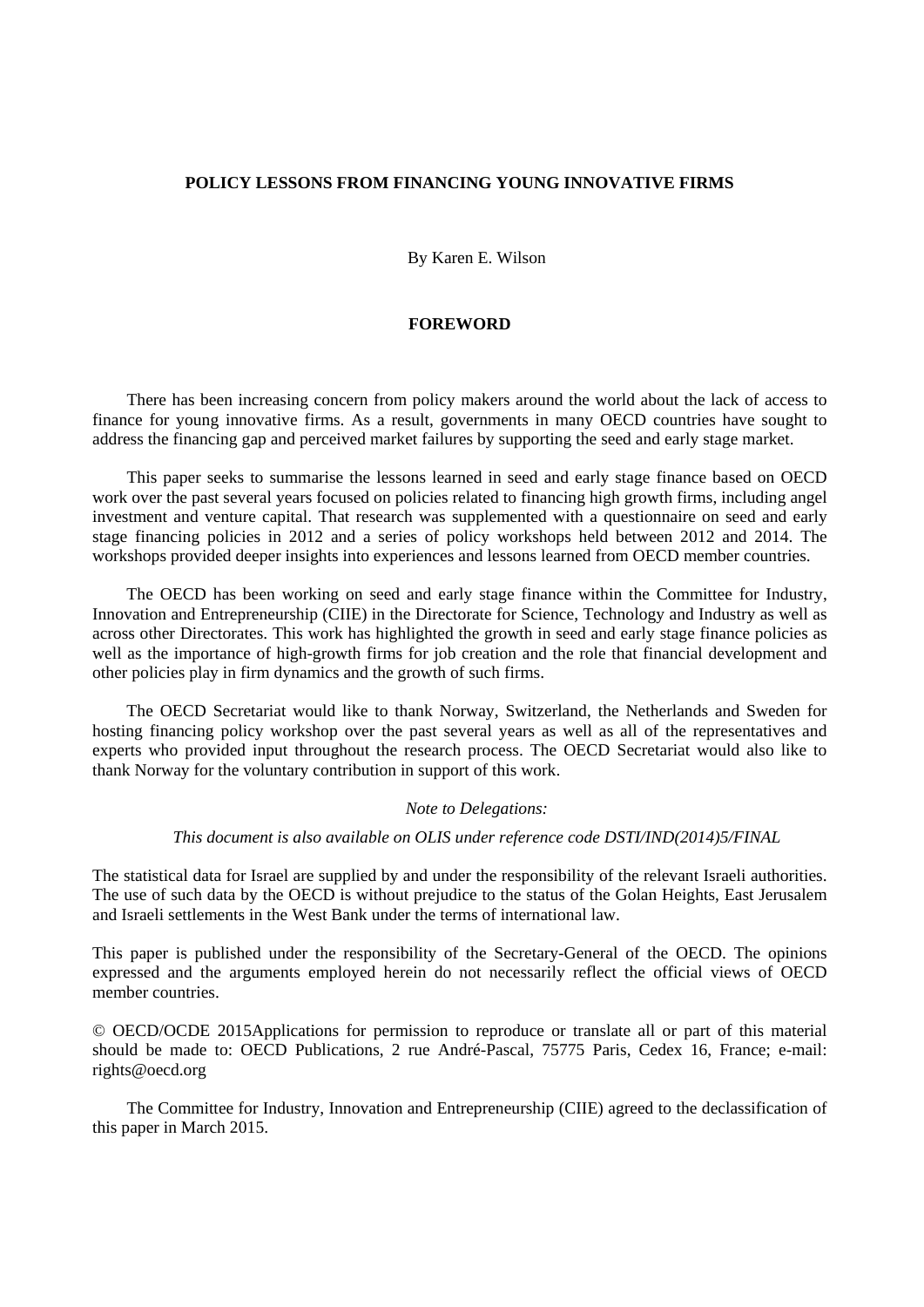## **POLICY LESSONS FROM FINANCING YOUNG INNOVATIVE FIRMS**

## By Karen E. Wilson

## **FOREWORD**

There has been increasing concern from policy makers around the world about the lack of access to finance for young innovative firms. As a result, governments in many OECD countries have sought to address the financing gap and perceived market failures by supporting the seed and early stage market.

This paper seeks to summarise the lessons learned in seed and early stage finance based on OECD work over the past several years focused on policies related to financing high growth firms, including angel investment and venture capital. That research was supplemented with a questionnaire on seed and early stage financing policies in 2012 and a series of policy workshops held between 2012 and 2014. The workshops provided deeper insights into experiences and lessons learned from OECD member countries.

The OECD has been working on seed and early stage finance within the Committee for Industry, Innovation and Entrepreneurship (CIIE) in the Directorate for Science, Technology and Industry as well as across other Directorates. This work has highlighted the growth in seed and early stage finance policies as well as the importance of high-growth firms for job creation and the role that financial development and other policies play in firm dynamics and the growth of such firms.

The OECD Secretariat would like to thank Norway, Switzerland, the Netherlands and Sweden for hosting financing policy workshop over the past several years as well as all of the representatives and experts who provided input throughout the research process. The OECD Secretariat would also like to thank Norway for the voluntary contribution in support of this work.

## *Note to Delegations:*

#### *This document is also available on OLIS under reference code DSTI/IND(2014)5/FINAL*

The statistical data for Israel are supplied by and under the responsibility of the relevant Israeli authorities. The use of such data by the OECD is without prejudice to the status of the Golan Heights, East Jerusalem and Israeli settlements in the West Bank under the terms of international law.

This paper is published under the responsibility of the Secretary-General of the OECD. The opinions expressed and the arguments employed herein do not necessarily reflect the official views of OECD member countries.

© OECD/OCDE 2015Applications for permission to reproduce or translate all or part of this material should be made to: OECD Publications, 2 rue André-Pascal, 75775 Paris, Cedex 16, France; e-mail: rights@oecd.org

The Committee for Industry, Innovation and Entrepreneurship (CIIE) agreed to the declassification of this paper in March 2015.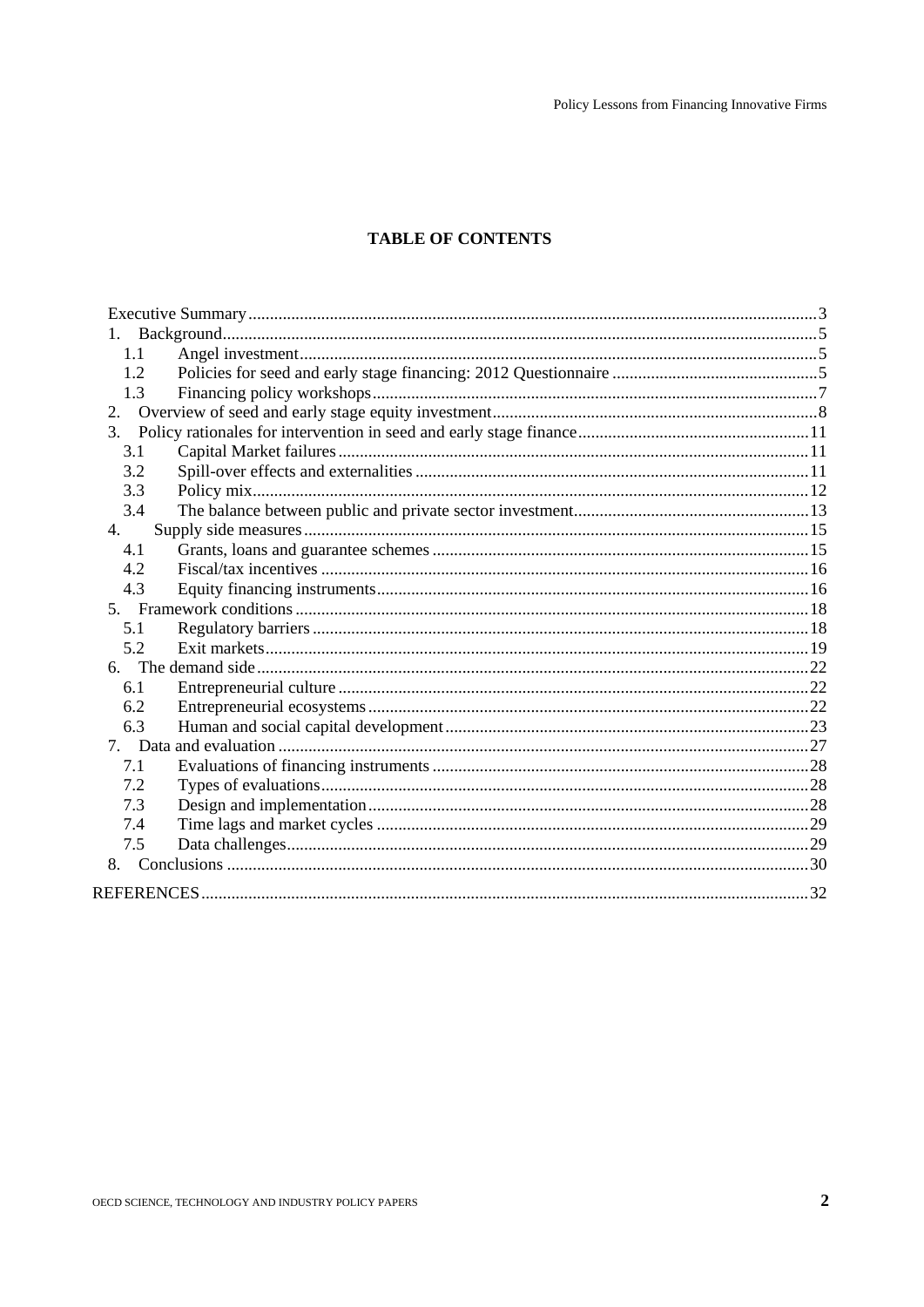# **TABLE OF CONTENTS**

| 1.1 |  |
|-----|--|
| 1.2 |  |
| 1.3 |  |
| 2.  |  |
| 3.  |  |
| 3.1 |  |
| 3.2 |  |
| 3.3 |  |
| 3.4 |  |
| 4.  |  |
| 4.1 |  |
| 4.2 |  |
| 4.3 |  |
|     |  |
| 5.1 |  |
| 5.2 |  |
|     |  |
| 6.1 |  |
| 6.2 |  |
| 6.3 |  |
|     |  |
| 7.1 |  |
| 7.2 |  |
| 7.3 |  |
| 7.4 |  |
| 7.5 |  |
|     |  |
|     |  |
|     |  |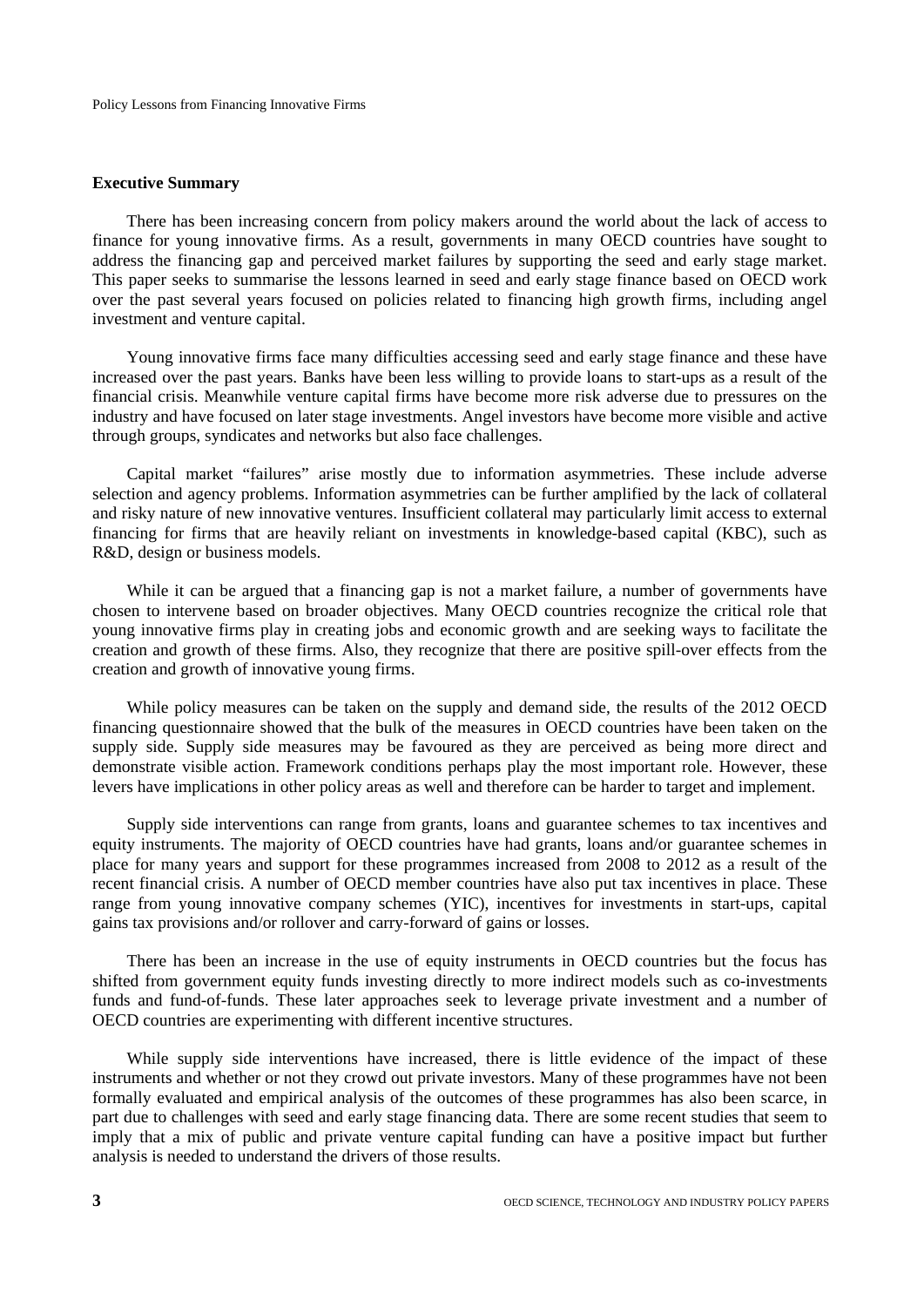## <span id="page-3-0"></span>**Executive Summary**

There has been increasing concern from policy makers around the world about the lack of access to finance for young innovative firms. As a result, governments in many OECD countries have sought to address the financing gap and perceived market failures by supporting the seed and early stage market. This paper seeks to summarise the lessons learned in seed and early stage finance based on OECD work over the past several years focused on policies related to financing high growth firms, including angel investment and venture capital.

Young innovative firms face many difficulties accessing seed and early stage finance and these have increased over the past years. Banks have been less willing to provide loans to start-ups as a result of the financial crisis. Meanwhile venture capital firms have become more risk adverse due to pressures on the industry and have focused on later stage investments. Angel investors have become more visible and active through groups, syndicates and networks but also face challenges.

Capital market "failures" arise mostly due to information asymmetries. These include adverse selection and agency problems. Information asymmetries can be further amplified by the lack of collateral and risky nature of new innovative ventures. Insufficient collateral may particularly limit access to external financing for firms that are heavily reliant on investments in knowledge-based capital (KBC), such as R&D, design or business models.

While it can be argued that a financing gap is not a market failure, a number of governments have chosen to intervene based on broader objectives. Many OECD countries recognize the critical role that young innovative firms play in creating jobs and economic growth and are seeking ways to facilitate the creation and growth of these firms. Also, they recognize that there are positive spill-over effects from the creation and growth of innovative young firms.

While policy measures can be taken on the supply and demand side, the results of the 2012 OECD financing questionnaire showed that the bulk of the measures in OECD countries have been taken on the supply side. Supply side measures may be favoured as they are perceived as being more direct and demonstrate visible action. Framework conditions perhaps play the most important role. However, these levers have implications in other policy areas as well and therefore can be harder to target and implement.

Supply side interventions can range from grants, loans and guarantee schemes to tax incentives and equity instruments. The majority of OECD countries have had grants, loans and/or guarantee schemes in place for many years and support for these programmes increased from 2008 to 2012 as a result of the recent financial crisis. A number of OECD member countries have also put tax incentives in place. These range from young innovative company schemes (YIC), incentives for investments in start-ups, capital gains tax provisions and/or rollover and carry-forward of gains or losses.

There has been an increase in the use of equity instruments in OECD countries but the focus has shifted from government equity funds investing directly to more indirect models such as co-investments funds and fund-of-funds. These later approaches seek to leverage private investment and a number of OECD countries are experimenting with different incentive structures.

While supply side interventions have increased, there is little evidence of the impact of these instruments and whether or not they crowd out private investors. Many of these programmes have not been formally evaluated and empirical analysis of the outcomes of these programmes has also been scarce, in part due to challenges with seed and early stage financing data. There are some recent studies that seem to imply that a mix of public and private venture capital funding can have a positive impact but further analysis is needed to understand the drivers of those results.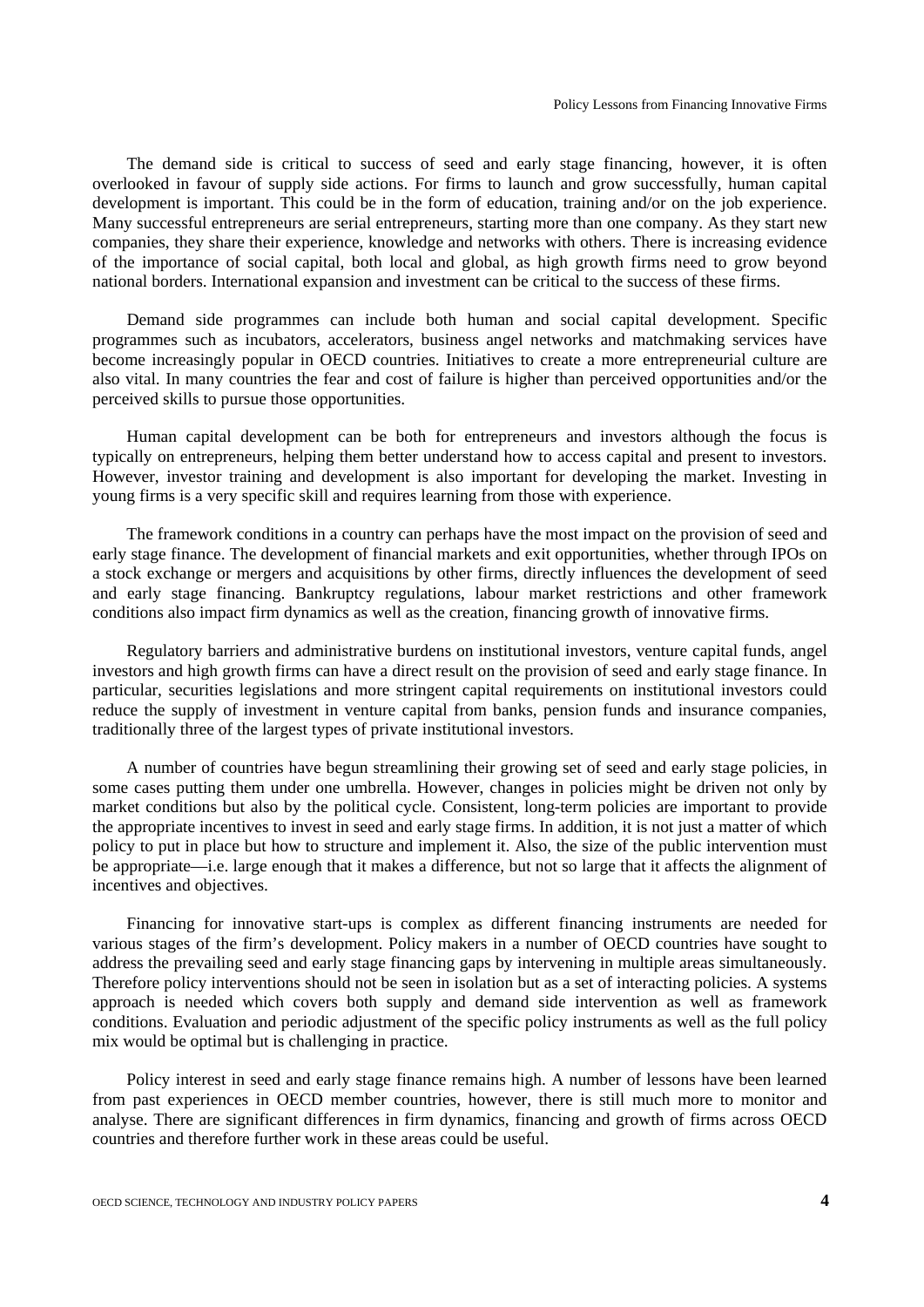The demand side is critical to success of seed and early stage financing, however, it is often overlooked in favour of supply side actions. For firms to launch and grow successfully, human capital development is important. This could be in the form of education, training and/or on the job experience. Many successful entrepreneurs are serial entrepreneurs, starting more than one company. As they start new companies, they share their experience, knowledge and networks with others. There is increasing evidence of the importance of social capital, both local and global, as high growth firms need to grow beyond national borders. International expansion and investment can be critical to the success of these firms.

Demand side programmes can include both human and social capital development. Specific programmes such as incubators, accelerators, business angel networks and matchmaking services have become increasingly popular in OECD countries. Initiatives to create a more entrepreneurial culture are also vital. In many countries the fear and cost of failure is higher than perceived opportunities and/or the perceived skills to pursue those opportunities.

Human capital development can be both for entrepreneurs and investors although the focus is typically on entrepreneurs, helping them better understand how to access capital and present to investors. However, investor training and development is also important for developing the market. Investing in young firms is a very specific skill and requires learning from those with experience.

The framework conditions in a country can perhaps have the most impact on the provision of seed and early stage finance. The development of financial markets and exit opportunities, whether through IPOs on a stock exchange or mergers and acquisitions by other firms, directly influences the development of seed and early stage financing. Bankruptcy regulations, labour market restrictions and other framework conditions also impact firm dynamics as well as the creation, financing growth of innovative firms.

Regulatory barriers and administrative burdens on institutional investors, venture capital funds, angel investors and high growth firms can have a direct result on the provision of seed and early stage finance. In particular, securities legislations and more stringent capital requirements on institutional investors could reduce the supply of investment in venture capital from banks, pension funds and insurance companies, traditionally three of the largest types of private institutional investors.

A number of countries have begun streamlining their growing set of seed and early stage policies, in some cases putting them under one umbrella. However, changes in policies might be driven not only by market conditions but also by the political cycle. Consistent, long-term policies are important to provide the appropriate incentives to invest in seed and early stage firms. In addition, it is not just a matter of which policy to put in place but how to structure and implement it. Also, the size of the public intervention must be appropriate—i.e. large enough that it makes a difference, but not so large that it affects the alignment of incentives and objectives.

Financing for innovative start-ups is complex as different financing instruments are needed for various stages of the firm's development. Policy makers in a number of OECD countries have sought to address the prevailing seed and early stage financing gaps by intervening in multiple areas simultaneously. Therefore policy interventions should not be seen in isolation but as a set of interacting policies. A systems approach is needed which covers both supply and demand side intervention as well as framework conditions. Evaluation and periodic adjustment of the specific policy instruments as well as the full policy mix would be optimal but is challenging in practice.

Policy interest in seed and early stage finance remains high. A number of lessons have been learned from past experiences in OECD member countries, however, there is still much more to monitor and analyse. There are significant differences in firm dynamics, financing and growth of firms across OECD countries and therefore further work in these areas could be useful.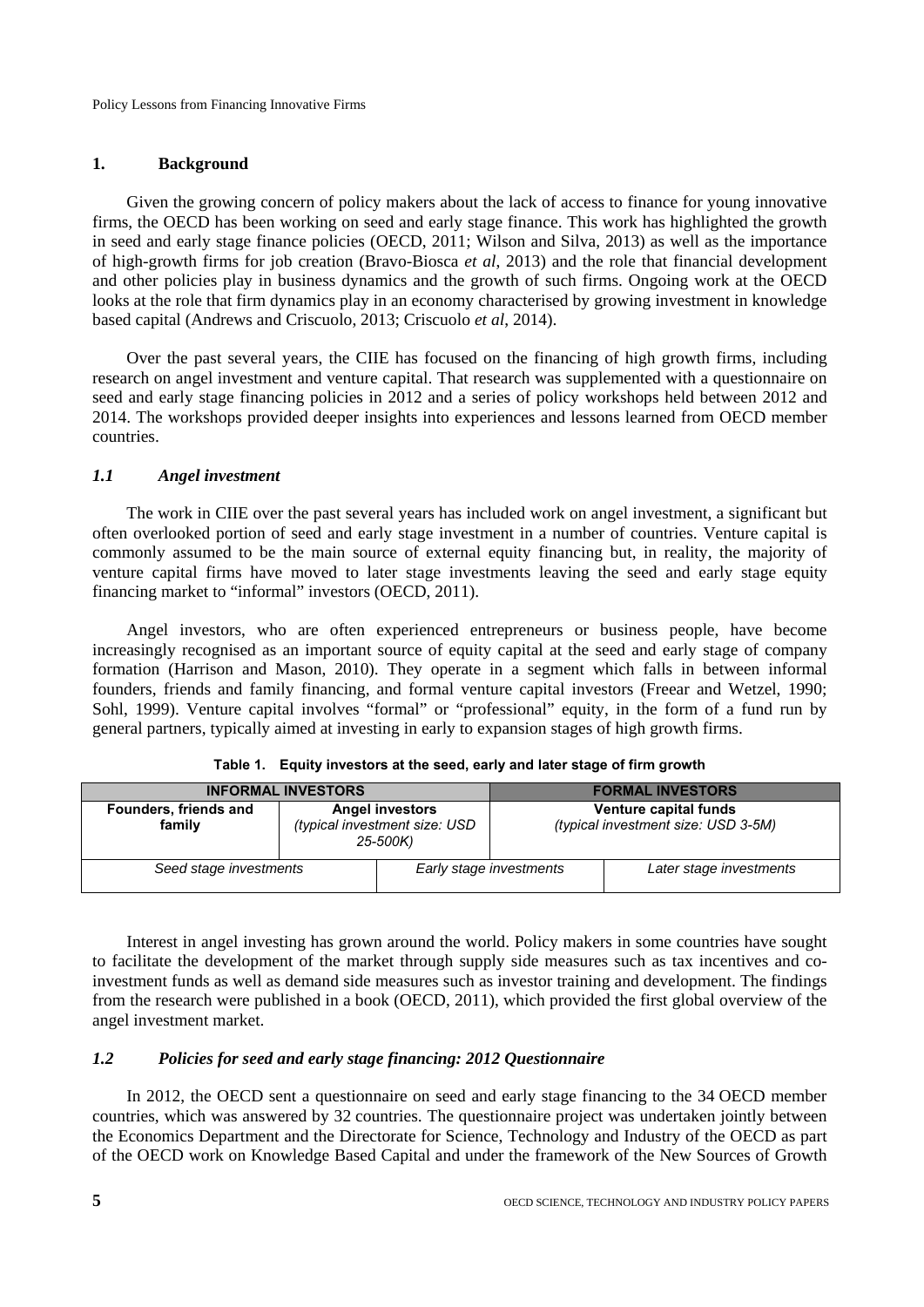## <span id="page-5-0"></span>**1. Background**

Given the growing concern of policy makers about the lack of access to finance for young innovative firms, the OECD has been working on seed and early stage finance. This work has highlighted the growth in seed and early stage finance policies (OECD, 2011; Wilson and Silva, 2013) as well as the importance of high-growth firms for job creation (Bravo-Biosca *et al*, 2013) and the role that financial development and other policies play in business dynamics and the growth of such firms. Ongoing work at the OECD looks at the role that firm dynamics play in an economy characterised by growing investment in knowledge based capital (Andrews and Criscuolo, 2013; Criscuolo *et al*, 2014).

Over the past several years, the CIIE has focused on the financing of high growth firms, including research on angel investment and venture capital. That research was supplemented with a questionnaire on seed and early stage financing policies in 2012 and a series of policy workshops held between 2012 and 2014. The workshops provided deeper insights into experiences and lessons learned from OECD member countries.

## <span id="page-5-1"></span>*1.1 Angel investment*

The work in CIIE over the past several years has included work on angel investment, a significant but often overlooked portion of seed and early stage investment in a number of countries. Venture capital is commonly assumed to be the main source of external equity financing but, in reality, the majority of venture capital firms have moved to later stage investments leaving the seed and early stage equity financing market to "informal" investors (OECD, 2011).

Angel investors, who are often experienced entrepreneurs or business people, have become increasingly recognised as an important source of equity capital at the seed and early stage of company formation (Harrison and Mason, 2010). They operate in a segment which falls in between informal founders, friends and family financing, and formal venture capital investors (Freear and Wetzel, 1990; Sohl, 1999). Venture capital involves "formal" or "professional" equity, in the form of a fund run by general partners, typically aimed at investing in early to expansion stages of high growth firms.

| <b>INFORMAL INVESTORS</b>       |                                                                     |  | <b>FORMAL INVESTORS</b>                                      |  |
|---------------------------------|---------------------------------------------------------------------|--|--------------------------------------------------------------|--|
| Founders, friends and<br>family | <b>Angel investors</b><br>(typical investment size: USD<br>25-500K) |  | Venture capital funds<br>(typical investment size: USD 3-5M) |  |
| Seed stage investments          | Early stage investments                                             |  | Later stage investments                                      |  |

|  | Table 1. Equity investors at the seed, early and later stage of firm growth |  |  |  |
|--|-----------------------------------------------------------------------------|--|--|--|
|--|-----------------------------------------------------------------------------|--|--|--|

Interest in angel investing has grown around the world. Policy makers in some countries have sought to facilitate the development of the market through supply side measures such as tax incentives and coinvestment funds as well as demand side measures such as investor training and development. The findings from the research were published in a book (OECD, 2011), which provided the first global overview of the angel investment market.

## <span id="page-5-2"></span>*1.2 Policies for seed and early stage financing: 2012 Questionnaire*

In 2012, the OECD sent a questionnaire on seed and early stage financing to the 34 OECD member countries, which was answered by 32 countries. The questionnaire project was undertaken jointly between the Economics Department and the Directorate for Science, Technology and Industry of the OECD as part of the OECD work on Knowledge Based Capital and under the framework of the New Sources of Growth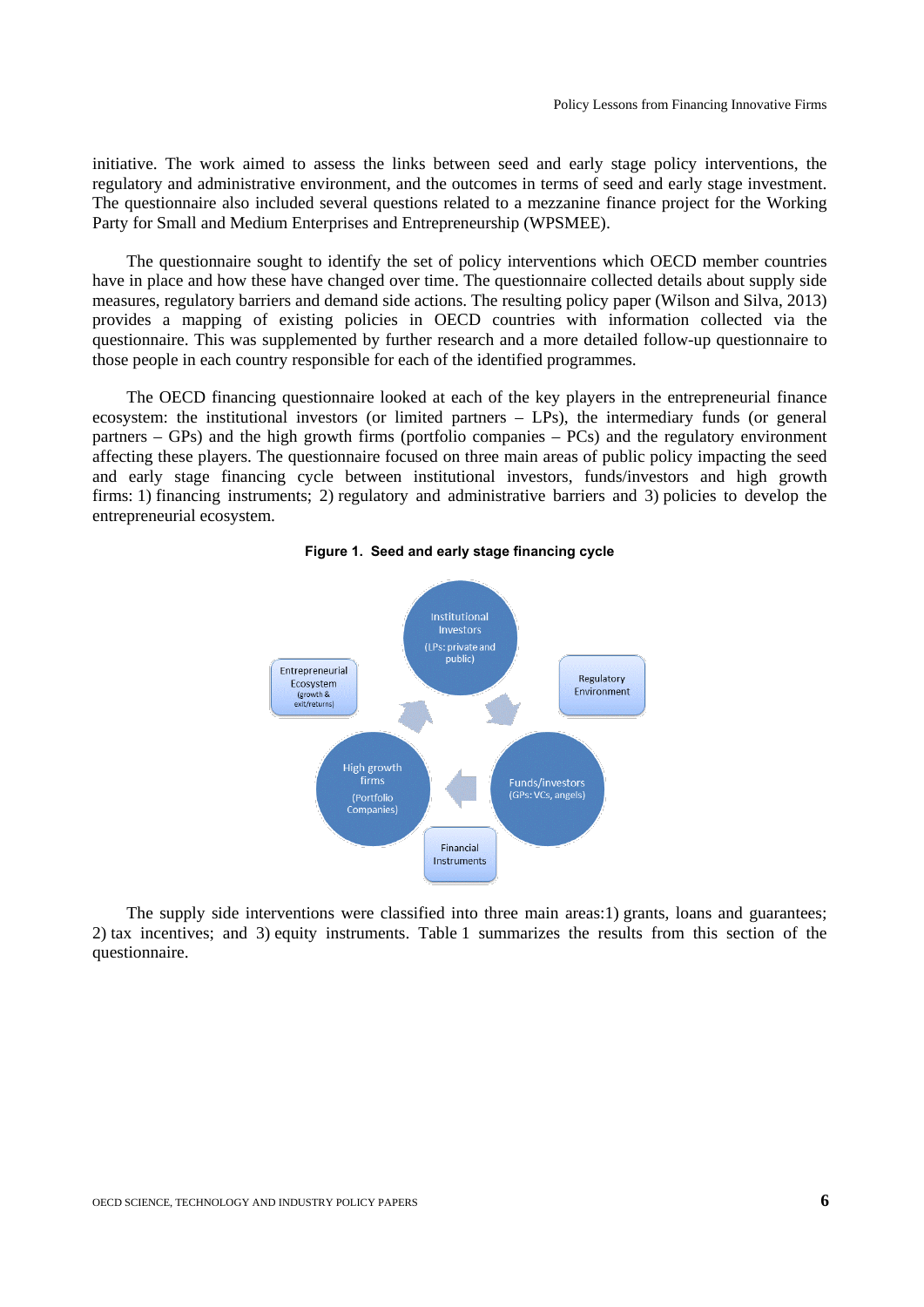initiative. The work aimed to assess the links between seed and early stage policy interventions, the regulatory and administrative environment, and the outcomes in terms of seed and early stage investment. The questionnaire also included several questions related to a mezzanine finance project for the Working Party for Small and Medium Enterprises and Entrepreneurship (WPSMEE).

The questionnaire sought to identify the set of policy interventions which OECD member countries have in place and how these have changed over time. The questionnaire collected details about supply side measures, regulatory barriers and demand side actions. The resulting policy paper (Wilson and Silva, 2013) provides a mapping of existing policies in OECD countries with information collected via the questionnaire. This was supplemented by further research and a more detailed follow-up questionnaire to those people in each country responsible for each of the identified programmes.

The OECD financing questionnaire looked at each of the key players in the entrepreneurial finance ecosystem: the institutional investors (or limited partners – LPs), the intermediary funds (or general partners – GPs) and the high growth firms (portfolio companies – PCs) and the regulatory environment affecting these players. The questionnaire focused on three main areas of public policy impacting the seed and early stage financing cycle between institutional investors, funds/investors and high growth firms: 1) financing instruments; 2) regulatory and administrative barriers and 3) policies to develop the entrepreneurial ecosystem.



#### **Figure 1. Seed and early stage financing cycle**

The supply side interventions were classified into three main areas:1) grants, loans and guarantees; 2) tax incentives; and 3) equity instruments. Table 1 summarizes the results from this section of the questionnaire.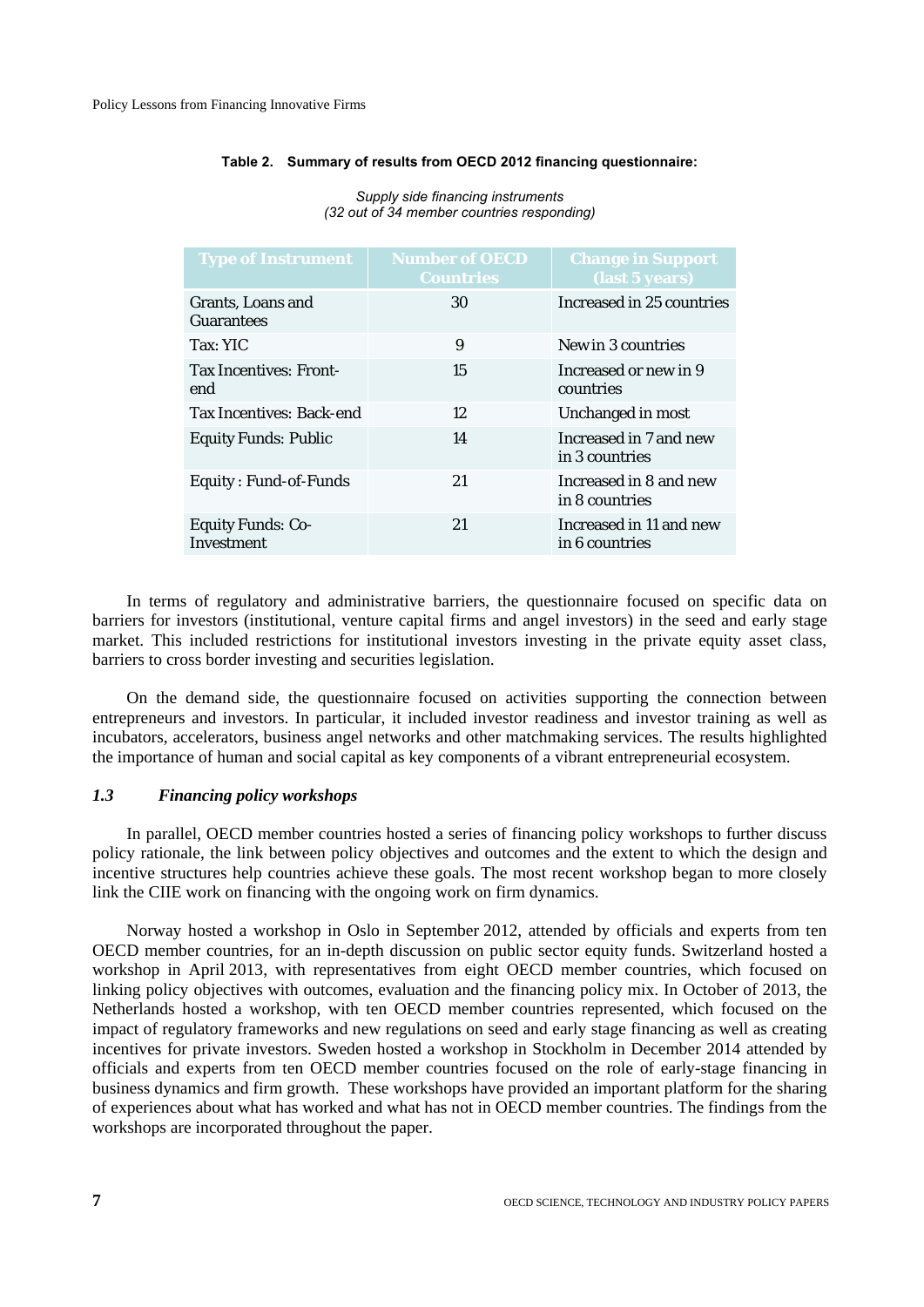## **Table 2. Summary of results from OECD 2012 financing questionnaire:**

| <b>Type of Instrument</b>                     | <b>Number of OECD</b><br><b>Countries</b> | <b>Change in Support</b><br>(last 5 years) |
|-----------------------------------------------|-------------------------------------------|--------------------------------------------|
| Grants, Loans and<br><b>Guarantees</b>        | 30                                        | Increased in 25 countries                  |
| Tax: YIC                                      | 9                                         | New in 3 countries                         |
| <b>Tax Incentives: Front-</b><br>end          | 15                                        | Increased or new in 9<br>countries         |
| <b>Tax Incentives: Back-end</b>               | 12                                        | Unchanged in most                          |
| <b>Equity Funds: Public</b>                   | 14                                        | Increased in 7 and new<br>in 3 countries   |
| Equity: Fund-of-Funds                         | 21                                        | Increased in 8 and new<br>in 8 countries   |
| <b>Equity Funds: Co-</b><br><b>Investment</b> | 21                                        | Increased in 11 and new<br>in 6 countries  |

*Supply side financing instruments (32 out of 34 member countries responding)*

In terms of regulatory and administrative barriers, the questionnaire focused on specific data on barriers for investors (institutional, venture capital firms and angel investors) in the seed and early stage market. This included restrictions for institutional investors investing in the private equity asset class, barriers to cross border investing and securities legislation.

On the demand side, the questionnaire focused on activities supporting the connection between entrepreneurs and investors. In particular, it included investor readiness and investor training as well as incubators, accelerators, business angel networks and other matchmaking services. The results highlighted the importance of human and social capital as key components of a vibrant entrepreneurial ecosystem.

## <span id="page-7-0"></span>*1.3 Financing policy workshops*

In parallel, OECD member countries hosted a series of financing policy workshops to further discuss policy rationale, the link between policy objectives and outcomes and the extent to which the design and incentive structures help countries achieve these goals. The most recent workshop began to more closely link the CIIE work on financing with the ongoing work on firm dynamics.

Norway hosted a workshop in Oslo in September 2012, attended by officials and experts from ten OECD member countries, for an in-depth discussion on public sector equity funds. Switzerland hosted a workshop in April 2013, with representatives from eight OECD member countries, which focused on linking policy objectives with outcomes, evaluation and the financing policy mix. In October of 2013, the Netherlands hosted a workshop, with ten OECD member countries represented, which focused on the impact of regulatory frameworks and new regulations on seed and early stage financing as well as creating incentives for private investors. Sweden hosted a workshop in Stockholm in December 2014 attended by officials and experts from ten OECD member countries focused on the role of early-stage financing in business dynamics and firm growth. These workshops have provided an important platform for the sharing of experiences about what has worked and what has not in OECD member countries. The findings from the workshops are incorporated throughout the paper.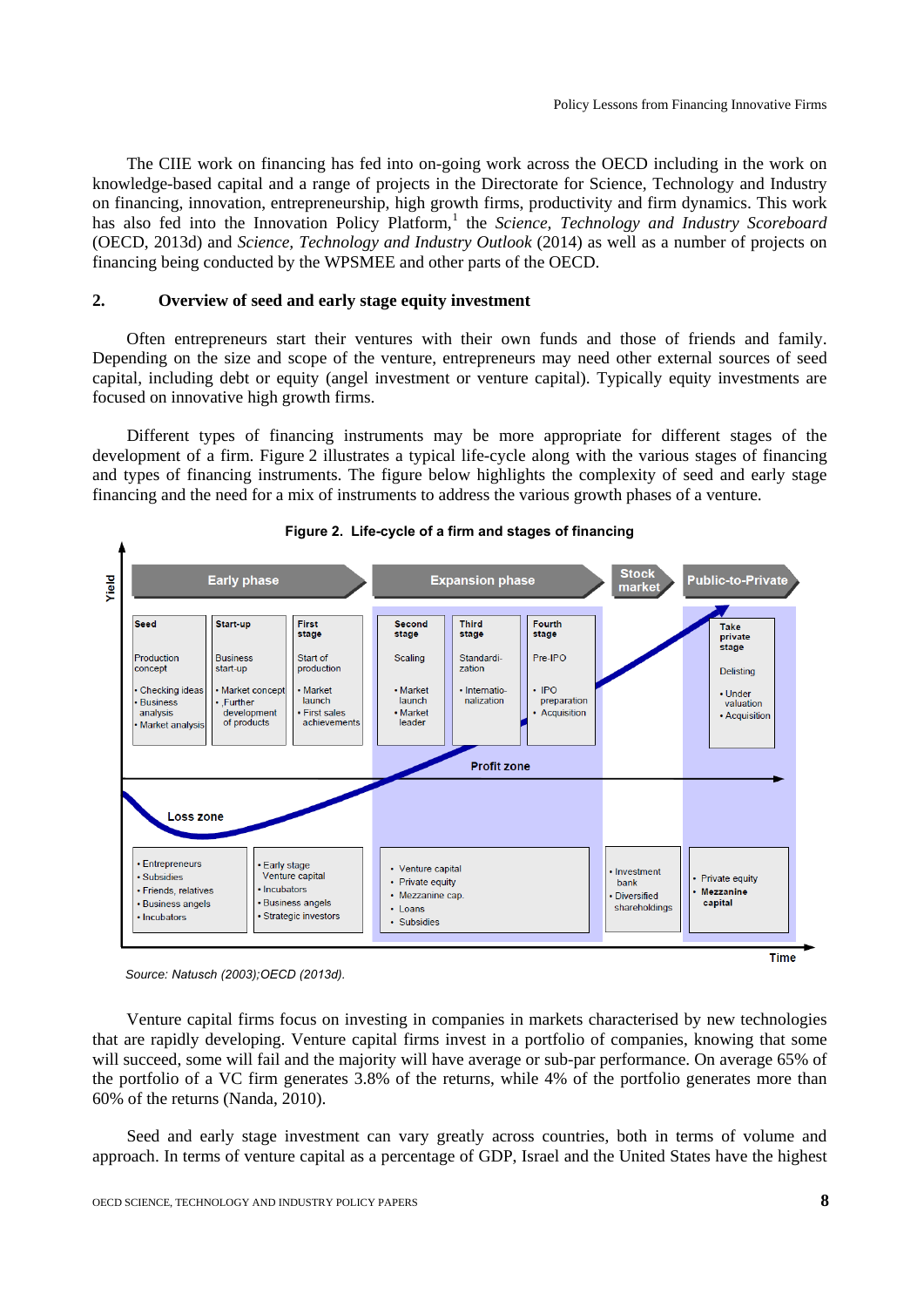The CIIE work on financing has fed into on-going work across the OECD including in the work on knowledge-based capital and a range of projects in the Directorate for Science, Technology and Industry on financing, innovation, entrepreneurship, high growth firms, productivity and firm dynamics. This work has also fed into the Innovation Policy Platform,<sup>[1](#page-31-0)</sup> the *Science, Technology and Industry Scoreboard* (OECD, 2013d) and *Science, Technology and Industry Outlook* (2014) as well as a number of projects on financing being conducted by the WPSMEE and other parts of the OECD.

## <span id="page-8-0"></span>**2. Overview of seed and early stage equity investment**

Often entrepreneurs start their ventures with their own funds and those of friends and family. Depending on the size and scope of the venture, entrepreneurs may need other external sources of seed capital, including debt or equity (angel investment or venture capital). Typically equity investments are focused on innovative high growth firms.

Different types of financing instruments may be more appropriate for different stages of the development of a firm. Figure 2 illustrates a typical life-cycle along with the various stages of financing and types of financing instruments. The figure below highlights the complexity of seed and early stage financing and the need for a mix of instruments to address the various growth phases of a venture.





*Source: Natusch (2003);OECD (2013d).*

Venture capital firms focus on investing in companies in markets characterised by new technologies that are rapidly developing. Venture capital firms invest in a portfolio of companies, knowing that some will succeed, some will fail and the majority will have average or sub-par performance. On average 65% of the portfolio of a VC firm generates 3.8% of the returns, while 4% of the portfolio generates more than 60% of the returns (Nanda, 2010).

Seed and early stage investment can vary greatly across countries, both in terms of volume and approach. In terms of venture capital as a percentage of GDP, Israel and the United States have the highest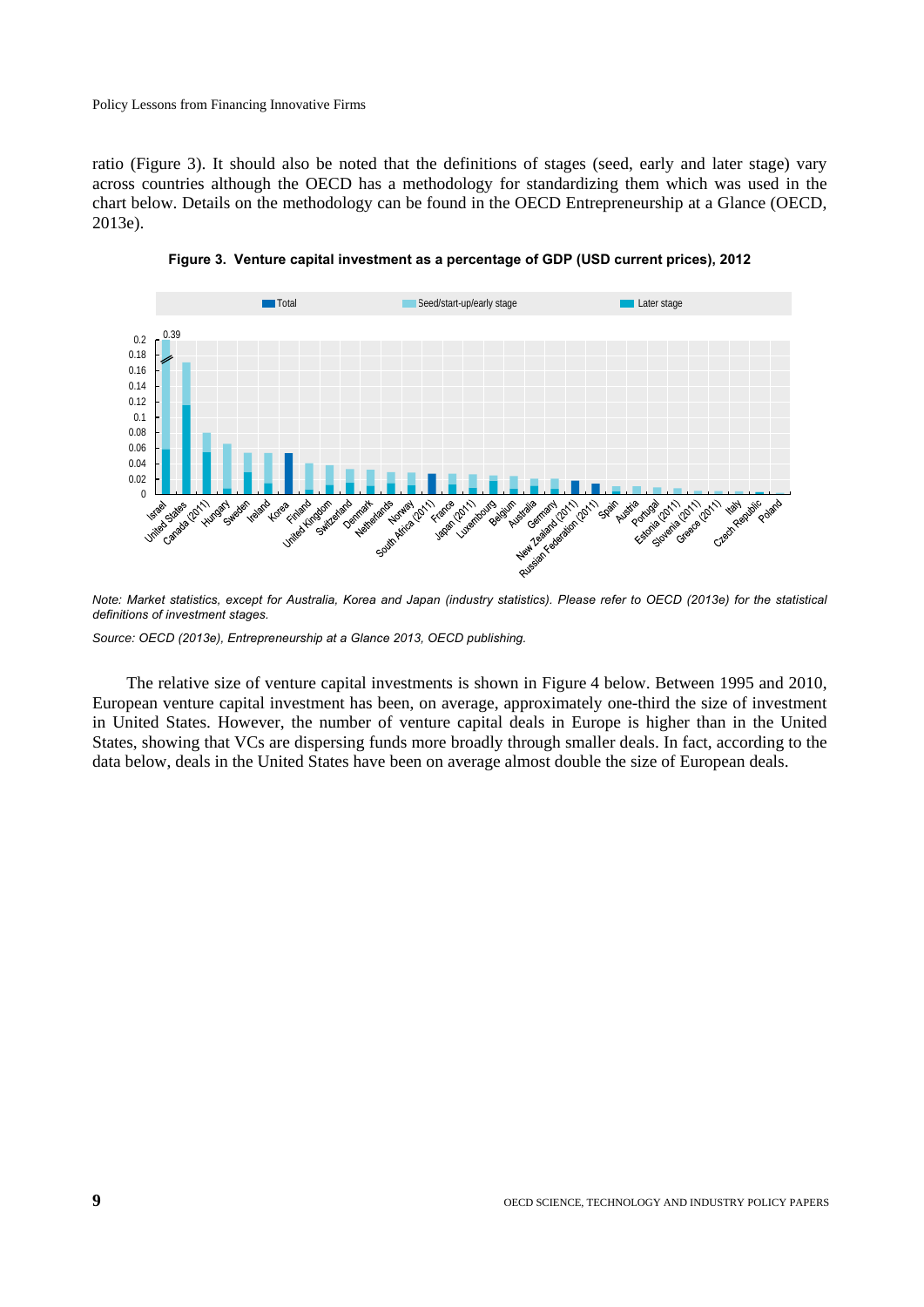ratio (Figure 3). It should also be noted that the definitions of stages (seed, early and later stage) vary across countries although the OECD has a methodology for standardizing them which was used in the chart below. Details on the methodology can be found in the OECD Entrepreneurship at a Glance (OECD, 2013e).



**Figure 3. Venture capital investment as a percentage of GDP (USD current prices), 2012**

*Note: Market statistics, except for Australia, Korea and Japan (industry statistics). Please refer to OECD (2013e) for the statistical definitions of investment stages.* 

*Source: OECD (2013e), Entrepreneurship at a Glance 2013, OECD publishing.*

The relative size of venture capital investments is shown in Figure 4 below. Between 1995 and 2010, European venture capital investment has been, on average, approximately one-third the size of investment in United States. However, the number of venture capital deals in Europe is higher than in the United States, showing that VCs are dispersing funds more broadly through smaller deals. In fact, according to the data below, deals in the United States have been on average almost double the size of European deals.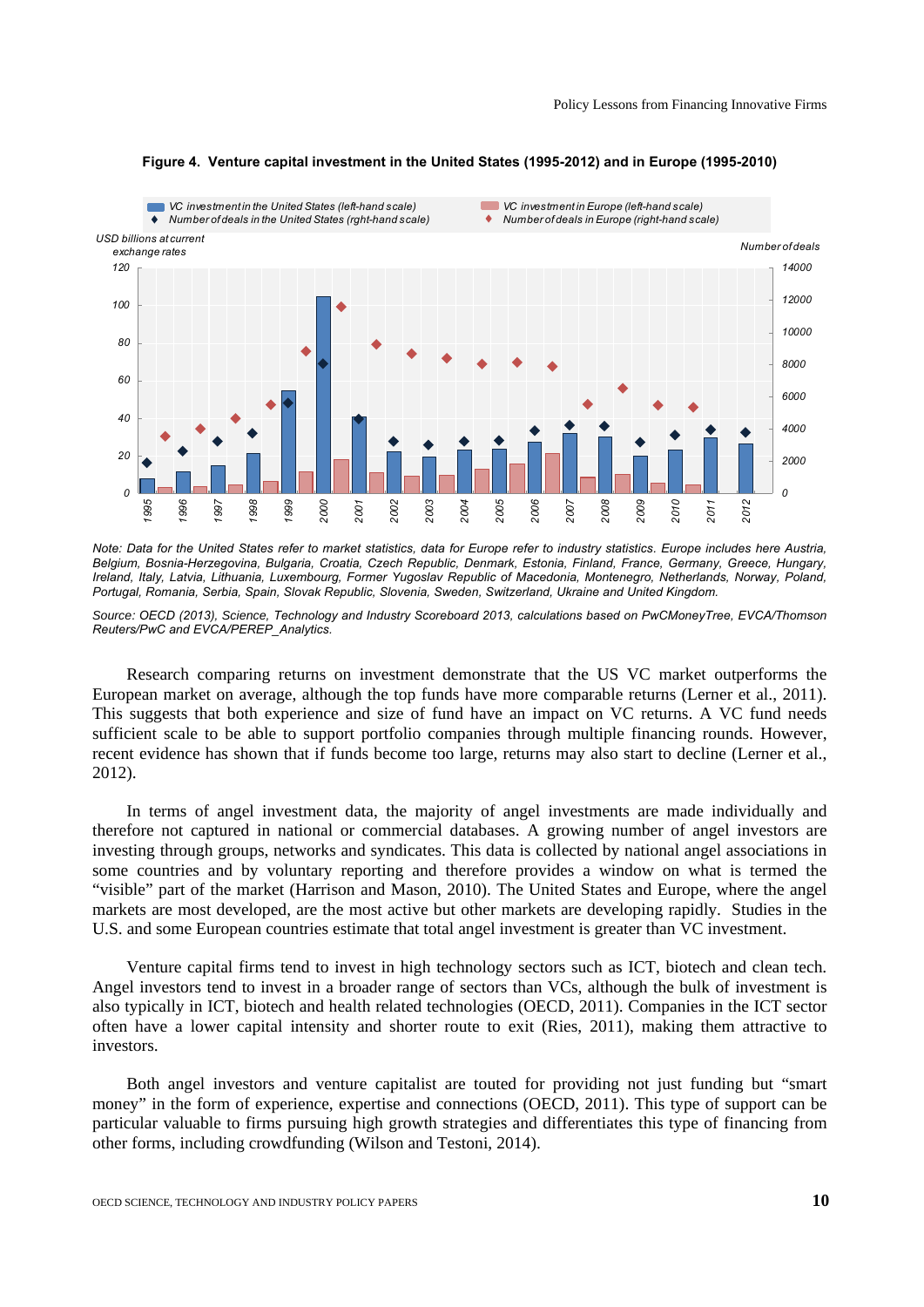

#### **Figure 4. Venture capital investment in the United States (1995-2012) and in Europe (1995-2010)**

*Note: Data for the United States refer to market statistics, data for Europe refer to industry statistics. Europe includes here Austria, Belgium, Bosnia-Herzegovina, Bulgaria, Croatia, Czech Republic, Denmark, Estonia, Finland, France, Germany, Greece, Hungary, Ireland, Italy, Latvia, Lithuania, Luxembourg, Former Yugoslav Republic of Macedonia, Montenegro, Netherlands, Norway, Poland, Portugal, Romania, Serbia, Spain, Slovak Republic, Slovenia, Sweden, Switzerland, Ukraine and United Kingdom.*

*Source: OECD (2013), Science, Technology and Industry Scoreboard 2013, calculations based on PwCMoneyTree, EVCA/Thomson Reuters/PwC and EVCA/PEREP\_Analytics.*

Research comparing returns on investment demonstrate that the US VC market outperforms the European market on average, although the top funds have more comparable returns (Lerner et al., 2011). This suggests that both experience and size of fund have an impact on VC returns. A VC fund needs sufficient scale to be able to support portfolio companies through multiple financing rounds. However, recent evidence has shown that if funds become too large, returns may also start to decline (Lerner et al., 2012).

In terms of angel investment data, the majority of angel investments are made individually and therefore not captured in national or commercial databases. A growing number of angel investors are investing through groups, networks and syndicates. This data is collected by national angel associations in some countries and by voluntary reporting and therefore provides a window on what is termed the "visible" part of the market (Harrison and Mason, 2010). The United States and Europe, where the angel markets are most developed, are the most active but other markets are developing rapidly. Studies in the U.S. and some European countries estimate that total angel investment is greater than VC investment.

Venture capital firms tend to invest in high technology sectors such as ICT, biotech and clean tech. Angel investors tend to invest in a broader range of sectors than VCs, although the bulk of investment is also typically in ICT, biotech and health related technologies (OECD, 2011). Companies in the ICT sector often have a lower capital intensity and shorter route to exit (Ries, 2011), making them attractive to investors.

Both angel investors and venture capitalist are touted for providing not just funding but "smart money" in the form of experience, expertise and connections (OECD, 2011). This type of support can be particular valuable to firms pursuing high growth strategies and differentiates this type of financing from other forms, including crowdfunding (Wilson and Testoni, 2014).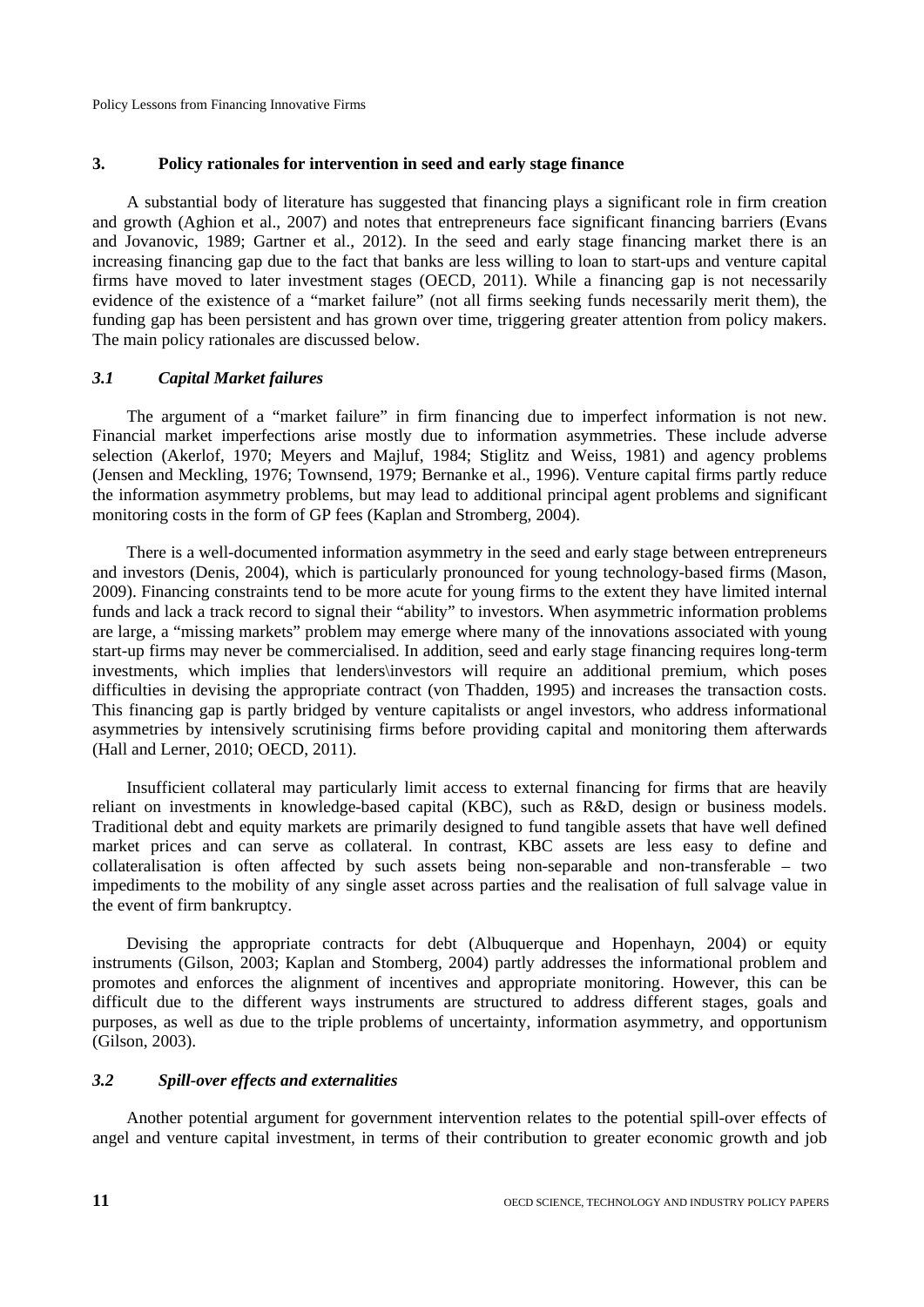## <span id="page-11-0"></span>**3. Policy rationales for intervention in seed and early stage finance**

A substantial body of literature has suggested that financing plays a significant role in firm creation and growth (Aghion et al., 2007) and notes that entrepreneurs face significant financing barriers (Evans and Jovanovic, 1989; Gartner et al., 2012). In the seed and early stage financing market there is an increasing financing gap due to the fact that banks are less willing to loan to start-ups and venture capital firms have moved to later investment stages (OECD, 2011). While a financing gap is not necessarily evidence of the existence of a "market failure" (not all firms seeking funds necessarily merit them), the funding gap has been persistent and has grown over time, triggering greater attention from policy makers. The main policy rationales are discussed below.

## <span id="page-11-1"></span>*3.1 Capital Market failures*

The argument of a "market failure" in firm financing due to imperfect information is not new. Financial market imperfections arise mostly due to information asymmetries. These include adverse selection (Akerlof, 1970; Meyers and Majluf, 1984; Stiglitz and Weiss, 1981) and agency problems (Jensen and Meckling, 1976; Townsend, 1979; Bernanke et al., 1996). Venture capital firms partly reduce the information asymmetry problems, but may lead to additional principal agent problems and significant monitoring costs in the form of GP fees (Kaplan and Stromberg, 2004).

There is a well-documented information asymmetry in the seed and early stage between entrepreneurs and investors (Denis, 2004), which is particularly pronounced for young technology-based firms (Mason, 2009). Financing constraints tend to be more acute for young firms to the extent they have limited internal funds and lack a track record to signal their "ability" to investors. When asymmetric information problems are large, a "missing markets" problem may emerge where many of the innovations associated with young start-up firms may never be commercialised. In addition, seed and early stage financing requires long-term investments, which implies that lenders\investors will require an additional premium, which poses difficulties in devising the appropriate contract (von Thadden, 1995) and increases the transaction costs. This financing gap is partly bridged by venture capitalists or angel investors, who address informational asymmetries by intensively scrutinising firms before providing capital and monitoring them afterwards (Hall and Lerner, 2010; OECD, 2011).

Insufficient collateral may particularly limit access to external financing for firms that are heavily reliant on investments in knowledge-based capital (KBC), such as R&D, design or business models. Traditional debt and equity markets are primarily designed to fund tangible assets that have well defined market prices and can serve as collateral. In contrast, KBC assets are less easy to define and collateralisation is often affected by such assets being non-separable and non-transferable – two impediments to the mobility of any single asset across parties and the realisation of full salvage value in the event of firm bankruptcy.

Devising the appropriate contracts for debt (Albuquerque and Hopenhayn, 2004) or equity instruments (Gilson, 2003; Kaplan and Stomberg, 2004) partly addresses the informational problem and promotes and enforces the alignment of incentives and appropriate monitoring. However, this can be difficult due to the different ways instruments are structured to address different stages, goals and purposes, as well as due to the triple problems of uncertainty, information asymmetry, and opportunism (Gilson, 2003).

## <span id="page-11-2"></span>*3.2 Spill-over effects and externalities*

Another potential argument for government intervention relates to the potential spill-over effects of angel and venture capital investment, in terms of their contribution to greater economic growth and job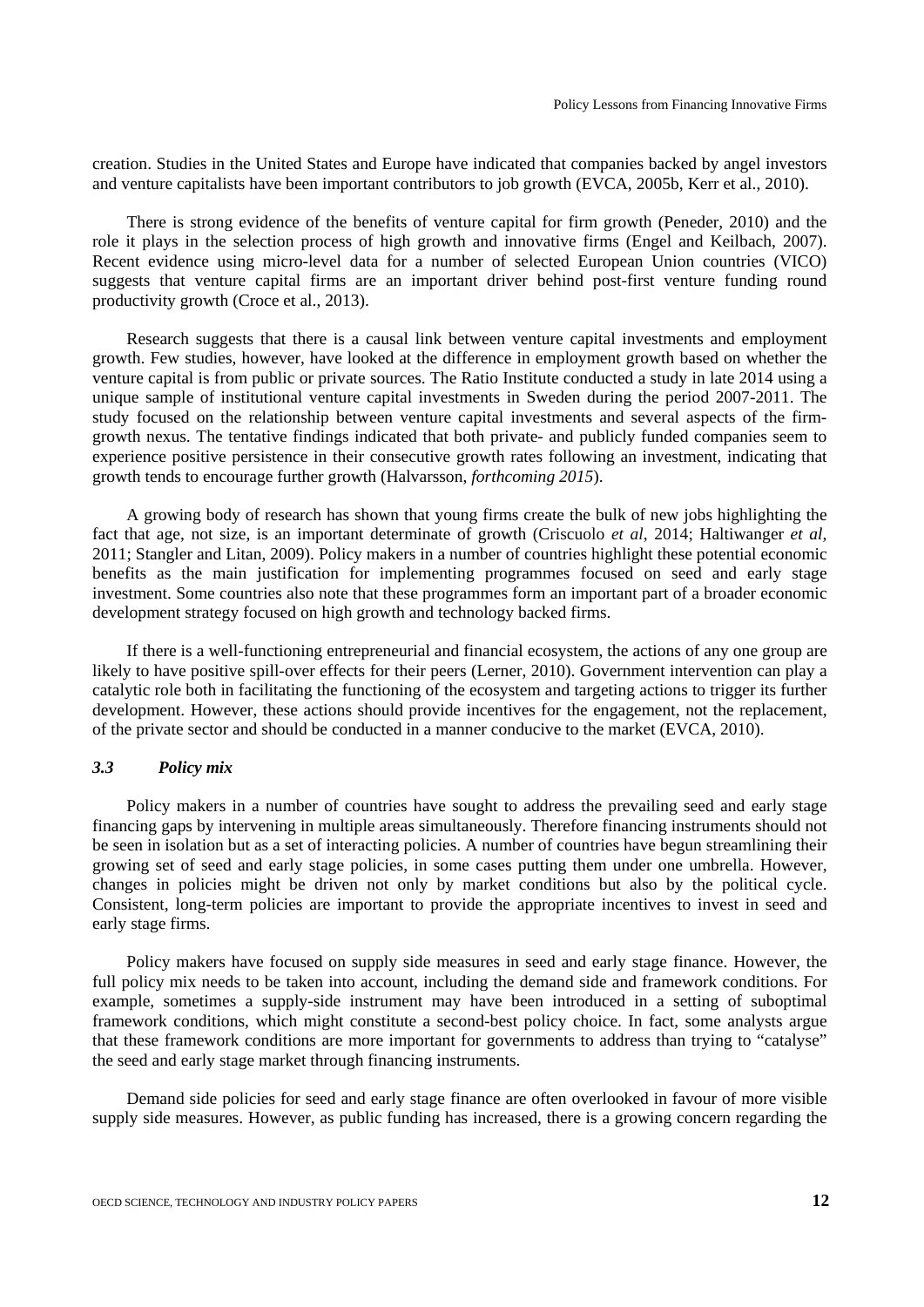creation. Studies in the United States and Europe have indicated that companies backed by angel investors and venture capitalists have been important contributors to job growth (EVCA, 2005b, Kerr et al., 2010).

There is strong evidence of the benefits of venture capital for firm growth (Peneder, 2010) and the role it plays in the selection process of high growth and innovative firms (Engel and Keilbach, 2007). Recent evidence using micro-level data for a number of selected European Union countries (VICO) suggests that venture capital firms are an important driver behind post-first venture funding round productivity growth (Croce et al., 2013).

Research suggests that there is a causal link between venture capital investments and employment growth. Few studies, however, have looked at the difference in employment growth based on whether the venture capital is from public or private sources. The Ratio Institute conducted a study in late 2014 using a unique sample of institutional venture capital investments in Sweden during the period 2007-2011. The study focused on the relationship between venture capital investments and several aspects of the firmgrowth nexus. The tentative findings indicated that both private- and publicly funded companies seem to experience positive persistence in their consecutive growth rates following an investment, indicating that growth tends to encourage further growth (Halvarsson, *forthcoming 2015*).

A growing body of research has shown that young firms create the bulk of new jobs highlighting the fact that age, not size, is an important determinate of growth (Criscuolo *et al*, 2014; Haltiwanger *et al,* 2011; Stangler and Litan, 2009). Policy makers in a number of countries highlight these potential economic benefits as the main justification for implementing programmes focused on seed and early stage investment. Some countries also note that these programmes form an important part of a broader economic development strategy focused on high growth and technology backed firms.

If there is a well-functioning entrepreneurial and financial ecosystem, the actions of any one group are likely to have positive spill-over effects for their peers (Lerner, 2010). Government intervention can play a catalytic role both in facilitating the functioning of the ecosystem and targeting actions to trigger its further development. However, these actions should provide incentives for the engagement, not the replacement, of the private sector and should be conducted in a manner conducive to the market (EVCA, 2010).

## <span id="page-12-0"></span>*3.3 Policy mix*

Policy makers in a number of countries have sought to address the prevailing seed and early stage financing gaps by intervening in multiple areas simultaneously. Therefore financing instruments should not be seen in isolation but as a set of interacting policies. A number of countries have begun streamlining their growing set of seed and early stage policies, in some cases putting them under one umbrella. However, changes in policies might be driven not only by market conditions but also by the political cycle. Consistent, long-term policies are important to provide the appropriate incentives to invest in seed and early stage firms.

Policy makers have focused on supply side measures in seed and early stage finance. However, the full policy mix needs to be taken into account, including the demand side and framework conditions. For example, sometimes a supply-side instrument may have been introduced in a setting of suboptimal framework conditions, which might constitute a second-best policy choice. In fact, some analysts argue that these framework conditions are more important for governments to address than trying to "catalyse" the seed and early stage market through financing instruments.

Demand side policies for seed and early stage finance are often overlooked in favour of more visible supply side measures. However, as public funding has increased, there is a growing concern regarding the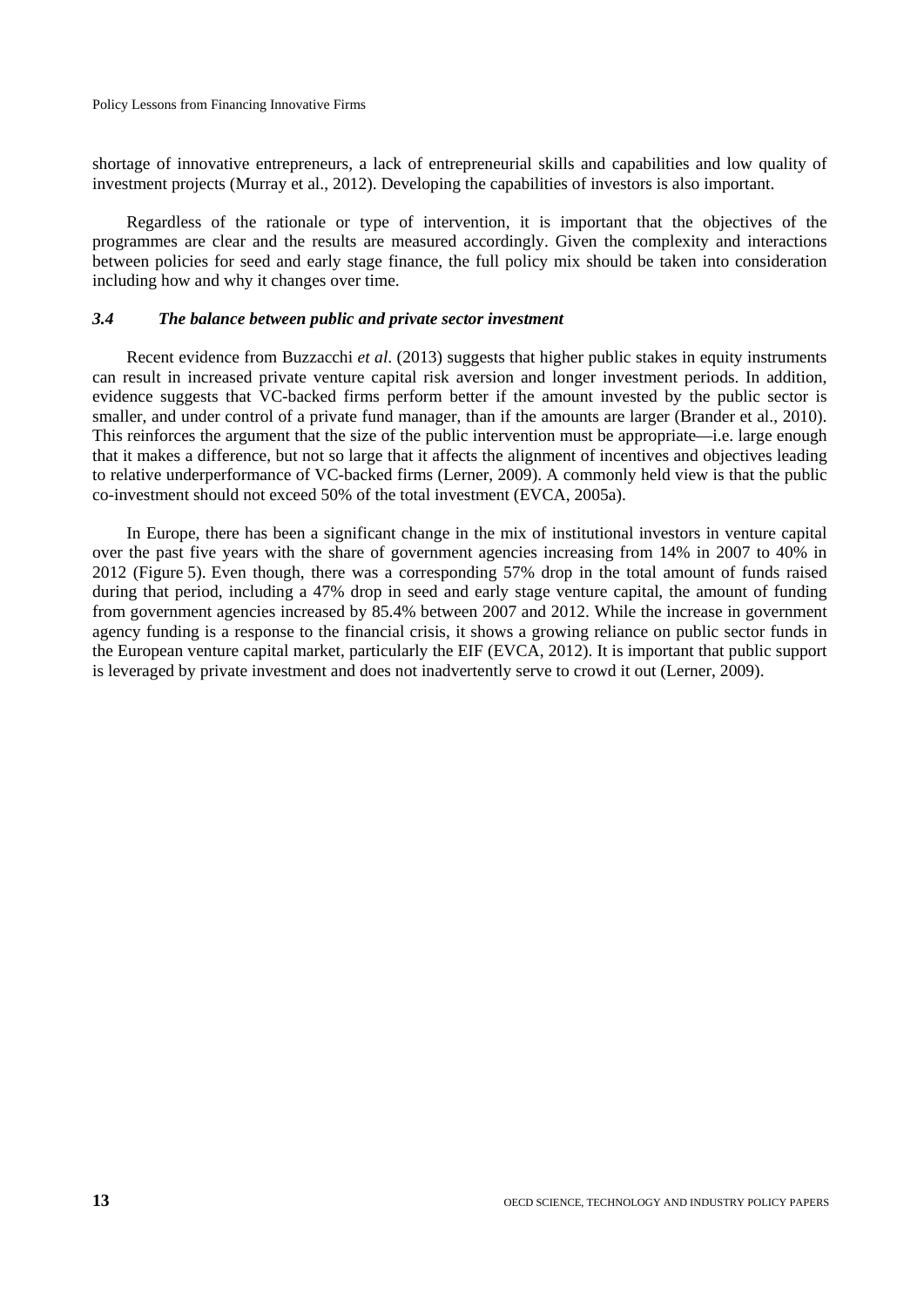shortage of innovative entrepreneurs, a lack of entrepreneurial skills and capabilities and low quality of investment projects (Murray et al., 2012). Developing the capabilities of investors is also important.

Regardless of the rationale or type of intervention, it is important that the objectives of the programmes are clear and the results are measured accordingly. Given the complexity and interactions between policies for seed and early stage finance, the full policy mix should be taken into consideration including how and why it changes over time.

## <span id="page-13-0"></span>*3.4 The balance between public and private sector investment*

Recent evidence from Buzzacchi *et al*. (2013) suggests that higher public stakes in equity instruments can result in increased private venture capital risk aversion and longer investment periods. In addition, evidence suggests that VC-backed firms perform better if the amount invested by the public sector is smaller, and under control of a private fund manager, than if the amounts are larger (Brander et al., 2010). This reinforces the argument that the size of the public intervention must be appropriate—i.e. large enough that it makes a difference, but not so large that it affects the alignment of incentives and objectives leading to relative underperformance of VC-backed firms (Lerner, 2009). A commonly held view is that the public co-investment should not exceed 50% of the total investment (EVCA, 2005a).

In Europe, there has been a significant change in the mix of institutional investors in venture capital over the past five years with the share of government agencies increasing from 14% in 2007 to 40% in 2012 (Figure 5). Even though, there was a corresponding 57% drop in the total amount of funds raised during that period, including a 47% drop in seed and early stage venture capital, the amount of funding from government agencies increased by 85.4% between 2007 and 2012. While the increase in government agency funding is a response to the financial crisis, it shows a growing reliance on public sector funds in the European venture capital market, particularly the EIF (EVCA, 2012). It is important that public support is leveraged by private investment and does not inadvertently serve to crowd it out (Lerner, 2009).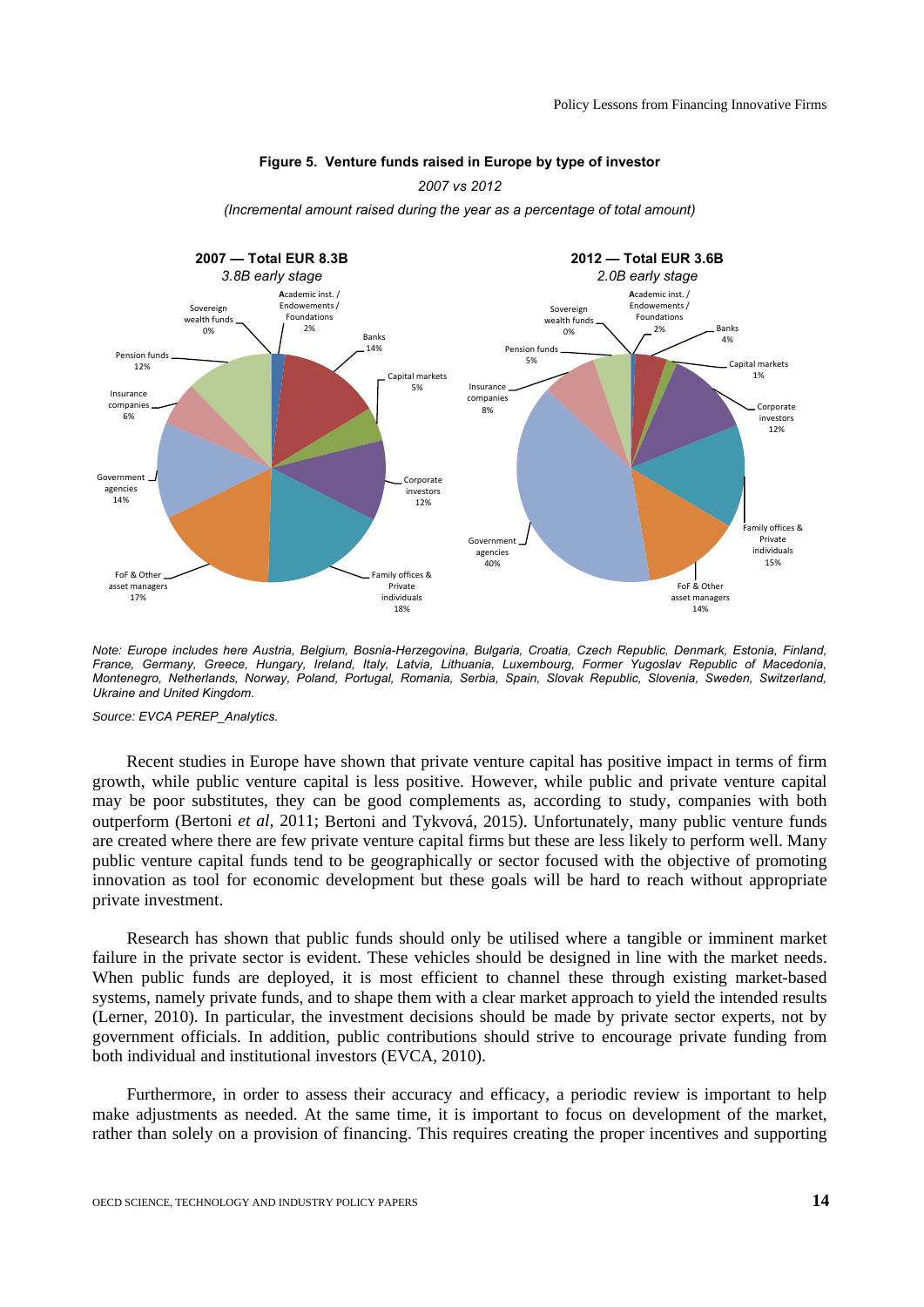#### **Figure 5. Venture funds raised in Europe by type of investor**

*2007 vs 2012*

*(Incremental amount raised during the year as a percentage of total amount)*



*Note: Europe includes here Austria, Belgium, Bosnia-Herzegovina, Bulgaria, Croatia, Czech Republic, Denmark, Estonia, Finland, France, Germany, Greece, Hungary, Ireland, Italy, Latvia, Lithuania, Luxembourg, Former Yugoslav Republic of Macedonia, Montenegro, Netherlands, Norway, Poland, Portugal, Romania, Serbia, Spain, Slovak Republic, Slovenia, Sweden, Switzerland, Ukraine and United Kingdom.*

*Source: EVCA PEREP\_Analytics.*

Recent studies in Europe have shown that private venture capital has positive impact in terms of firm growth, while public venture capital is less positive. However, while public and private venture capital may be poor substitutes, they can be good complements as, according to study, companies with both outperform (Bertoni *et al,* 2011; Bertoni and Tykvová, 2015). Unfortunately, many public venture funds are created where there are few private venture capital firms but these are less likely to perform well. Many public venture capital funds tend to be geographically or sector focused with the objective of promoting innovation as tool for economic development but these goals will be hard to reach without appropriate private investment.

Research has shown that public funds should only be utilised where a tangible or imminent market failure in the private sector is evident. These vehicles should be designed in line with the market needs. When public funds are deployed, it is most efficient to channel these through existing market-based systems, namely private funds, and to shape them with a clear market approach to yield the intended results (Lerner, 2010). In particular, the investment decisions should be made by private sector experts, not by government officials. In addition, public contributions should strive to encourage private funding from both individual and institutional investors (EVCA, 2010).

Furthermore, in order to assess their accuracy and efficacy, a periodic review is important to help make adjustments as needed. At the same time, it is important to focus on development of the market, rather than solely on a provision of financing. This requires creating the proper incentives and supporting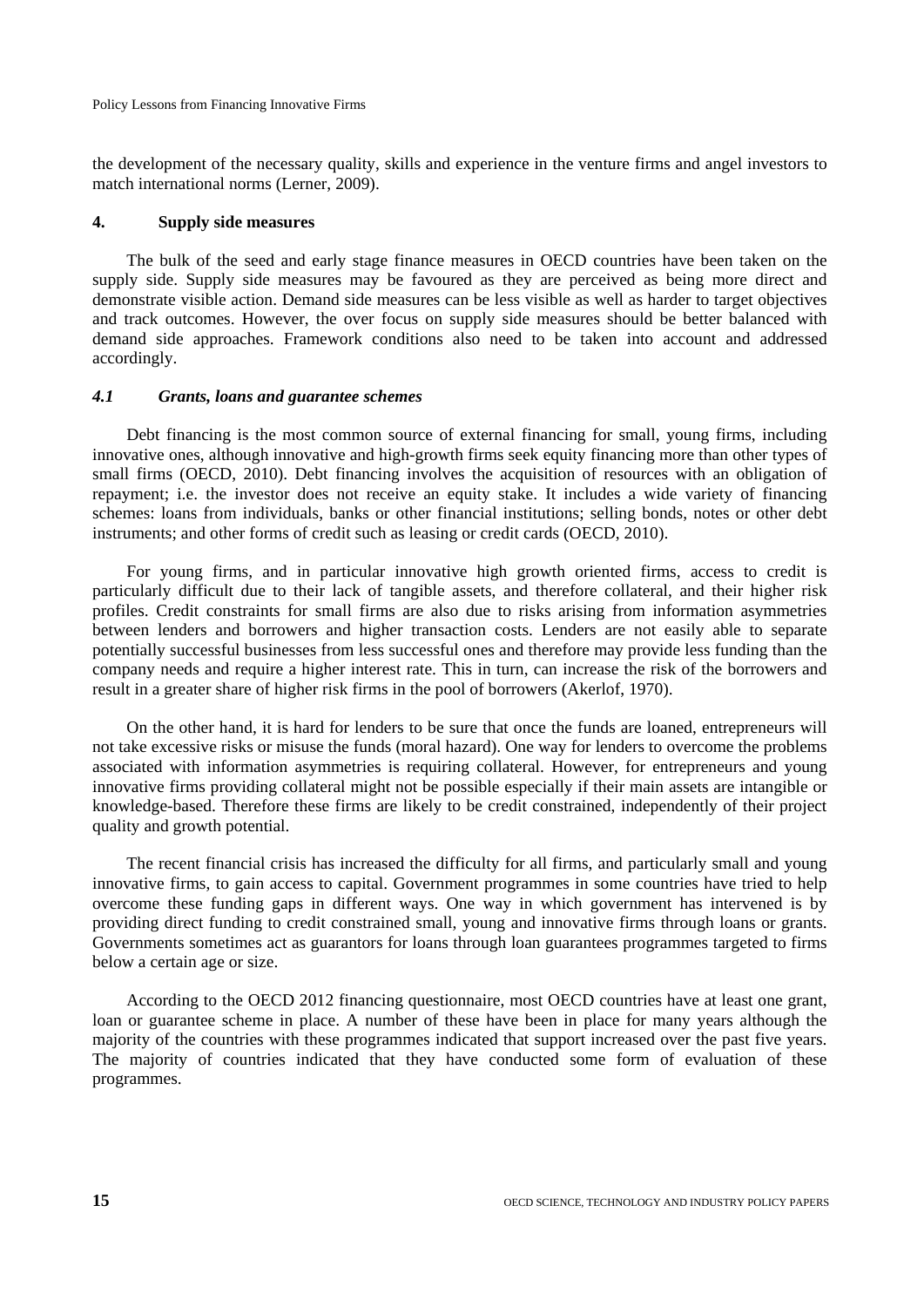the development of the necessary quality, skills and experience in the venture firms and angel investors to match international norms (Lerner, 2009).

## <span id="page-15-0"></span>**4. Supply side measures**

The bulk of the seed and early stage finance measures in OECD countries have been taken on the supply side. Supply side measures may be favoured as they are perceived as being more direct and demonstrate visible action. Demand side measures can be less visible as well as harder to target objectives and track outcomes. However, the over focus on supply side measures should be better balanced with demand side approaches. Framework conditions also need to be taken into account and addressed accordingly.

## <span id="page-15-1"></span>*4.1 Grants, loans and guarantee schemes*

Debt financing is the most common source of external financing for small, young firms, including innovative ones, although innovative and high-growth firms seek equity financing more than other types of small firms (OECD, 2010). Debt financing involves the acquisition of resources with an obligation of repayment; i.e. the investor does not receive an equity stake. It includes a wide variety of financing schemes: loans from individuals, banks or other financial institutions; selling bonds, notes or other debt instruments; and other forms of credit such as leasing or credit cards (OECD, 2010).

For young firms, and in particular innovative high growth oriented firms, access to credit is particularly difficult due to their lack of tangible assets, and therefore collateral, and their higher risk profiles. Credit constraints for small firms are also due to risks arising from information asymmetries between lenders and borrowers and higher transaction costs. Lenders are not easily able to separate potentially successful businesses from less successful ones and therefore may provide less funding than the company needs and require a higher interest rate. This in turn, can increase the risk of the borrowers and result in a greater share of higher risk firms in the pool of borrowers (Akerlof, 1970).

On the other hand, it is hard for lenders to be sure that once the funds are loaned, entrepreneurs will not take excessive risks or misuse the funds (moral hazard). One way for lenders to overcome the problems associated with information asymmetries is requiring collateral. However, for entrepreneurs and young innovative firms providing collateral might not be possible especially if their main assets are intangible or knowledge-based. Therefore these firms are likely to be credit constrained, independently of their project quality and growth potential.

The recent financial crisis has increased the difficulty for all firms, and particularly small and young innovative firms, to gain access to capital. Government programmes in some countries have tried to help overcome these funding gaps in different ways. One way in which government has intervened is by providing direct funding to credit constrained small, young and innovative firms through loans or grants. Governments sometimes act as guarantors for loans through loan guarantees programmes targeted to firms below a certain age or size.

According to the OECD 2012 financing questionnaire, most OECD countries have at least one grant, loan or guarantee scheme in place. A number of these have been in place for many years although the majority of the countries with these programmes indicated that support increased over the past five years. The majority of countries indicated that they have conducted some form of evaluation of these programmes.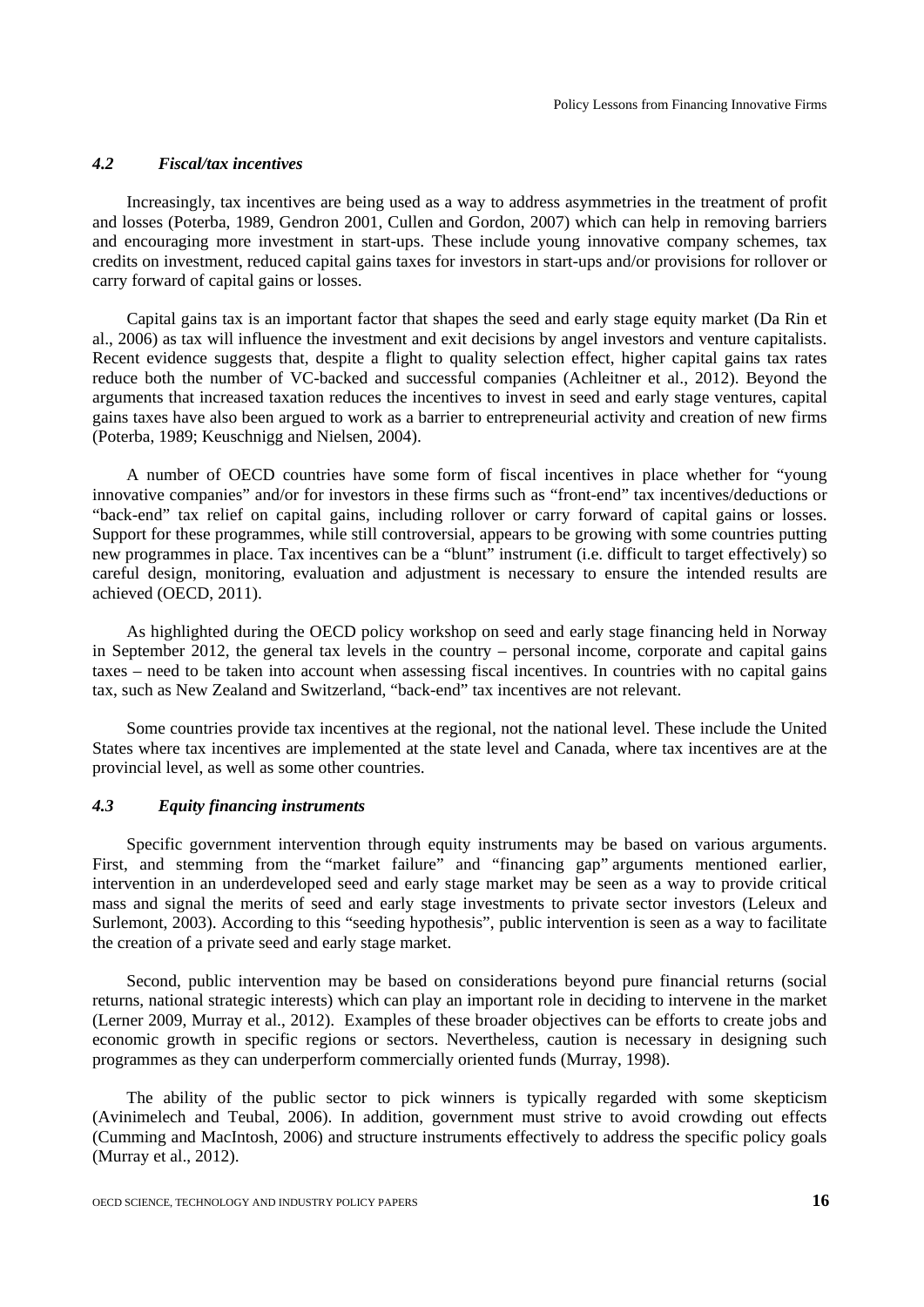## <span id="page-16-0"></span>*4.2 Fiscal/tax incentives*

Increasingly, tax incentives are being used as a way to address asymmetries in the treatment of profit and losses (Poterba, 1989, Gendron 2001, Cullen and Gordon, 2007) which can help in removing barriers and encouraging more investment in start-ups. These include young innovative company schemes, tax credits on investment, reduced capital gains taxes for investors in start-ups and/or provisions for rollover or carry forward of capital gains or losses.

Capital gains tax is an important factor that shapes the seed and early stage equity market (Da Rin et al., 2006) as tax will influence the investment and exit decisions by angel investors and venture capitalists. Recent evidence suggests that, despite a flight to quality selection effect, higher capital gains tax rates reduce both the number of VC-backed and successful companies (Achleitner et al., 2012). Beyond the arguments that increased taxation reduces the incentives to invest in seed and early stage ventures, capital gains taxes have also been argued to work as a barrier to entrepreneurial activity and creation of new firms (Poterba, 1989; Keuschnigg and Nielsen, 2004).

A number of OECD countries have some form of fiscal incentives in place whether for "young innovative companies" and/or for investors in these firms such as "front-end" tax incentives/deductions or "back-end" tax relief on capital gains, including rollover or carry forward of capital gains or losses. Support for these programmes, while still controversial, appears to be growing with some countries putting new programmes in place. Tax incentives can be a "blunt" instrument (i.e. difficult to target effectively) so careful design, monitoring, evaluation and adjustment is necessary to ensure the intended results are achieved (OECD, 2011).

As highlighted during the OECD policy workshop on seed and early stage financing held in Norway in September 2012, the general tax levels in the country – personal income, corporate and capital gains taxes – need to be taken into account when assessing fiscal incentives. In countries with no capital gains tax, such as New Zealand and Switzerland, "back-end" tax incentives are not relevant.

Some countries provide tax incentives at the regional, not the national level. These include the United States where tax incentives are implemented at the state level and Canada, where tax incentives are at the provincial level, as well as some other countries.

## <span id="page-16-1"></span>*4.3 Equity financing instruments*

Specific government intervention through equity instruments may be based on various arguments. First, and stemming from the "market failure" and "financing gap" arguments mentioned earlier, intervention in an underdeveloped seed and early stage market may be seen as a way to provide critical mass and signal the merits of seed and early stage investments to private sector investors (Leleux and Surlemont, 2003). According to this "seeding hypothesis", public intervention is seen as a way to facilitate the creation of a private seed and early stage market.

Second, public intervention may be based on considerations beyond pure financial returns (social returns, national strategic interests) which can play an important role in deciding to intervene in the market (Lerner 2009, Murray et al., 2012). Examples of these broader objectives can be efforts to create jobs and economic growth in specific regions or sectors. Nevertheless, caution is necessary in designing such programmes as they can underperform commercially oriented funds (Murray, 1998).

The ability of the public sector to pick winners is typically regarded with some skepticism (Avinimelech and Teubal, 2006). In addition, government must strive to avoid crowding out effects (Cumming and MacIntosh, 2006) and structure instruments effectively to address the specific policy goals (Murray et al., 2012).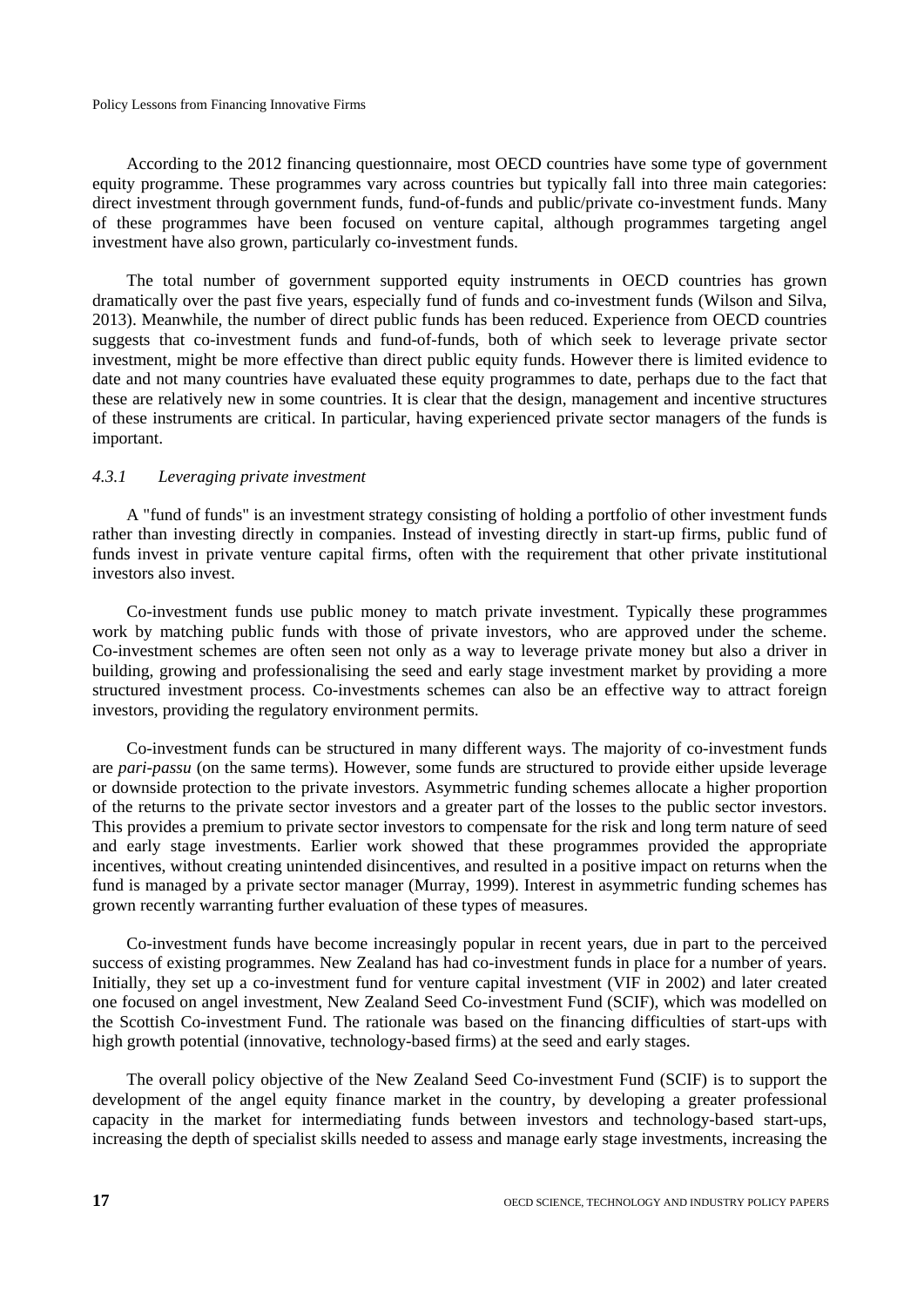According to the 2012 financing questionnaire, most OECD countries have some type of government equity programme. These programmes vary across countries but typically fall into three main categories: direct investment through government funds, fund-of-funds and public/private co-investment funds. Many of these programmes have been focused on venture capital, although programmes targeting angel investment have also grown, particularly co-investment funds.

The total number of government supported equity instruments in OECD countries has grown dramatically over the past five years, especially fund of funds and co-investment funds (Wilson and Silva, 2013). Meanwhile, the number of direct public funds has been reduced. Experience from OECD countries suggests that co-investment funds and fund-of-funds, both of which seek to leverage private sector investment, might be more effective than direct public equity funds. However there is limited evidence to date and not many countries have evaluated these equity programmes to date, perhaps due to the fact that these are relatively new in some countries. It is clear that the design, management and incentive structures of these instruments are critical. In particular, having experienced private sector managers of the funds is important.

#### *4.3.1 Leveraging private investment*

A "fund of funds" is an investment strategy consisting of holding a portfolio of other investment funds rather than investing directly in companies. Instead of investing directly in start-up firms, public fund of funds invest in private venture capital firms, often with the requirement that other private institutional investors also invest.

Co-investment funds use public money to match private investment. Typically these programmes work by matching public funds with those of private investors, who are approved under the scheme. Co-investment schemes are often seen not only as a way to leverage private money but also a driver in building, growing and professionalising the seed and early stage investment market by providing a more structured investment process. Co-investments schemes can also be an effective way to attract foreign investors, providing the regulatory environment permits.

Co-investment funds can be structured in many different ways. The majority of co-investment funds are *pari-passu* (on the same terms). However, some funds are structured to provide either upside leverage or downside protection to the private investors. Asymmetric funding schemes allocate a higher proportion of the returns to the private sector investors and a greater part of the losses to the public sector investors. This provides a premium to private sector investors to compensate for the risk and long term nature of seed and early stage investments. Earlier work showed that these programmes provided the appropriate incentives, without creating unintended disincentives, and resulted in a positive impact on returns when the fund is managed by a private sector manager (Murray, 1999). Interest in asymmetric funding schemes has grown recently warranting further evaluation of these types of measures.

Co-investment funds have become increasingly popular in recent years, due in part to the perceived success of existing programmes. New Zealand has had co-investment funds in place for a number of years. Initially, they set up a co-investment fund for venture capital investment (VIF in 2002) and later created one focused on angel investment, New Zealand Seed Co-investment Fund (SCIF), which was modelled on the Scottish Co-investment Fund. The rationale was based on the financing difficulties of start-ups with high growth potential (innovative, technology-based firms) at the seed and early stages.

The overall policy objective of the New Zealand Seed Co-investment Fund (SCIF) is to support the development of the angel equity finance market in the country, by developing a greater professional capacity in the market for intermediating funds between investors and technology-based start-ups, increasing the depth of specialist skills needed to assess and manage early stage investments, increasing the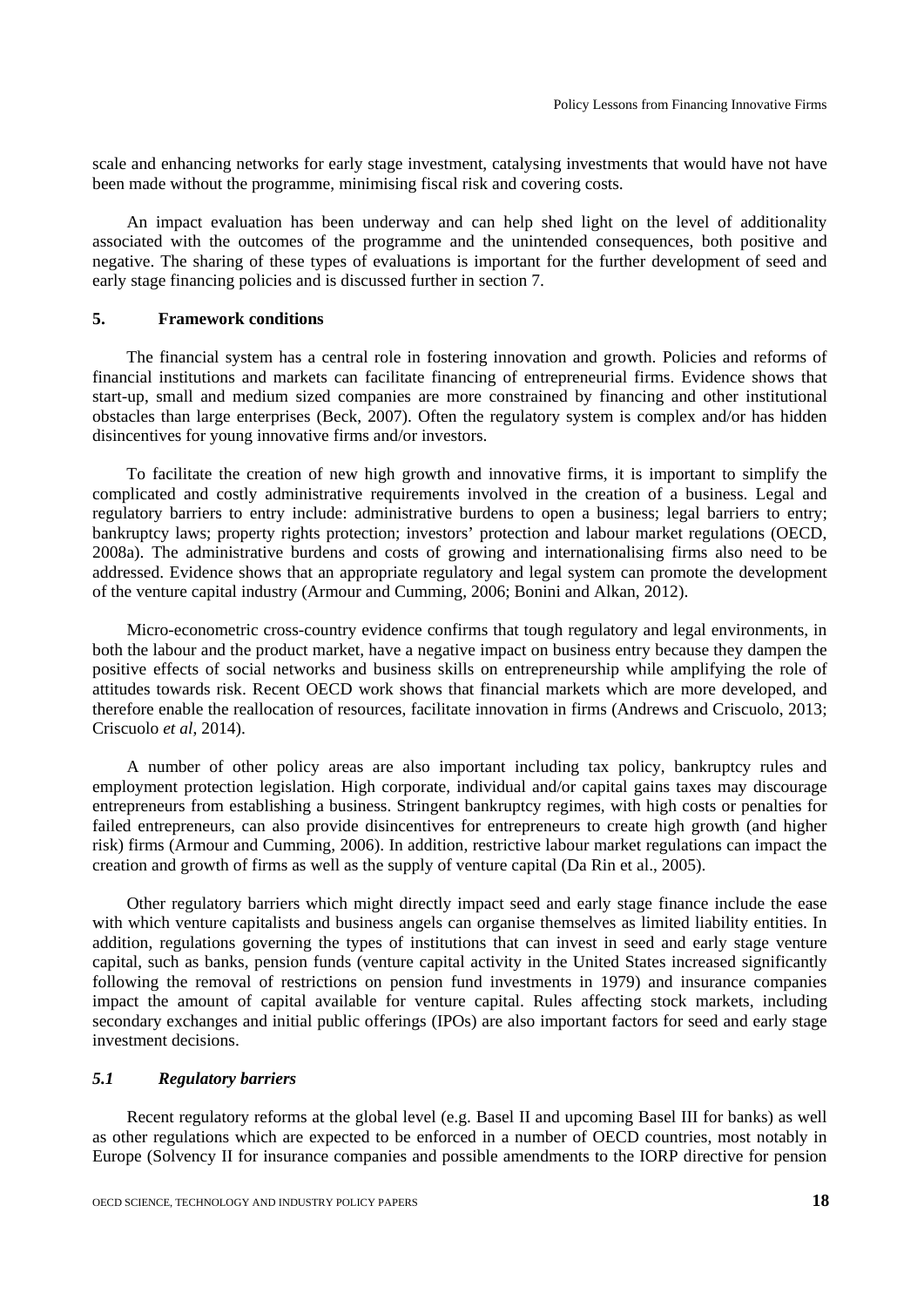scale and enhancing networks for early stage investment, catalysing investments that would have not have been made without the programme, minimising fiscal risk and covering costs.

An impact evaluation has been underway and can help shed light on the level of additionality associated with the outcomes of the programme and the unintended consequences, both positive and negative. The sharing of these types of evaluations is important for the further development of seed and early stage financing policies and is discussed further in section 7.

## <span id="page-18-0"></span>**5. Framework conditions**

The financial system has a central role in fostering innovation and growth. Policies and reforms of financial institutions and markets can facilitate financing of entrepreneurial firms. Evidence shows that start-up, small and medium sized companies are more constrained by financing and other institutional obstacles than large enterprises (Beck, 2007). Often the regulatory system is complex and/or has hidden disincentives for young innovative firms and/or investors.

To facilitate the creation of new high growth and innovative firms, it is important to simplify the complicated and costly administrative requirements involved in the creation of a business. Legal and regulatory barriers to entry include: administrative burdens to open a business; legal barriers to entry; bankruptcy laws; property rights protection; investors' protection and labour market regulations (OECD, 2008a). The administrative burdens and costs of growing and internationalising firms also need to be addressed. Evidence shows that an appropriate regulatory and legal system can promote the development of the venture capital industry (Armour and Cumming, 2006; Bonini and Alkan, 2012).

Micro-econometric cross-country evidence confirms that tough regulatory and legal environments, in both the labour and the product market, have a negative impact on business entry because they dampen the positive effects of social networks and business skills on entrepreneurship while amplifying the role of attitudes towards risk. Recent OECD work shows that financial markets which are more developed, and therefore enable the reallocation of resources, facilitate innovation in firms (Andrews and Criscuolo, 2013; Criscuolo *et al*, 2014).

A number of other policy areas are also important including tax policy, bankruptcy rules and employment protection legislation. High corporate, individual and/or capital gains taxes may discourage entrepreneurs from establishing a business. Stringent bankruptcy regimes, with high costs or penalties for failed entrepreneurs, can also provide disincentives for entrepreneurs to create high growth (and higher risk) firms (Armour and Cumming, 2006). In addition, restrictive labour market regulations can impact the creation and growth of firms as well as the supply of venture capital (Da Rin et al., 2005).

Other regulatory barriers which might directly impact seed and early stage finance include the ease with which venture capitalists and business angels can organise themselves as limited liability entities. In addition, regulations governing the types of institutions that can invest in seed and early stage venture capital, such as banks, pension funds (venture capital activity in the United States increased significantly following the removal of restrictions on pension fund investments in 1979) and insurance companies impact the amount of capital available for venture capital. Rules affecting stock markets, including secondary exchanges and initial public offerings (IPOs) are also important factors for seed and early stage investment decisions.

# <span id="page-18-1"></span>*5.1 Regulatory barriers*

Recent regulatory reforms at the global level (e.g. Basel II and upcoming Basel III for banks) as well as other regulations which are expected to be enforced in a number of OECD countries, most notably in Europe (Solvency II for insurance companies and possible amendments to the IORP directive for pension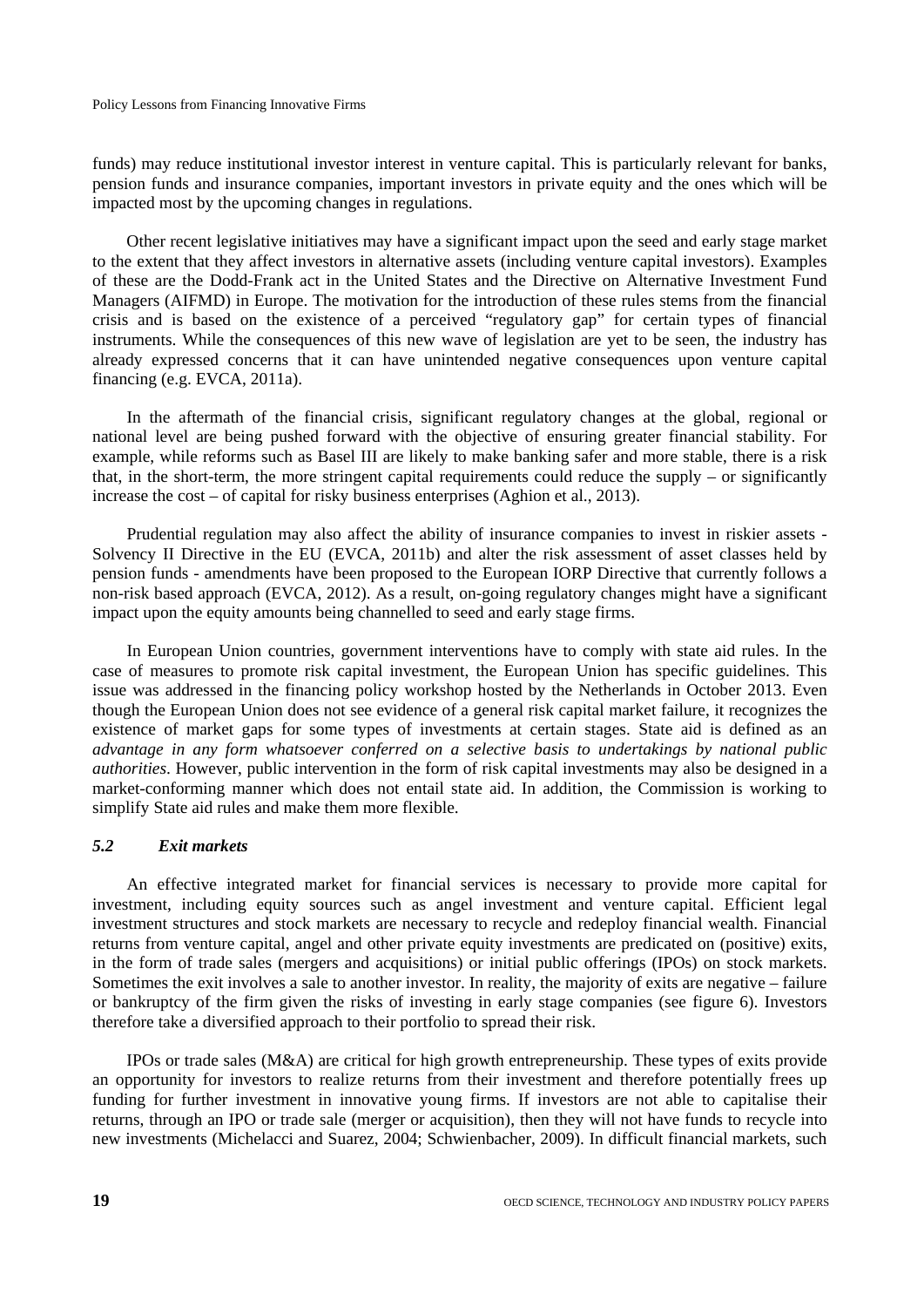funds) may reduce institutional investor interest in venture capital. This is particularly relevant for banks, pension funds and insurance companies, important investors in private equity and the ones which will be impacted most by the upcoming changes in regulations.

Other recent legislative initiatives may have a significant impact upon the seed and early stage market to the extent that they affect investors in alternative assets (including venture capital investors). Examples of these are the Dodd-Frank act in the United States and the Directive on Alternative Investment Fund Managers (AIFMD) in Europe. The motivation for the introduction of these rules stems from the financial crisis and is based on the existence of a perceived "regulatory gap" for certain types of financial instruments. While the consequences of this new wave of legislation are yet to be seen, the industry has already expressed concerns that it can have unintended negative consequences upon venture capital financing (e.g. EVCA, 2011a).

In the aftermath of the financial crisis, significant regulatory changes at the global, regional or national level are being pushed forward with the objective of ensuring greater financial stability. For example, while reforms such as Basel III are likely to make banking safer and more stable, there is a risk that, in the short-term, the more stringent capital requirements could reduce the supply – or significantly increase the cost – of capital for risky business enterprises (Aghion et al., 2013).

Prudential regulation may also affect the ability of insurance companies to invest in riskier assets - Solvency II Directive in the EU (EVCA, 2011b) and alter the risk assessment of asset classes held by pension funds - amendments have been proposed to the European IORP Directive that currently follows a non-risk based approach (EVCA, 2012). As a result, on-going regulatory changes might have a significant impact upon the equity amounts being channelled to seed and early stage firms.

In European Union countries, government interventions have to comply with state aid rules. In the case of measures to promote risk capital investment, the European Union has specific guidelines. This issue was addressed in the financing policy workshop hosted by the Netherlands in October 2013. Even though the European Union does not see evidence of a general risk capital market failure, it recognizes the existence of market gaps for some types of investments at certain stages. State aid is defined as an *advantage in any form whatsoever conferred on a selective basis to undertakings by national public authorities*. However, public intervention in the form of risk capital investments may also be designed in a market-conforming manner which does not entail state aid. In addition, the Commission is working to simplify State aid rules and make them more flexible.

## <span id="page-19-0"></span>*5.2 Exit markets*

An effective integrated market for financial services is necessary to provide more capital for investment, including equity sources such as angel investment and venture capital. Efficient legal investment structures and stock markets are necessary to recycle and redeploy financial wealth. Financial returns from venture capital, angel and other private equity investments are predicated on (positive) exits, in the form of trade sales (mergers and acquisitions) or initial public offerings (IPOs) on stock markets. Sometimes the exit involves a sale to another investor. In reality, the majority of exits are negative – failure or bankruptcy of the firm given the risks of investing in early stage companies (see figure 6). Investors therefore take a diversified approach to their portfolio to spread their risk.

IPOs or trade sales (M&A) are critical for high growth entrepreneurship. These types of exits provide an opportunity for investors to realize returns from their investment and therefore potentially frees up funding for further investment in innovative young firms. If investors are not able to capitalise their returns, through an IPO or trade sale (merger or acquisition), then they will not have funds to recycle into new investments (Michelacci and Suarez, 2004; Schwienbacher, 2009). In difficult financial markets, such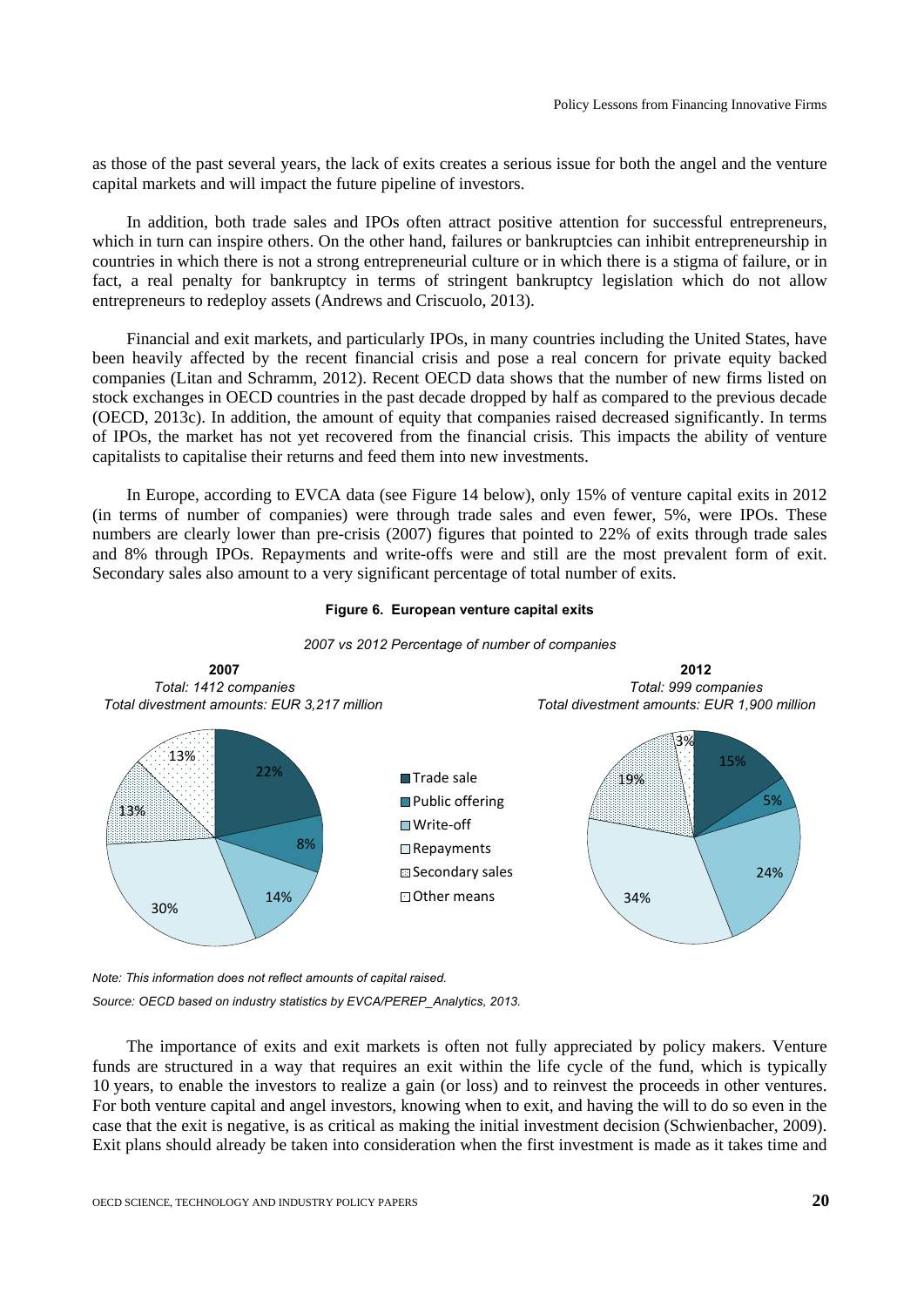as those of the past several years, the lack of exits creates a serious issue for both the angel and the venture capital markets and will impact the future pipeline of investors.

In addition, both trade sales and IPOs often attract positive attention for successful entrepreneurs, which in turn can inspire others. On the other hand, failures or bankruptcies can inhibit entrepreneurship in countries in which there is not a strong entrepreneurial culture or in which there is a stigma of failure, or in fact, a real penalty for bankruptcy in terms of stringent bankruptcy legislation which do not allow entrepreneurs to redeploy assets (Andrews and Criscuolo, 2013).

Financial and exit markets, and particularly IPOs, in many countries including the United States, have been heavily affected by the recent financial crisis and pose a real concern for private equity backed companies (Litan and Schramm, 2012). Recent OECD data shows that the number of new firms listed on stock exchanges in OECD countries in the past decade dropped by half as compared to the previous decade (OECD, 2013c). In addition, the amount of equity that companies raised decreased significantly. In terms of IPOs, the market has not yet recovered from the financial crisis. This impacts the ability of venture capitalists to capitalise their returns and feed them into new investments.

In Europe, according to EVCA data (see Figure 14 below), only 15% of venture capital exits in 2012 (in terms of number of companies) were through trade sales and even fewer, 5%, were IPOs. These numbers are clearly lower than pre-crisis (2007) figures that pointed to 22% of exits through trade sales and 8% through IPOs. Repayments and write-offs were and still are the most prevalent form of exit. Secondary sales also amount to a very significant percentage of total number of exits.

#### **Figure 6. European venture capital exits**



*2007 vs 2012 Percentage of number of companies*

*Note: This information does not reflect amounts of capital raised. Source: OECD based on industry statistics by EVCA/PEREP\_Analytics, 2013.*

The importance of exits and exit markets is often not fully appreciated by policy makers. Venture funds are structured in a way that requires an exit within the life cycle of the fund, which is typically 10 years, to enable the investors to realize a gain (or loss) and to reinvest the proceeds in other ventures. For both venture capital and angel investors, knowing when to exit, and having the will to do so even in the case that the exit is negative, is as critical as making the initial investment decision (Schwienbacher, 2009). Exit plans should already be taken into consideration when the first investment is made as it takes time and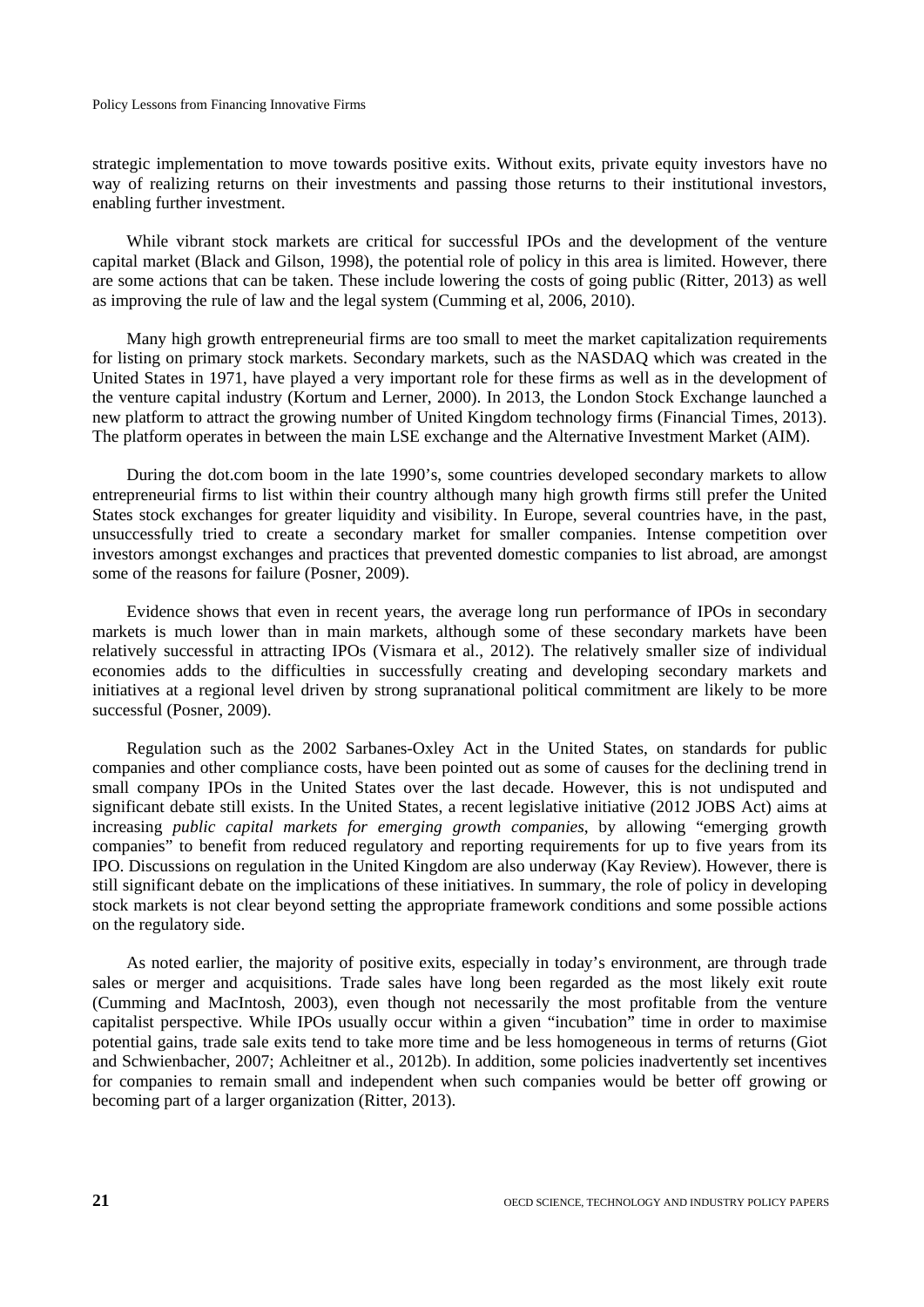strategic implementation to move towards positive exits. Without exits, private equity investors have no way of realizing returns on their investments and passing those returns to their institutional investors, enabling further investment.

While vibrant stock markets are critical for successful IPOs and the development of the venture capital market (Black and Gilson, 1998), the potential role of policy in this area is limited. However, there are some actions that can be taken. These include lowering the costs of going public (Ritter, 2013) as well as improving the rule of law and the legal system (Cumming et al, 2006, 2010).

Many high growth entrepreneurial firms are too small to meet the market capitalization requirements for listing on primary stock markets. Secondary markets, such as the NASDAQ which was created in the United States in 1971, have played a very important role for these firms as well as in the development of the venture capital industry (Kortum and Lerner, 2000). In 2013, the London Stock Exchange launched a new platform to attract the growing number of United Kingdom technology firms (Financial Times, 2013). The platform operates in between the main LSE exchange and the Alternative Investment Market (AIM).

During the dot.com boom in the late 1990's, some countries developed secondary markets to allow entrepreneurial firms to list within their country although many high growth firms still prefer the United States stock exchanges for greater liquidity and visibility. In Europe, several countries have, in the past, unsuccessfully tried to create a secondary market for smaller companies. Intense competition over investors amongst exchanges and practices that prevented domestic companies to list abroad, are amongst some of the reasons for failure (Posner, 2009).

Evidence shows that even in recent years, the average long run performance of IPOs in secondary markets is much lower than in main markets, although some of these secondary markets have been relatively successful in attracting IPOs (Vismara et al., 2012). The relatively smaller size of individual economies adds to the difficulties in successfully creating and developing secondary markets and initiatives at a regional level driven by strong supranational political commitment are likely to be more successful (Posner, 2009).

Regulation such as the 2002 Sarbanes-Oxley Act in the United States, on standards for public companies and other compliance costs, have been pointed out as some of causes for the declining trend in small company IPOs in the United States over the last decade. However, this is not undisputed and significant debate still exists. In the United States, a recent legislative initiative (2012 JOBS Act) aims at increasing *public capital markets for emerging growth companies*, by allowing "emerging growth companies" to benefit from reduced regulatory and reporting requirements for up to five years from its IPO. Discussions on regulation in the United Kingdom are also underway (Kay Review). However, there is still significant debate on the implications of these initiatives. In summary, the role of policy in developing stock markets is not clear beyond setting the appropriate framework conditions and some possible actions on the regulatory side.

As noted earlier, the majority of positive exits, especially in today's environment, are through trade sales or merger and acquisitions. Trade sales have long been regarded as the most likely exit route (Cumming and MacIntosh, 2003), even though not necessarily the most profitable from the venture capitalist perspective. While IPOs usually occur within a given "incubation" time in order to maximise potential gains, trade sale exits tend to take more time and be less homogeneous in terms of returns (Giot and Schwienbacher, 2007; Achleitner et al., 2012b). In addition, some policies inadvertently set incentives for companies to remain small and independent when such companies would be better off growing or becoming part of a larger organization (Ritter, 2013).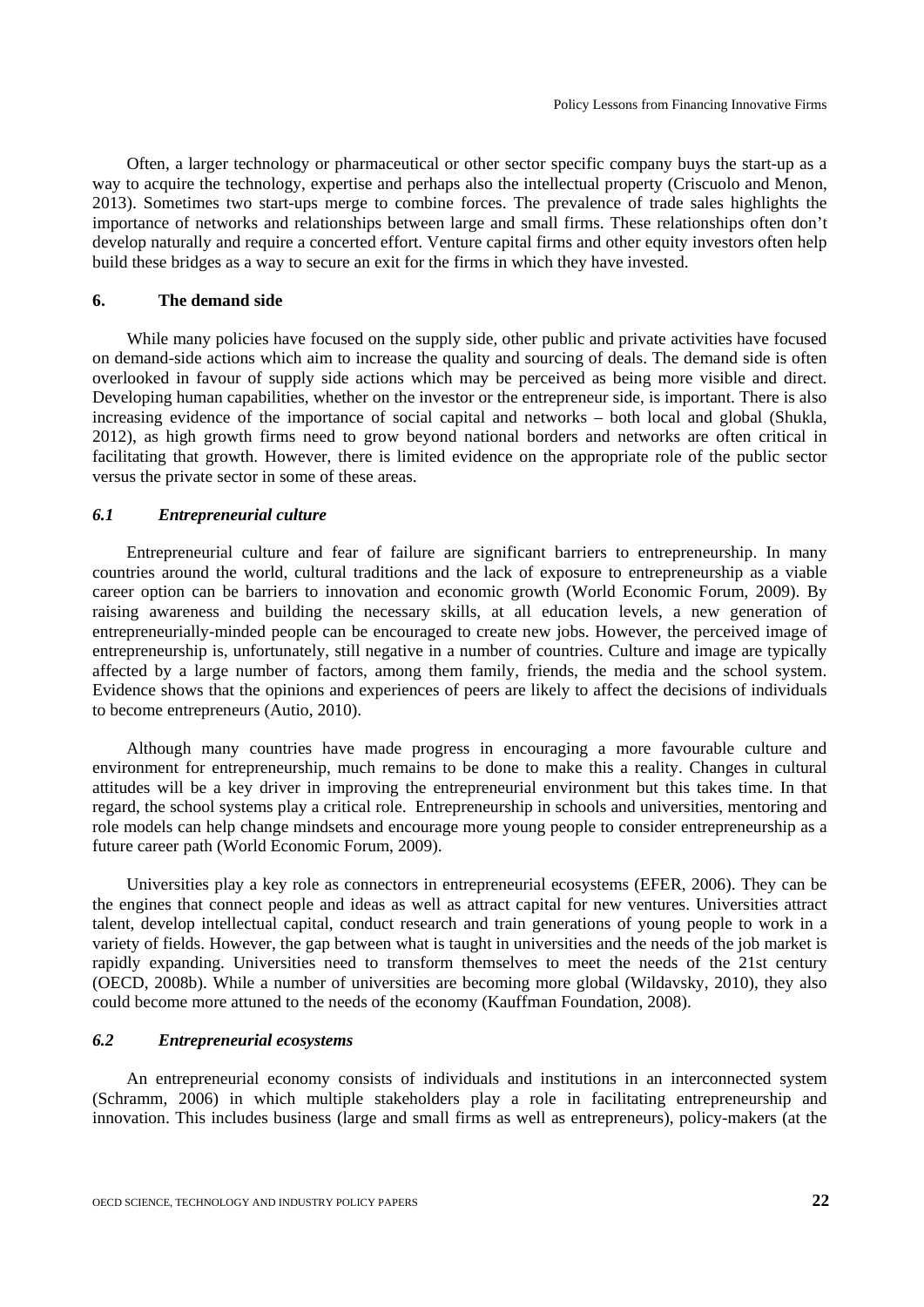Often, a larger technology or pharmaceutical or other sector specific company buys the start-up as a way to acquire the technology, expertise and perhaps also the intellectual property (Criscuolo and Menon, 2013). Sometimes two start-ups merge to combine forces. The prevalence of trade sales highlights the importance of networks and relationships between large and small firms. These relationships often don't develop naturally and require a concerted effort. Venture capital firms and other equity investors often help build these bridges as a way to secure an exit for the firms in which they have invested.

## <span id="page-22-0"></span>**6. The demand side**

While many policies have focused on the supply side, other public and private activities have focused on demand-side actions which aim to increase the quality and sourcing of deals. The demand side is often overlooked in favour of supply side actions which may be perceived as being more visible and direct. Developing human capabilities, whether on the investor or the entrepreneur side, is important. There is also increasing evidence of the importance of social capital and networks – both local and global (Shukla, 2012), as high growth firms need to grow beyond national borders and networks are often critical in facilitating that growth. However, there is limited evidence on the appropriate role of the public sector versus the private sector in some of these areas.

## <span id="page-22-1"></span>*6.1 Entrepreneurial culture*

Entrepreneurial culture and fear of failure are significant barriers to entrepreneurship. In many countries around the world, cultural traditions and the lack of exposure to entrepreneurship as a viable career option can be barriers to innovation and economic growth (World Economic Forum, 2009). By raising awareness and building the necessary skills, at all education levels, a new generation of entrepreneurially-minded people can be encouraged to create new jobs. However, the perceived image of entrepreneurship is, unfortunately, still negative in a number of countries. Culture and image are typically affected by a large number of factors, among them family, friends, the media and the school system. Evidence shows that the opinions and experiences of peers are likely to affect the decisions of individuals to become entrepreneurs (Autio, 2010).

Although many countries have made progress in encouraging a more favourable culture and environment for entrepreneurship, much remains to be done to make this a reality. Changes in cultural attitudes will be a key driver in improving the entrepreneurial environment but this takes time. In that regard, the school systems play a critical role. Entrepreneurship in schools and universities, mentoring and role models can help change mindsets and encourage more young people to consider entrepreneurship as a future career path (World Economic Forum, 2009).

Universities play a key role as connectors in entrepreneurial ecosystems (EFER, 2006). They can be the engines that connect people and ideas as well as attract capital for new ventures. Universities attract talent, develop intellectual capital, conduct research and train generations of young people to work in a variety of fields. However, the gap between what is taught in universities and the needs of the job market is rapidly expanding. Universities need to transform themselves to meet the needs of the 21st century (OECD, 2008b). While a number of universities are becoming more global (Wildavsky, 2010), they also could become more attuned to the needs of the economy (Kauffman Foundation, 2008).

## <span id="page-22-2"></span>*6.2 Entrepreneurial ecosystems*

An entrepreneurial economy consists of individuals and institutions in an interconnected system (Schramm, 2006) in which multiple stakeholders play a role in facilitating entrepreneurship and innovation. This includes business (large and small firms as well as entrepreneurs), policy-makers (at the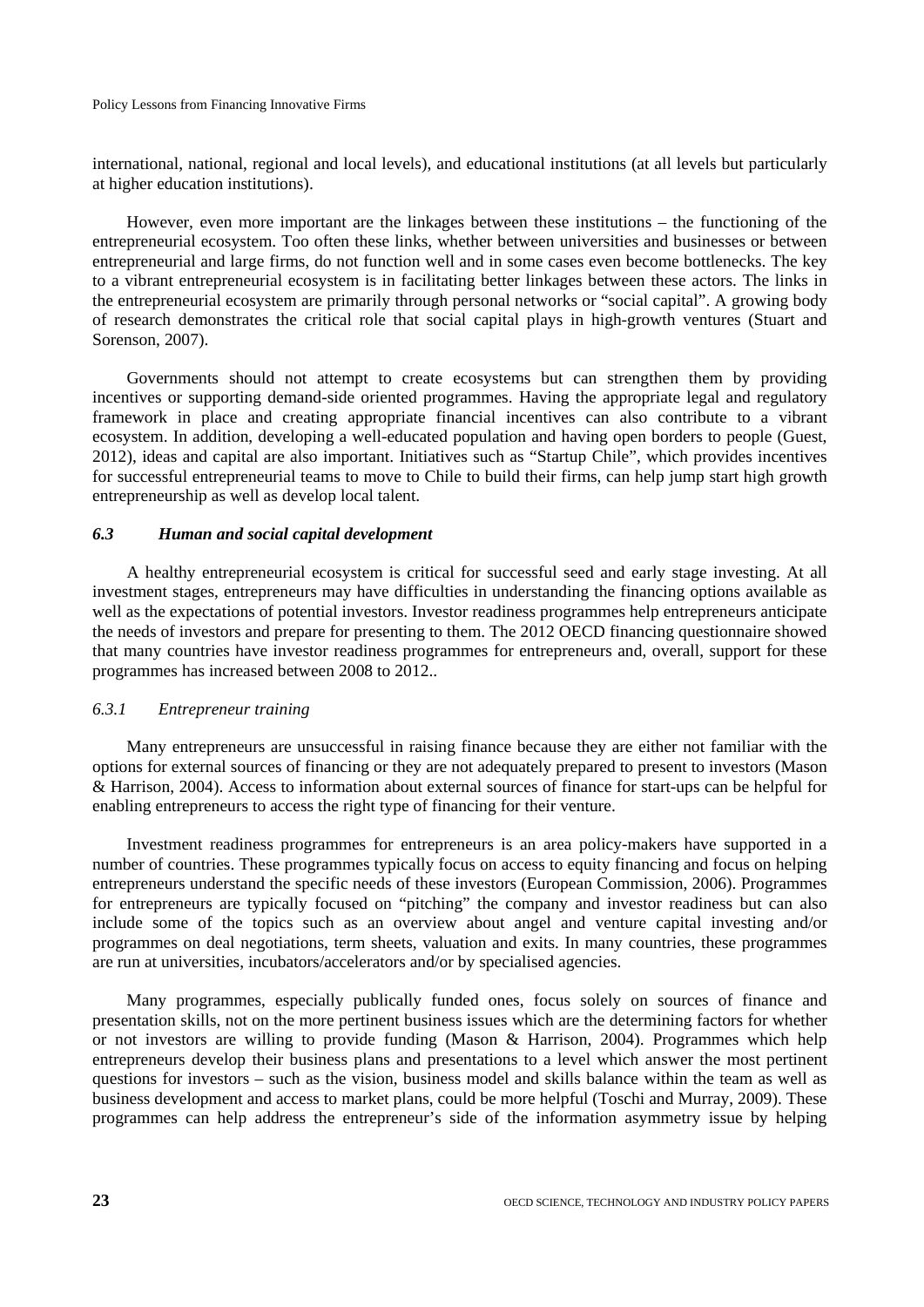international, national, regional and local levels), and educational institutions (at all levels but particularly at higher education institutions).

However, even more important are the linkages between these institutions – the functioning of the entrepreneurial ecosystem. Too often these links, whether between universities and businesses or between entrepreneurial and large firms, do not function well and in some cases even become bottlenecks. The key to a vibrant entrepreneurial ecosystem is in facilitating better linkages between these actors. The links in the entrepreneurial ecosystem are primarily through personal networks or "social capital". A growing body of research demonstrates the critical role that social capital plays in high-growth ventures (Stuart and Sorenson, 2007).

Governments should not attempt to create ecosystems but can strengthen them by providing incentives or supporting demand-side oriented programmes. Having the appropriate legal and regulatory framework in place and creating appropriate financial incentives can also contribute to a vibrant ecosystem. In addition, developing a well-educated population and having open borders to people (Guest, 2012), ideas and capital are also important. Initiatives such as "Startup Chile", which provides incentives for successful entrepreneurial teams to move to Chile to build their firms, can help jump start high growth entrepreneurship as well as develop local talent.

## <span id="page-23-0"></span>*6.3 Human and social capital development*

A healthy entrepreneurial ecosystem is critical for successful seed and early stage investing. At all investment stages, entrepreneurs may have difficulties in understanding the financing options available as well as the expectations of potential investors. Investor readiness programmes help entrepreneurs anticipate the needs of investors and prepare for presenting to them. The 2012 OECD financing questionnaire showed that many countries have investor readiness programmes for entrepreneurs and, overall, support for these programmes has increased between 2008 to 2012..

## *6.3.1 Entrepreneur training*

Many entrepreneurs are unsuccessful in raising finance because they are either not familiar with the options for external sources of financing or they are not adequately prepared to present to investors (Mason & Harrison, 2004). Access to information about external sources of finance for start-ups can be helpful for enabling entrepreneurs to access the right type of financing for their venture.

Investment readiness programmes for entrepreneurs is an area policy-makers have supported in a number of countries. These programmes typically focus on access to equity financing and focus on helping entrepreneurs understand the specific needs of these investors (European Commission, 2006). Programmes for entrepreneurs are typically focused on "pitching" the company and investor readiness but can also include some of the topics such as an overview about angel and venture capital investing and/or programmes on deal negotiations, term sheets, valuation and exits. In many countries, these programmes are run at universities, incubators/accelerators and/or by specialised agencies.

Many programmes, especially publically funded ones, focus solely on sources of finance and presentation skills, not on the more pertinent business issues which are the determining factors for whether or not investors are willing to provide funding (Mason & Harrison, 2004). Programmes which help entrepreneurs develop their business plans and presentations to a level which answer the most pertinent questions for investors – such as the vision, business model and skills balance within the team as well as business development and access to market plans, could be more helpful (Toschi and Murray, 2009). These programmes can help address the entrepreneur's side of the information asymmetry issue by helping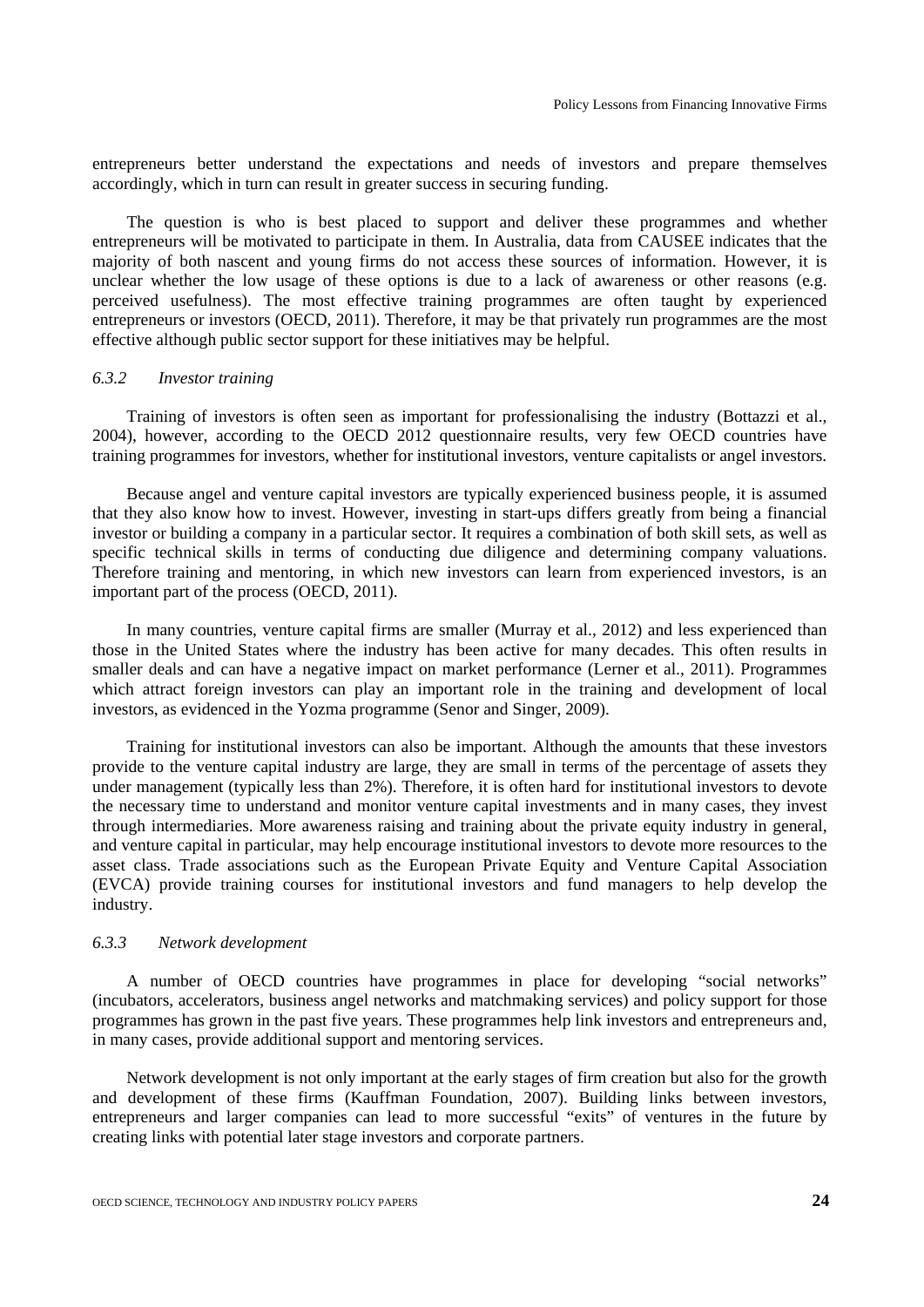entrepreneurs better understand the expectations and needs of investors and prepare themselves accordingly, which in turn can result in greater success in securing funding.

The question is who is best placed to support and deliver these programmes and whether entrepreneurs will be motivated to participate in them. In Australia, data from CAUSEE indicates that the majority of both nascent and young firms do not access these sources of information. However, it is unclear whether the low usage of these options is due to a lack of awareness or other reasons (e.g. perceived usefulness). The most effective training programmes are often taught by experienced entrepreneurs or investors (OECD, 2011). Therefore, it may be that privately run programmes are the most effective although public sector support for these initiatives may be helpful.

## *6.3.2 Investor training*

Training of investors is often seen as important for professionalising the industry (Bottazzi et al., 2004), however, according to the OECD 2012 questionnaire results, very few OECD countries have training programmes for investors, whether for institutional investors, venture capitalists or angel investors.

Because angel and venture capital investors are typically experienced business people, it is assumed that they also know how to invest. However, investing in start-ups differs greatly from being a financial investor or building a company in a particular sector. It requires a combination of both skill sets, as well as specific technical skills in terms of conducting due diligence and determining company valuations. Therefore training and mentoring, in which new investors can learn from experienced investors, is an important part of the process (OECD, 2011).

In many countries, venture capital firms are smaller (Murray et al., 2012) and less experienced than those in the United States where the industry has been active for many decades. This often results in smaller deals and can have a negative impact on market performance (Lerner et al., 2011). Programmes which attract foreign investors can play an important role in the training and development of local investors, as evidenced in the Yozma programme (Senor and Singer, 2009).

Training for institutional investors can also be important. Although the amounts that these investors provide to the venture capital industry are large, they are small in terms of the percentage of assets they under management (typically less than 2%). Therefore, it is often hard for institutional investors to devote the necessary time to understand and monitor venture capital investments and in many cases, they invest through intermediaries. More awareness raising and training about the private equity industry in general, and venture capital in particular, may help encourage institutional investors to devote more resources to the asset class. Trade associations such as the European Private Equity and Venture Capital Association (EVCA) provide training courses for institutional investors and fund managers to help develop the industry.

## *6.3.3 Network development*

A number of OECD countries have programmes in place for developing "social networks" (incubators, accelerators, business angel networks and matchmaking services) and policy support for those programmes has grown in the past five years. These programmes help link investors and entrepreneurs and, in many cases, provide additional support and mentoring services.

Network development is not only important at the early stages of firm creation but also for the growth and development of these firms (Kauffman Foundation, 2007). Building links between investors, entrepreneurs and larger companies can lead to more successful "exits" of ventures in the future by creating links with potential later stage investors and corporate partners.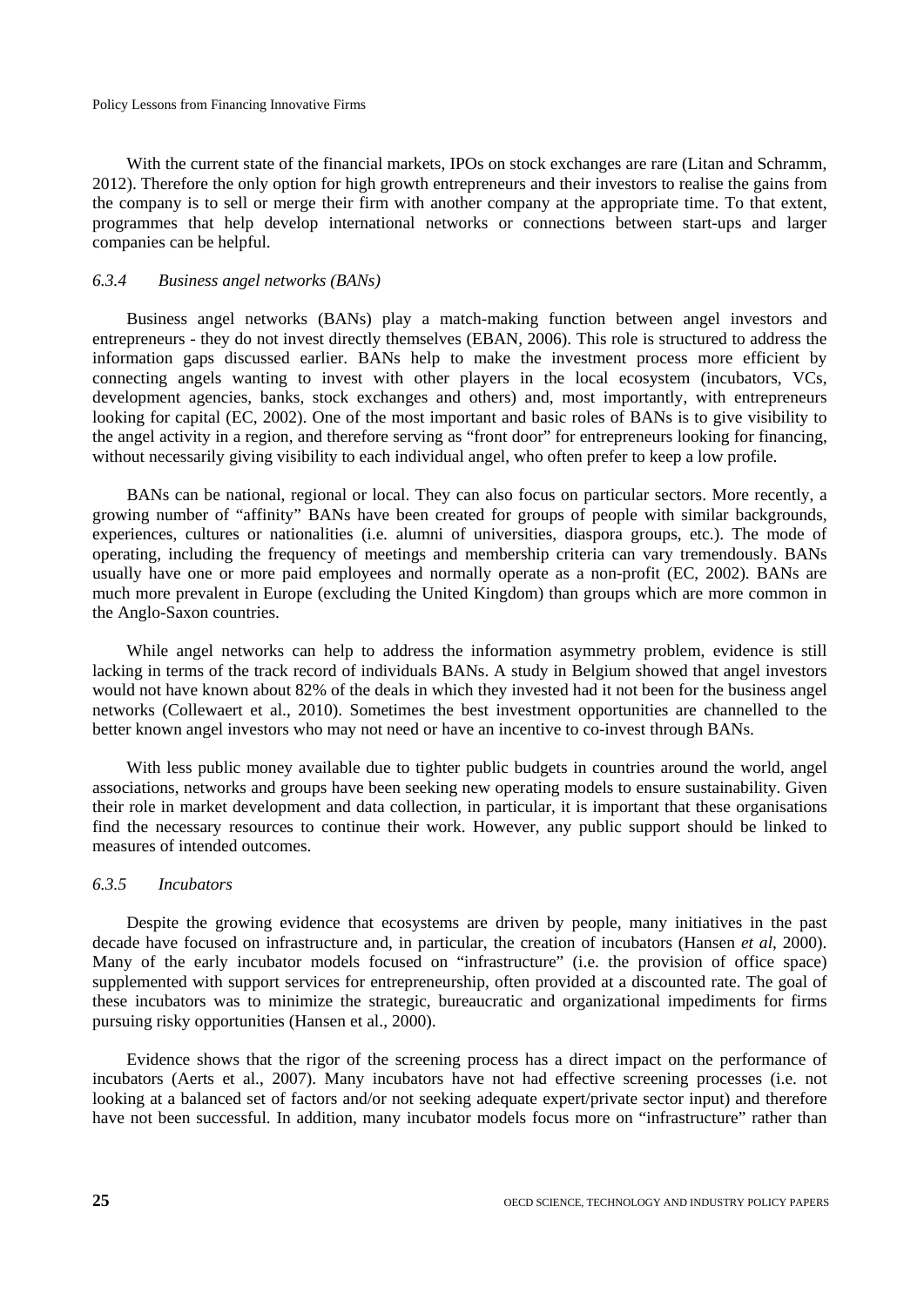With the current state of the financial markets, IPOs on stock exchanges are rare (Litan and Schramm, 2012). Therefore the only option for high growth entrepreneurs and their investors to realise the gains from the company is to sell or merge their firm with another company at the appropriate time. To that extent, programmes that help develop international networks or connections between start-ups and larger companies can be helpful.

## *6.3.4 Business angel networks (BANs)*

Business angel networks (BANs) play a match-making function between angel investors and entrepreneurs - they do not invest directly themselves (EBAN, 2006). This role is structured to address the information gaps discussed earlier. BANs help to make the investment process more efficient by connecting angels wanting to invest with other players in the local ecosystem (incubators, VCs, development agencies, banks, stock exchanges and others) and, most importantly, with entrepreneurs looking for capital (EC, 2002). One of the most important and basic roles of BANs is to give visibility to the angel activity in a region, and therefore serving as "front door" for entrepreneurs looking for financing, without necessarily giving visibility to each individual angel, who often prefer to keep a low profile.

BANs can be national, regional or local. They can also focus on particular sectors. More recently, a growing number of "affinity" BANs have been created for groups of people with similar backgrounds, experiences, cultures or nationalities (i.e*.* alumni of universities, diaspora groups, etc.). The mode of operating, including the frequency of meetings and membership criteria can vary tremendously. BANs usually have one or more paid employees and normally operate as a non-profit (EC, 2002). BANs are much more prevalent in Europe (excluding the United Kingdom) than groups which are more common in the Anglo-Saxon countries.

While angel networks can help to address the information asymmetry problem, evidence is still lacking in terms of the track record of individuals BANs. A study in Belgium showed that angel investors would not have known about 82% of the deals in which they invested had it not been for the business angel networks (Collewaert et al., 2010). Sometimes the best investment opportunities are channelled to the better known angel investors who may not need or have an incentive to co-invest through BANs.

With less public money available due to tighter public budgets in countries around the world, angel associations, networks and groups have been seeking new operating models to ensure sustainability. Given their role in market development and data collection, in particular, it is important that these organisations find the necessary resources to continue their work. However, any public support should be linked to measures of intended outcomes.

#### *6.3.5 Incubators*

Despite the growing evidence that ecosystems are driven by people, many initiatives in the past decade have focused on infrastructure and, in particular, the creation of incubators (Hansen *et al*, 2000). Many of the early incubator models focused on "infrastructure" (i.e. the provision of office space) supplemented with support services for entrepreneurship, often provided at a discounted rate. The goal of these incubators was to minimize the strategic, bureaucratic and organizational impediments for firms pursuing risky opportunities (Hansen et al., 2000).

Evidence shows that the rigor of the screening process has a direct impact on the performance of incubators (Aerts et al., 2007). Many incubators have not had effective screening processes (i.e. not looking at a balanced set of factors and/or not seeking adequate expert/private sector input) and therefore have not been successful. In addition, many incubator models focus more on "infrastructure" rather than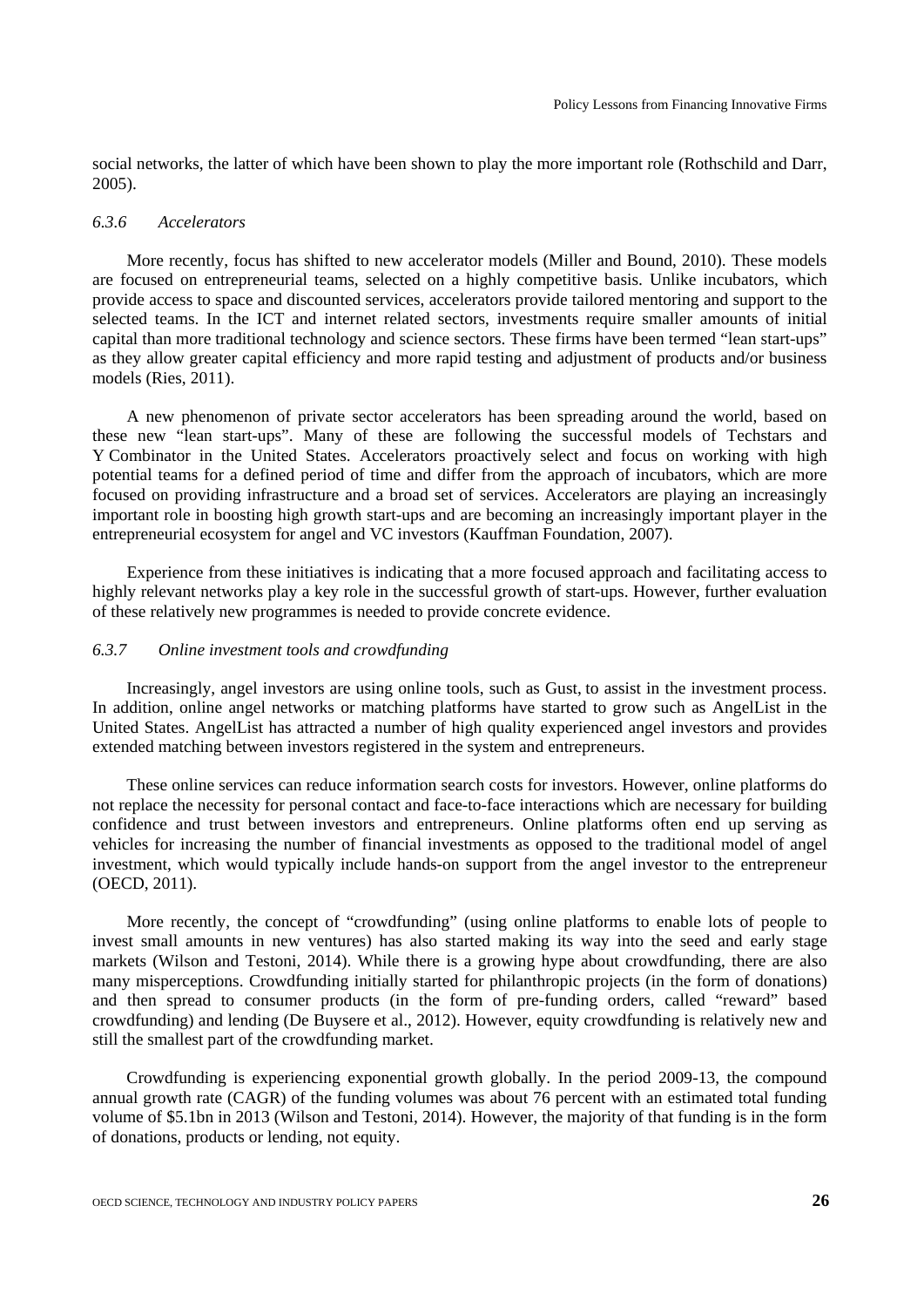social networks, the latter of which have been shown to play the more important role (Rothschild and Darr, 2005).

#### *6.3.6 Accelerators*

More recently, focus has shifted to new accelerator models (Miller and Bound, 2010). These models are focused on entrepreneurial teams, selected on a highly competitive basis. Unlike incubators, which provide access to space and discounted services, accelerators provide tailored mentoring and support to the selected teams. In the ICT and internet related sectors, investments require smaller amounts of initial capital than more traditional technology and science sectors. These firms have been termed "lean start-ups" as they allow greater capital efficiency and more rapid testing and adjustment of products and/or business models (Ries, 2011).

A new phenomenon of private sector accelerators has been spreading around the world, based on these new "lean start-ups". Many of these are following the successful models of Techstars and Y Combinator in the United States. Accelerators proactively select and focus on working with high potential teams for a defined period of time and differ from the approach of incubators, which are more focused on providing infrastructure and a broad set of services. Accelerators are playing an increasingly important role in boosting high growth start-ups and are becoming an increasingly important player in the entrepreneurial ecosystem for angel and VC investors (Kauffman Foundation, 2007).

Experience from these initiatives is indicating that a more focused approach and facilitating access to highly relevant networks play a key role in the successful growth of start-ups. However, further evaluation of these relatively new programmes is needed to provide concrete evidence.

## *6.3.7 Online investment tools and crowdfunding*

Increasingly, angel investors are using online tools, such as Gust, to assist in the investment process. In addition, online angel networks or matching platforms have started to grow such as AngelList in the United States. AngelList has attracted a number of high quality experienced angel investors and provides extended matching between investors registered in the system and entrepreneurs.

These online services can reduce information search costs for investors. However, online platforms do not replace the necessity for personal contact and face-to-face interactions which are necessary for building confidence and trust between investors and entrepreneurs. Online platforms often end up serving as vehicles for increasing the number of financial investments as opposed to the traditional model of angel investment, which would typically include hands-on support from the angel investor to the entrepreneur (OECD, 2011).

More recently, the concept of "crowdfunding" (using online platforms to enable lots of people to invest small amounts in new ventures) has also started making its way into the seed and early stage markets (Wilson and Testoni, 2014). While there is a growing hype about crowdfunding, there are also many misperceptions. Crowdfunding initially started for philanthropic projects (in the form of donations) and then spread to consumer products (in the form of pre-funding orders, called "reward" based crowdfunding) and lending (De Buysere et al., 2012). However, equity crowdfunding is relatively new and still the smallest part of the crowdfunding market.

Crowdfunding is experiencing exponential growth globally. In the period 2009-13, the compound annual growth rate (CAGR) of the funding volumes was about 76 percent with an estimated total funding volume of \$5.1bn in 2013 (Wilson and Testoni, 2014). However, the majority of that funding is in the form of donations, products or lending, not equity.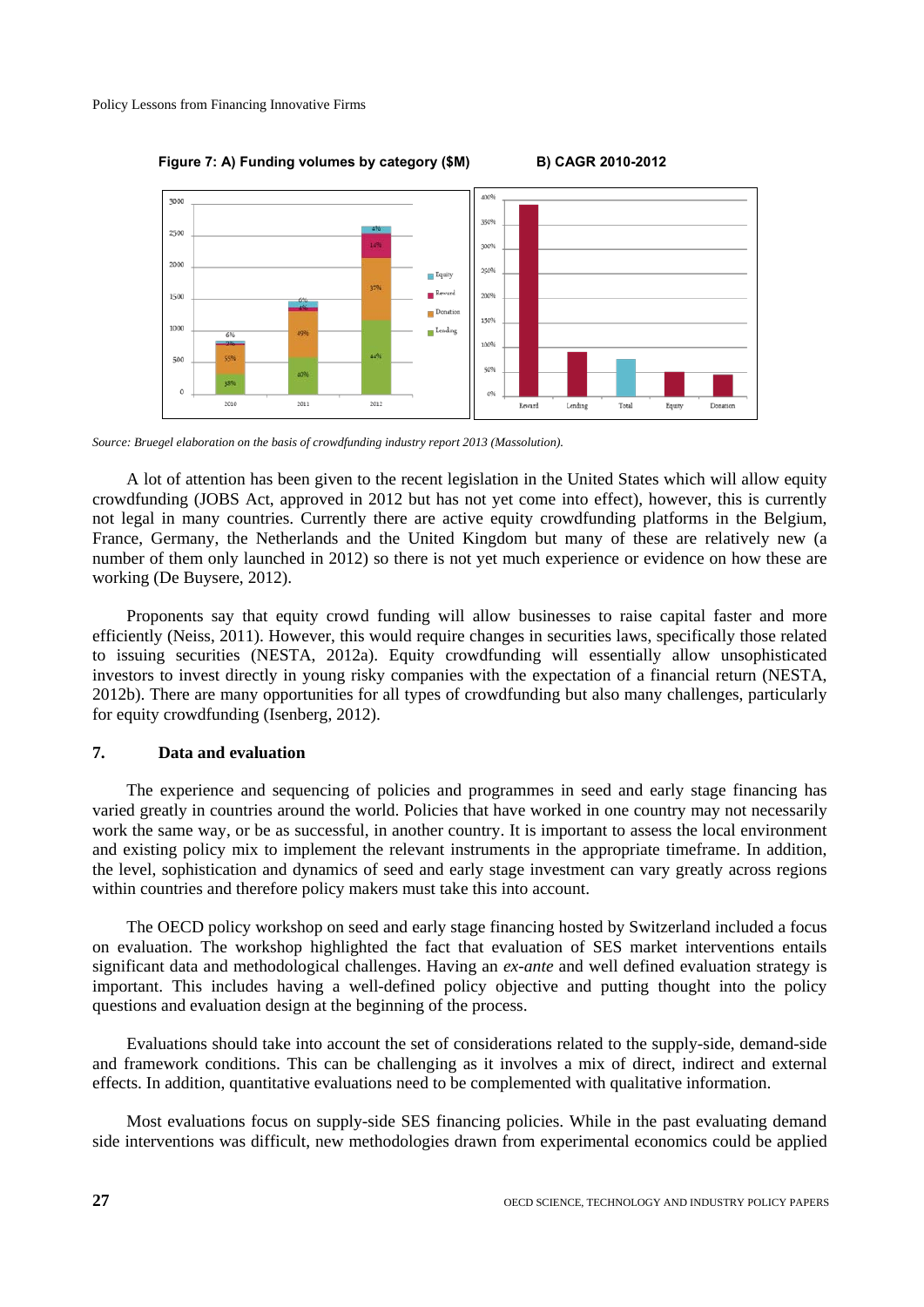

Figure 7: A) Funding volumes by category (\$M) B) CAGR 2010-2012

*Source: Bruegel elaboration on the basis of crowdfunding industry report 2013 (Massolution).*

A lot of attention has been given to the recent legislation in the United States which will allow equity crowdfunding (JOBS Act, approved in 2012 but has not yet come into effect), however, this is currently not legal in many countries. Currently there are active equity crowdfunding platforms in the Belgium, France, Germany, the Netherlands and the United Kingdom but many of these are relatively new (a number of them only launched in 2012) so there is not yet much experience or evidence on how these are working (De Buysere, 2012).

Proponents say that equity crowd funding will allow businesses to raise capital faster and more efficiently (Neiss, 2011). However, this would require changes in securities laws, specifically those related to issuing securities (NESTA, 2012a). Equity crowdfunding will essentially allow unsophisticated investors to invest directly in young risky companies with the expectation of a financial return (NESTA, 2012b). There are many opportunities for all types of crowdfunding but also many challenges, particularly for equity crowdfunding (Isenberg, 2012).

#### <span id="page-27-0"></span>**7. Data and evaluation**

The experience and sequencing of policies and programmes in seed and early stage financing has varied greatly in countries around the world. Policies that have worked in one country may not necessarily work the same way, or be as successful, in another country. It is important to assess the local environment and existing policy mix to implement the relevant instruments in the appropriate timeframe. In addition, the level, sophistication and dynamics of seed and early stage investment can vary greatly across regions within countries and therefore policy makers must take this into account.

The OECD policy workshop on seed and early stage financing hosted by Switzerland included a focus on evaluation. The workshop highlighted the fact that evaluation of SES market interventions entails significant data and methodological challenges. Having an *ex-ante* and well defined evaluation strategy is important. This includes having a well-defined policy objective and putting thought into the policy questions and evaluation design at the beginning of the process.

Evaluations should take into account the set of considerations related to the supply-side, demand-side and framework conditions. This can be challenging as it involves a mix of direct, indirect and external effects. In addition, quantitative evaluations need to be complemented with qualitative information.

Most evaluations focus on supply-side SES financing policies. While in the past evaluating demand side interventions was difficult, new methodologies drawn from experimental economics could be applied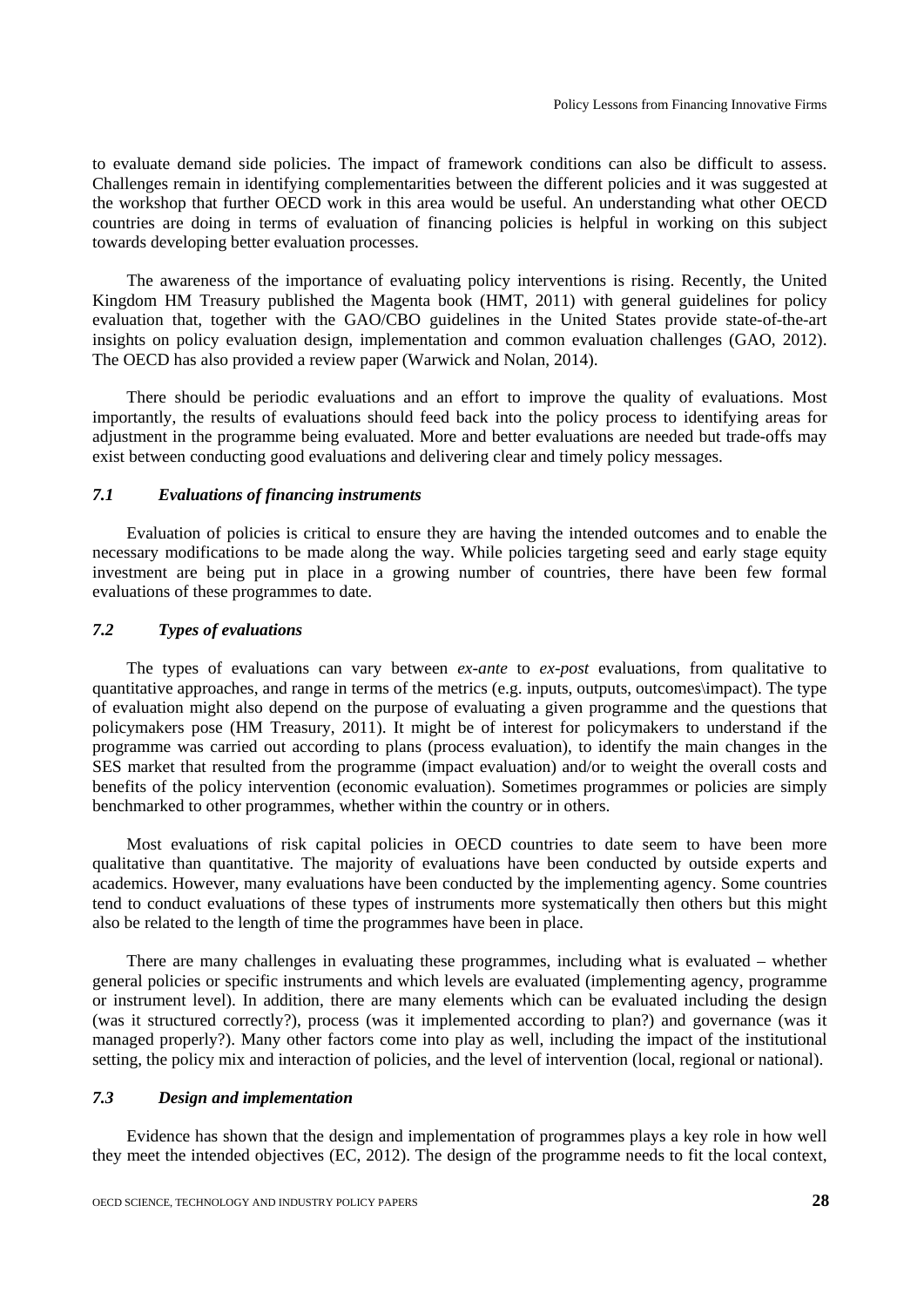to evaluate demand side policies. The impact of framework conditions can also be difficult to assess. Challenges remain in identifying complementarities between the different policies and it was suggested at the workshop that further OECD work in this area would be useful. An understanding what other OECD countries are doing in terms of evaluation of financing policies is helpful in working on this subject towards developing better evaluation processes.

The awareness of the importance of evaluating policy interventions is rising. Recently, the United Kingdom HM Treasury published the Magenta book (HMT, 2011) with general guidelines for policy evaluation that, together with the GAO/CBO guidelines in the United States provide state-of-the-art insights on policy evaluation design, implementation and common evaluation challenges (GAO, 2012). The OECD has also provided a review paper (Warwick and Nolan, 2014).

There should be periodic evaluations and an effort to improve the quality of evaluations. Most importantly, the results of evaluations should feed back into the policy process to identifying areas for adjustment in the programme being evaluated. More and better evaluations are needed but trade-offs may exist between conducting good evaluations and delivering clear and timely policy messages.

## <span id="page-28-0"></span>*7.1 Evaluations of financing instruments*

Evaluation of policies is critical to ensure they are having the intended outcomes and to enable the necessary modifications to be made along the way. While policies targeting seed and early stage equity investment are being put in place in a growing number of countries, there have been few formal evaluations of these programmes to date.

#### <span id="page-28-1"></span>*7.2 Types of evaluations*

The types of evaluations can vary between *ex-ante* to *ex-post* evaluations, from qualitative to quantitative approaches, and range in terms of the metrics (e.g. inputs, outputs, outcomes\impact). The type of evaluation might also depend on the purpose of evaluating a given programme and the questions that policymakers pose (HM Treasury, 2011). It might be of interest for policymakers to understand if the programme was carried out according to plans (process evaluation), to identify the main changes in the SES market that resulted from the programme (impact evaluation) and/or to weight the overall costs and benefits of the policy intervention (economic evaluation). Sometimes programmes or policies are simply benchmarked to other programmes, whether within the country or in others.

Most evaluations of risk capital policies in OECD countries to date seem to have been more qualitative than quantitative. The majority of evaluations have been conducted by outside experts and academics. However, many evaluations have been conducted by the implementing agency. Some countries tend to conduct evaluations of these types of instruments more systematically then others but this might also be related to the length of time the programmes have been in place.

There are many challenges in evaluating these programmes, including what is evaluated – whether general policies or specific instruments and which levels are evaluated (implementing agency, programme or instrument level). In addition, there are many elements which can be evaluated including the design (was it structured correctly?), process (was it implemented according to plan?) and governance (was it managed properly?). Many other factors come into play as well, including the impact of the institutional setting, the policy mix and interaction of policies, and the level of intervention (local, regional or national).

## <span id="page-28-2"></span>*7.3 Design and implementation*

Evidence has shown that the design and implementation of programmes plays a key role in how well they meet the intended objectives (EC, 2012). The design of the programme needs to fit the local context,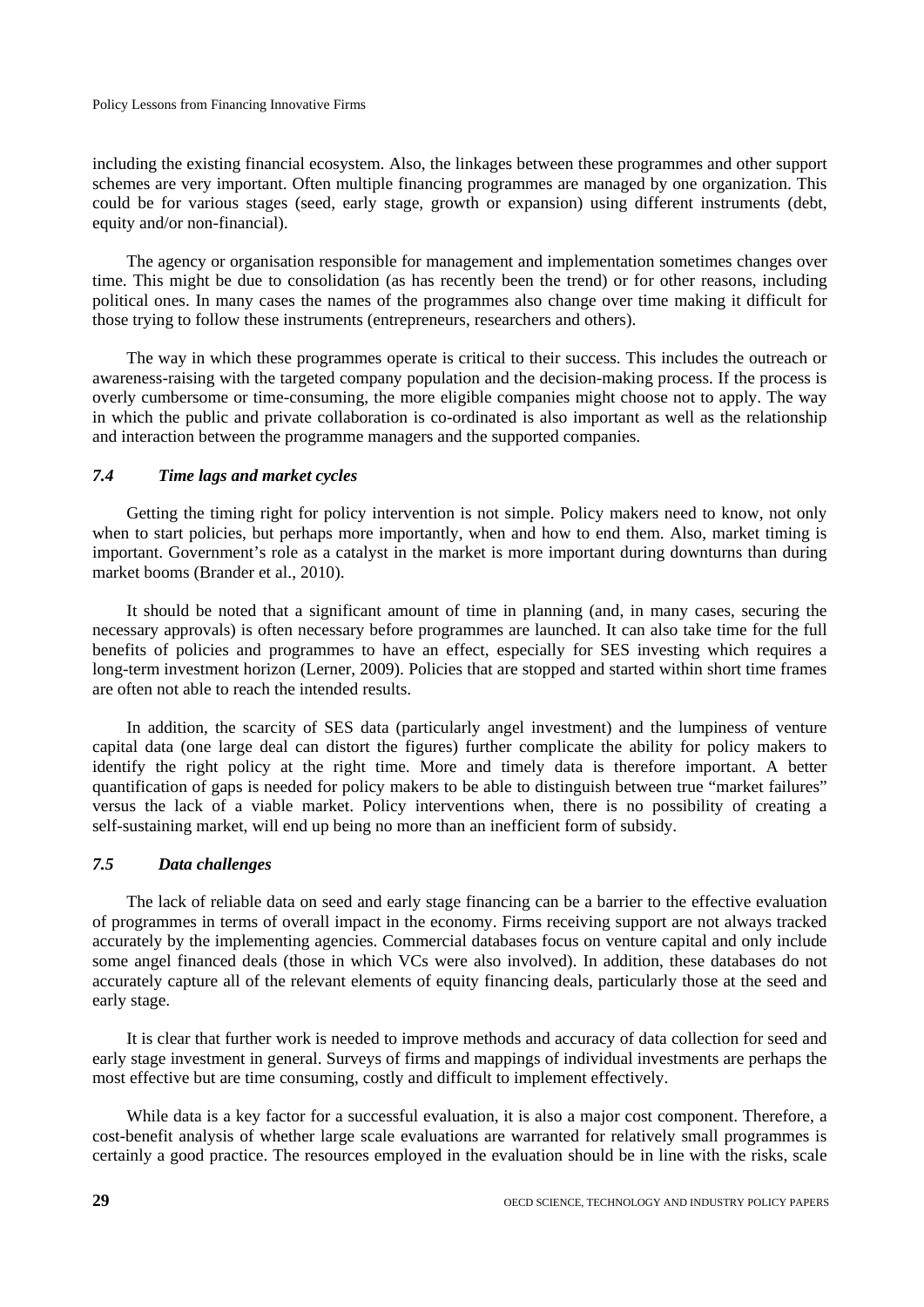including the existing financial ecosystem. Also, the linkages between these programmes and other support schemes are very important. Often multiple financing programmes are managed by one organization. This could be for various stages (seed, early stage, growth or expansion) using different instruments (debt, equity and/or non-financial).

The agency or organisation responsible for management and implementation sometimes changes over time. This might be due to consolidation (as has recently been the trend) or for other reasons, including political ones. In many cases the names of the programmes also change over time making it difficult for those trying to follow these instruments (entrepreneurs, researchers and others).

The way in which these programmes operate is critical to their success. This includes the outreach or awareness-raising with the targeted company population and the decision-making process. If the process is overly cumbersome or time-consuming, the more eligible companies might choose not to apply. The way in which the public and private collaboration is co-ordinated is also important as well as the relationship and interaction between the programme managers and the supported companies.

## <span id="page-29-0"></span>*7.4 Time lags and market cycles*

Getting the timing right for policy intervention is not simple. Policy makers need to know, not only when to start policies, but perhaps more importantly, when and how to end them. Also, market timing is important. Government's role as a catalyst in the market is more important during downturns than during market booms (Brander et al., 2010).

It should be noted that a significant amount of time in planning (and, in many cases, securing the necessary approvals) is often necessary before programmes are launched. It can also take time for the full benefits of policies and programmes to have an effect, especially for SES investing which requires a long-term investment horizon (Lerner, 2009). Policies that are stopped and started within short time frames are often not able to reach the intended results.

In addition, the scarcity of SES data (particularly angel investment) and the lumpiness of venture capital data (one large deal can distort the figures) further complicate the ability for policy makers to identify the right policy at the right time. More and timely data is therefore important. A better quantification of gaps is needed for policy makers to be able to distinguish between true "market failures" versus the lack of a viable market. Policy interventions when, there is no possibility of creating a self-sustaining market, will end up being no more than an inefficient form of subsidy.

## <span id="page-29-1"></span>*7.5 Data challenges*

The lack of reliable data on seed and early stage financing can be a barrier to the effective evaluation of programmes in terms of overall impact in the economy. Firms receiving support are not always tracked accurately by the implementing agencies. Commercial databases focus on venture capital and only include some angel financed deals (those in which VCs were also involved). In addition, these databases do not accurately capture all of the relevant elements of equity financing deals, particularly those at the seed and early stage.

It is clear that further work is needed to improve methods and accuracy of data collection for seed and early stage investment in general. Surveys of firms and mappings of individual investments are perhaps the most effective but are time consuming, costly and difficult to implement effectively.

While data is a key factor for a successful evaluation, it is also a major cost component. Therefore, a cost-benefit analysis of whether large scale evaluations are warranted for relatively small programmes is certainly a good practice. The resources employed in the evaluation should be in line with the risks, scale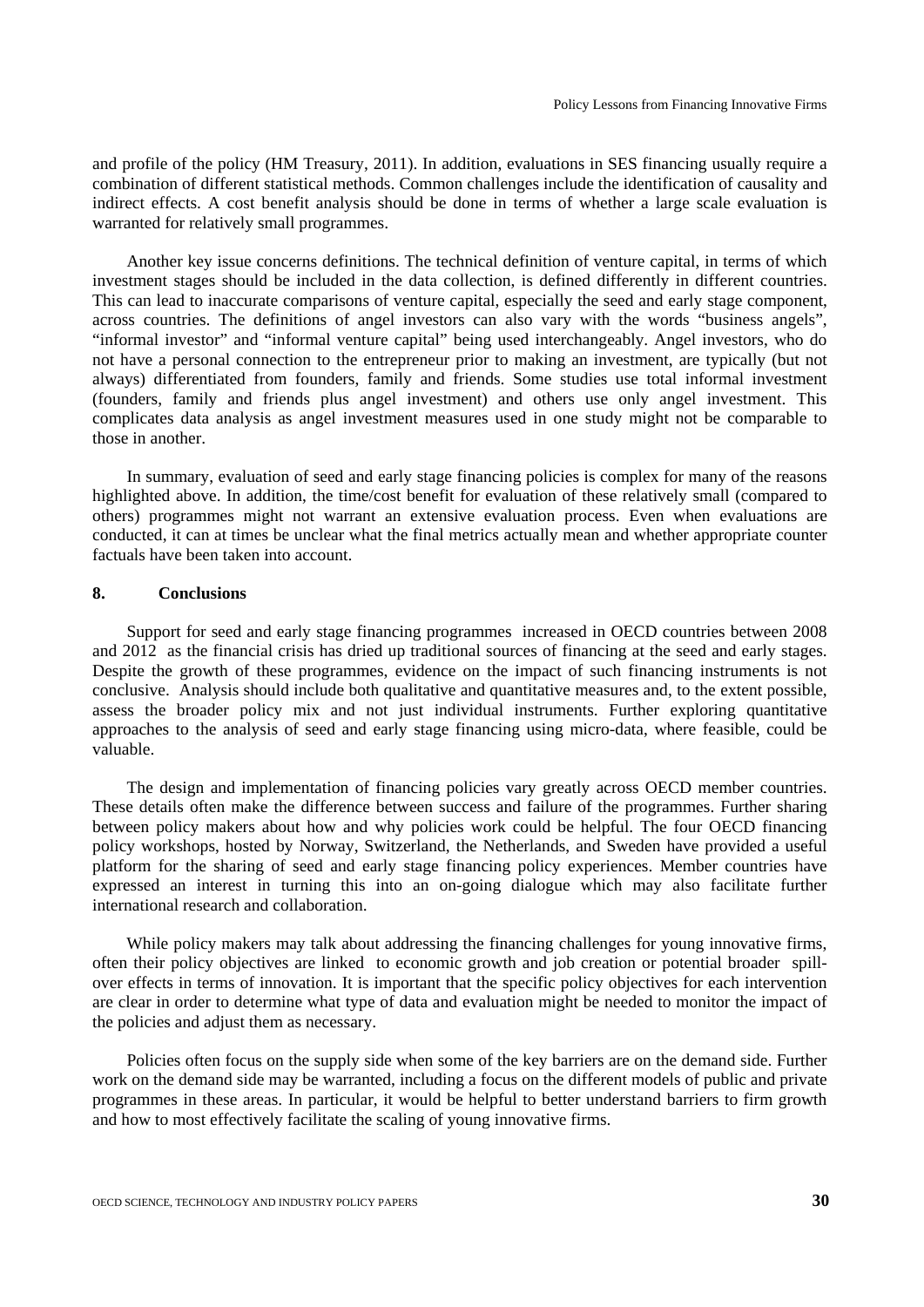and profile of the policy (HM Treasury, 2011). In addition, evaluations in SES financing usually require a combination of different statistical methods. Common challenges include the identification of causality and indirect effects. A cost benefit analysis should be done in terms of whether a large scale evaluation is warranted for relatively small programmes.

Another key issue concerns definitions. The technical definition of venture capital, in terms of which investment stages should be included in the data collection, is defined differently in different countries. This can lead to inaccurate comparisons of venture capital, especially the seed and early stage component, across countries. The definitions of angel investors can also vary with the words "business angels", "informal investor" and "informal venture capital" being used interchangeably. Angel investors, who do not have a personal connection to the entrepreneur prior to making an investment, are typically (but not always) differentiated from founders, family and friends. Some studies use total informal investment (founders, family and friends plus angel investment) and others use only angel investment. This complicates data analysis as angel investment measures used in one study might not be comparable to those in another.

In summary, evaluation of seed and early stage financing policies is complex for many of the reasons highlighted above. In addition, the time/cost benefit for evaluation of these relatively small (compared to others) programmes might not warrant an extensive evaluation process. Even when evaluations are conducted, it can at times be unclear what the final metrics actually mean and whether appropriate counter factuals have been taken into account.

## <span id="page-30-0"></span>**8. Conclusions**

Support for seed and early stage financing programmes increased in OECD countries between 2008 and 2012 as the financial crisis has dried up traditional sources of financing at the seed and early stages. Despite the growth of these programmes, evidence on the impact of such financing instruments is not conclusive. Analysis should include both qualitative and quantitative measures and, to the extent possible, assess the broader policy mix and not just individual instruments. Further exploring quantitative approaches to the analysis of seed and early stage financing using micro-data, where feasible, could be valuable.

The design and implementation of financing policies vary greatly across OECD member countries. These details often make the difference between success and failure of the programmes. Further sharing between policy makers about how and why policies work could be helpful. The four OECD financing policy workshops, hosted by Norway, Switzerland, the Netherlands, and Sweden have provided a useful platform for the sharing of seed and early stage financing policy experiences. Member countries have expressed an interest in turning this into an on-going dialogue which may also facilitate further international research and collaboration.

While policy makers may talk about addressing the financing challenges for young innovative firms, often their policy objectives are linked to economic growth and job creation or potential broader spillover effects in terms of innovation. It is important that the specific policy objectives for each intervention are clear in order to determine what type of data and evaluation might be needed to monitor the impact of the policies and adjust them as necessary.

Policies often focus on the supply side when some of the key barriers are on the demand side. Further work on the demand side may be warranted, including a focus on the different models of public and private programmes in these areas. In particular, it would be helpful to better understand barriers to firm growth and how to most effectively facilitate the scaling of young innovative firms.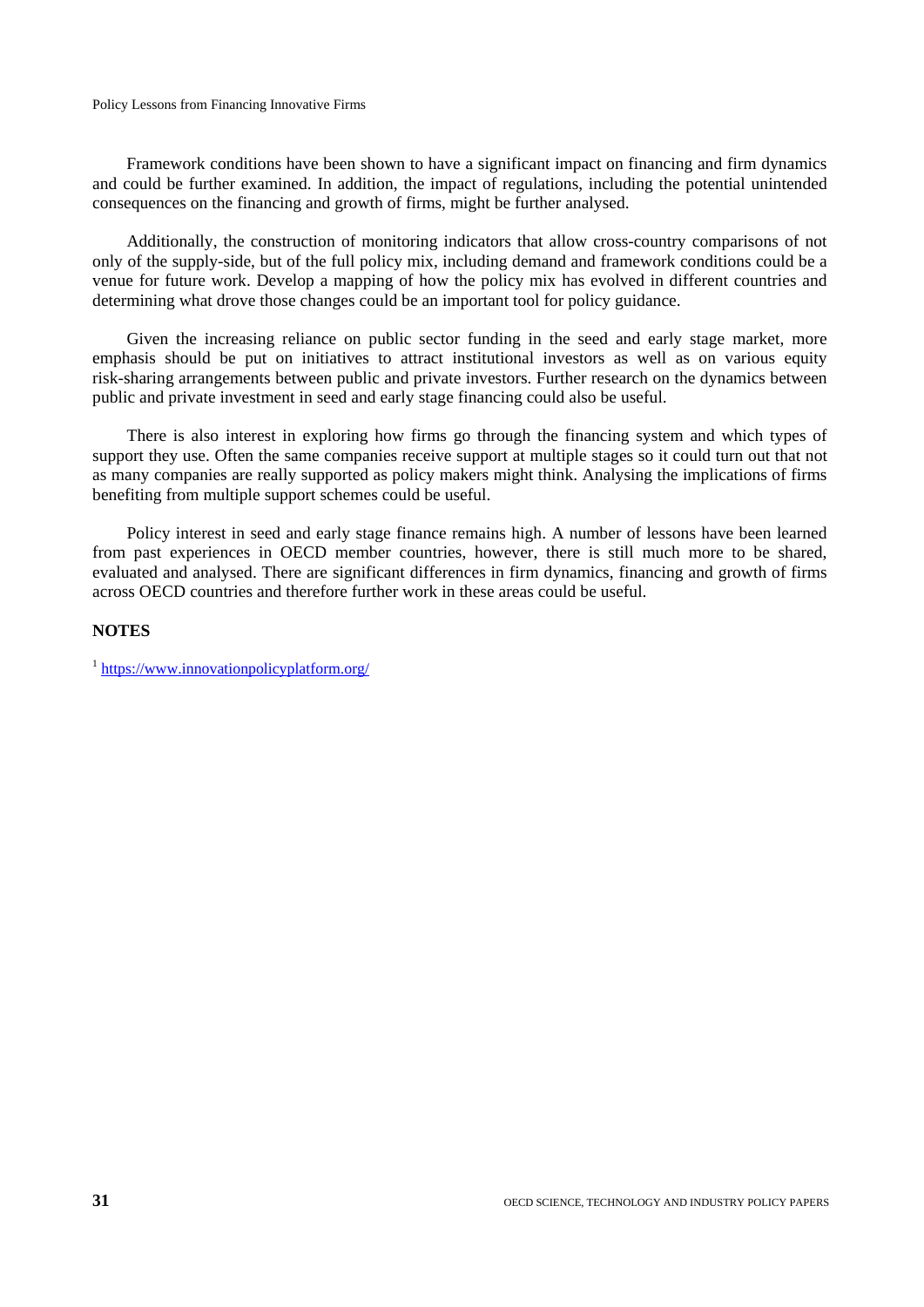Framework conditions have been shown to have a significant impact on financing and firm dynamics and could be further examined. In addition, the impact of regulations, including the potential unintended consequences on the financing and growth of firms, might be further analysed.

Additionally, the construction of monitoring indicators that allow cross-country comparisons of not only of the supply-side, but of the full policy mix, including demand and framework conditions could be a venue for future work. Develop a mapping of how the policy mix has evolved in different countries and determining what drove those changes could be an important tool for policy guidance.

Given the increasing reliance on public sector funding in the seed and early stage market, more emphasis should be put on initiatives to attract institutional investors as well as on various equity risk-sharing arrangements between public and private investors. Further research on the dynamics between public and private investment in seed and early stage financing could also be useful.

There is also interest in exploring how firms go through the financing system and which types of support they use. Often the same companies receive support at multiple stages so it could turn out that not as many companies are really supported as policy makers might think. Analysing the implications of firms benefiting from multiple support schemes could be useful.

Policy interest in seed and early stage finance remains high. A number of lessons have been learned from past experiences in OECD member countries, however, there is still much more to be shared, evaluated and analysed. There are significant differences in firm dynamics, financing and growth of firms across OECD countries and therefore further work in these areas could be useful.

## **NOTES**

<span id="page-31-0"></span><sup>1</sup> <https://www.innovationpolicyplatform.org/>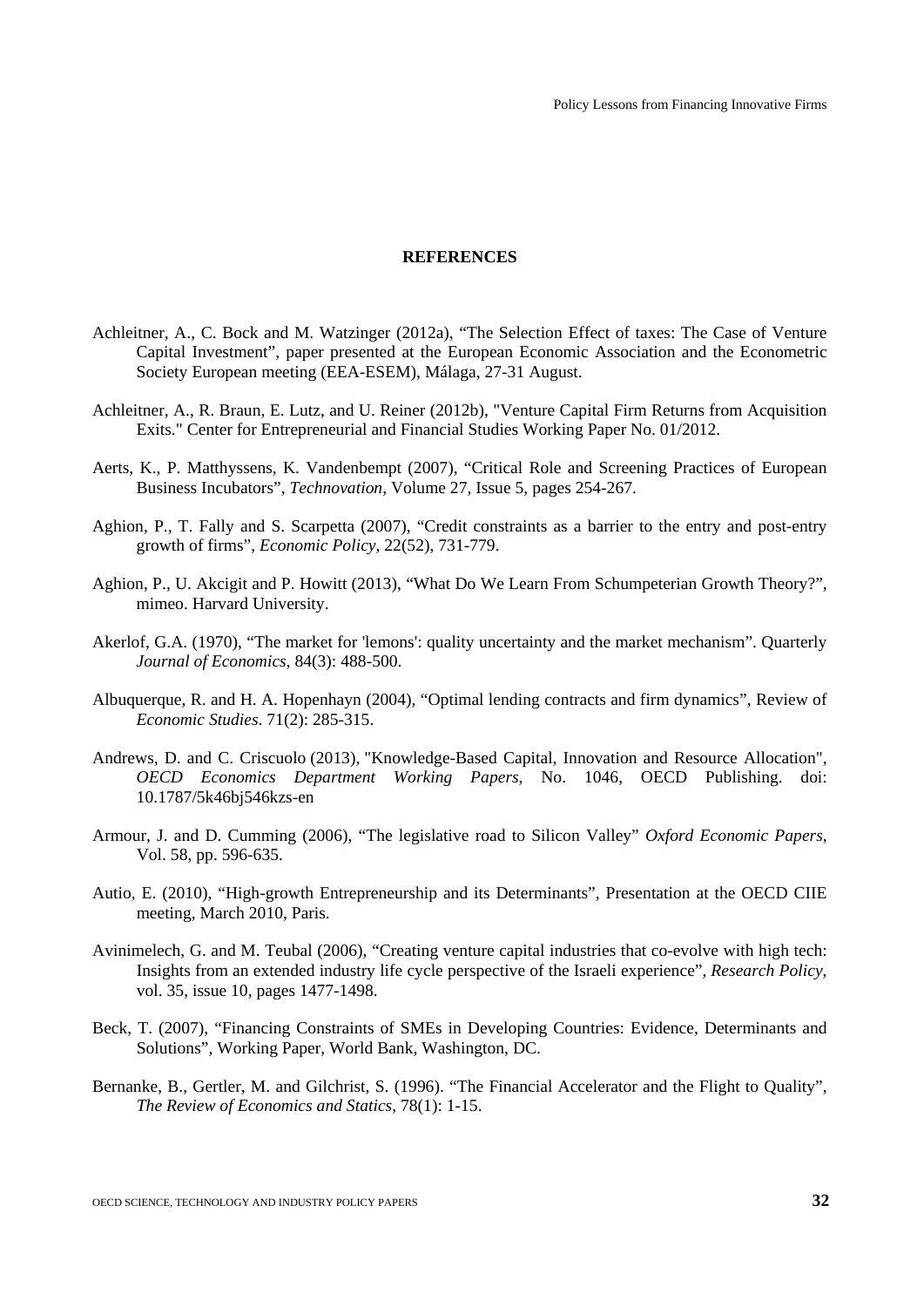#### **REFERENCES**

- <span id="page-32-0"></span>Achleitner, A., C. Bock and M. Watzinger (2012a), "The Selection Effect of taxes: The Case of Venture Capital Investment", paper presented at the European Economic Association and the Econometric Society European meeting (EEA-ESEM), Málaga, 27-31 August.
- Achleitner, A., R. Braun, E. Lutz, and U. Reiner (2012b), "Venture Capital Firm Returns from Acquisition Exits." Center for Entrepreneurial and Financial Studies Working Paper No. 01/2012.
- Aerts, K., P. Matthyssens, K. Vandenbempt (2007), "Critical Role and Screening Practices of European Business Incubators", *Technovation*, Volume 27, Issue 5, pages 254-267.
- Aghion, P., T. Fally and S. Scarpetta (2007), "Credit constraints as a barrier to the entry and post-entry growth of firms", *Economic Policy*, 22(52), 731-779.
- Aghion, P., U. Akcigit and P. Howitt (2013), "What Do We Learn From Schumpeterian Growth Theory?", mimeo. Harvard University.
- Akerlof, G.A. (1970), "The market for 'lemons': quality uncertainty and the market mechanism". Quarterly *Journal of Economics*, 84(3): 488-500.
- Albuquerque, R. and H. A. Hopenhayn (2004), "Optimal lending contracts and firm dynamics", Review of *Economic Studies*. 71(2): 285-315.
- Andrews, D. and C. Criscuolo (2013), "Knowledge-Based Capital, Innovation and Resource Allocation", *OECD Economics Department Working Papers*, No. 1046, OECD Publishing. doi: 10.1787/5k46bj546kzs-en
- Armour, J. and D. Cumming (2006), "The legislative road to Silicon Valley" *Oxford Economic Papers*, Vol. 58, pp. 596-635.
- Autio, E. (2010), "High-growth Entrepreneurship and its Determinants", Presentation at the OECD CIIE meeting, March 2010, Paris.
- Avinimelech, G. and M. Teubal (2006), "Creating venture capital industries that co-evolve with high tech: Insights from an extended industry life cycle perspective of the Israeli experience", *Research Policy*, vol. 35, issue 10, pages 1477-1498.
- Beck, T. (2007), "Financing Constraints of SMEs in Developing Countries: Evidence, Determinants and Solutions", Working Paper, World Bank, Washington, DC.
- Bernanke, B., Gertler, M. and Gilchrist, S. (1996). "The Financial Accelerator and the Flight to Quality", *The Review of Economics and Statics*, 78(1): 1-15.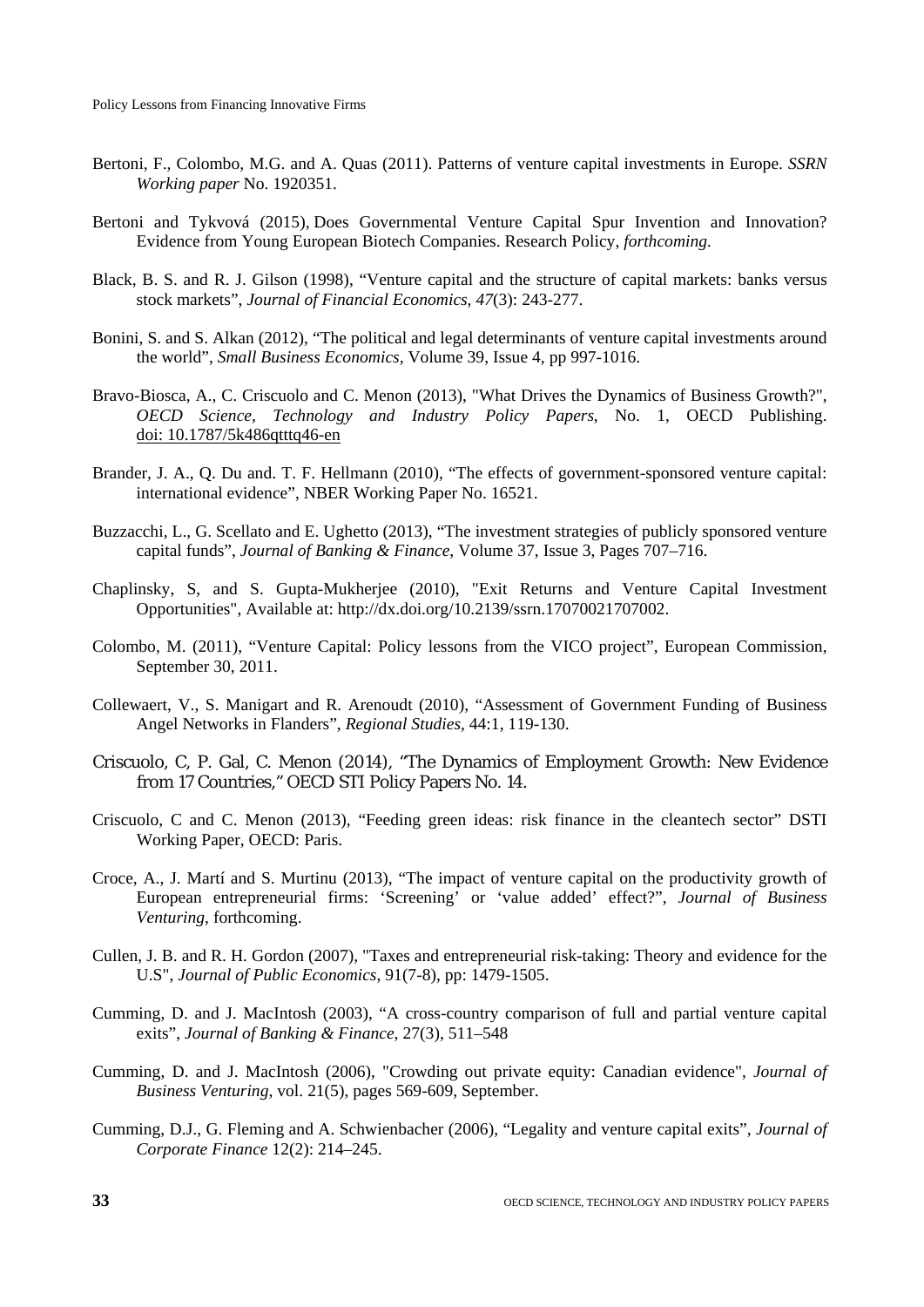- Bertoni, F., Colombo, M.G. and A. Quas (2011). Patterns of venture capital investments in Europe. *SSRN Working paper* No. 1920351.
- Bertoni and Tykvová (2015), Does Governmental Venture Capital Spur Invention and Innovation? Evidence from Young European Biotech Companies. Research Policy, *forthcoming.*
- Black, B. S. and R. J. Gilson (1998), "Venture capital and the structure of capital markets: banks versus stock markets", *Journal of Financial Economics*, *47*(3): 243-277.
- Bonini, S. and S. Alkan (2012), "The political and legal determinants of venture capital investments around the world", *Small Business Economics,* Volume 39, Issue 4, pp 997-1016.
- Bravo-Biosca, A., C. Criscuolo and C. Menon (2013), "What Drives the Dynamics of Business Growth?", *OECD Science, Technology and Industry Policy Papers*, No. 1, OECD Publishing. doi: 10.1787/5k486qtttq46-en
- Brander, J. A., Q. Du and. T. F. Hellmann (2010), "The effects of government-sponsored venture capital: international evidence", NBER Working Paper No. 16521.
- Buzzacchi, L., G. Scellato and E. Ughetto (2013), "The investment strategies of publicly sponsored venture capital funds", *Journal of Banking & Finance*, Volume 37, Issue 3, Pages 707–716.
- Chaplinsky, S, and S. Gupta-Mukherjee (2010), "Exit Returns and Venture Capital Investment Opportunities", Available at: http://dx.doi.org/10.2139/ssrn.17070021707002.
- Colombo, M. (2011), "Venture Capital: Policy lessons from the VICO project", European Commission, September 30, 2011.
- Collewaert, V., S. Manigart and R. Arenoudt (2010), "Assessment of Government Funding of Business Angel Networks in Flanders", *Regional Studies*, 44:1, 119-130.
- Criscuolo, C, P. Gal, C. Menon (2014), "The Dynamics of Employment Growth: New Evidence from 17 Countries," OECD STI Policy Papers No. 14.
- Criscuolo, C and C. Menon (2013), "Feeding green ideas: risk finance in the cleantech sector" DSTI Working Paper, OECD: Paris.
- Croce, A., J. Martí and S. Murtinu (2013), "The impact of venture capital on the productivity growth of European entrepreneurial firms: 'Screening' or 'value added' effect?", *Journal of Business Venturing*, forthcoming.
- Cullen, J. B. and R. H. Gordon (2007), "Taxes and entrepreneurial risk-taking: Theory and evidence for the U.S", *Journal of Public Economics*, 91(7-8), pp: 1479-1505.
- Cumming, D. and J. MacIntosh (2003), "A cross-country comparison of full and partial venture capital exits", *Journal of Banking & Finance*, 27(3), 511–548
- Cumming, D. and J. MacIntosh (2006), "Crowding out private equity: Canadian evidence", *Journal of Business Venturing*, vol. 21(5), pages 569-609, September.
- Cumming, D.J., G. Fleming and A. Schwienbacher (2006), "Legality and venture capital exits", *Journal of Corporate Finance* 12(2): 214–245.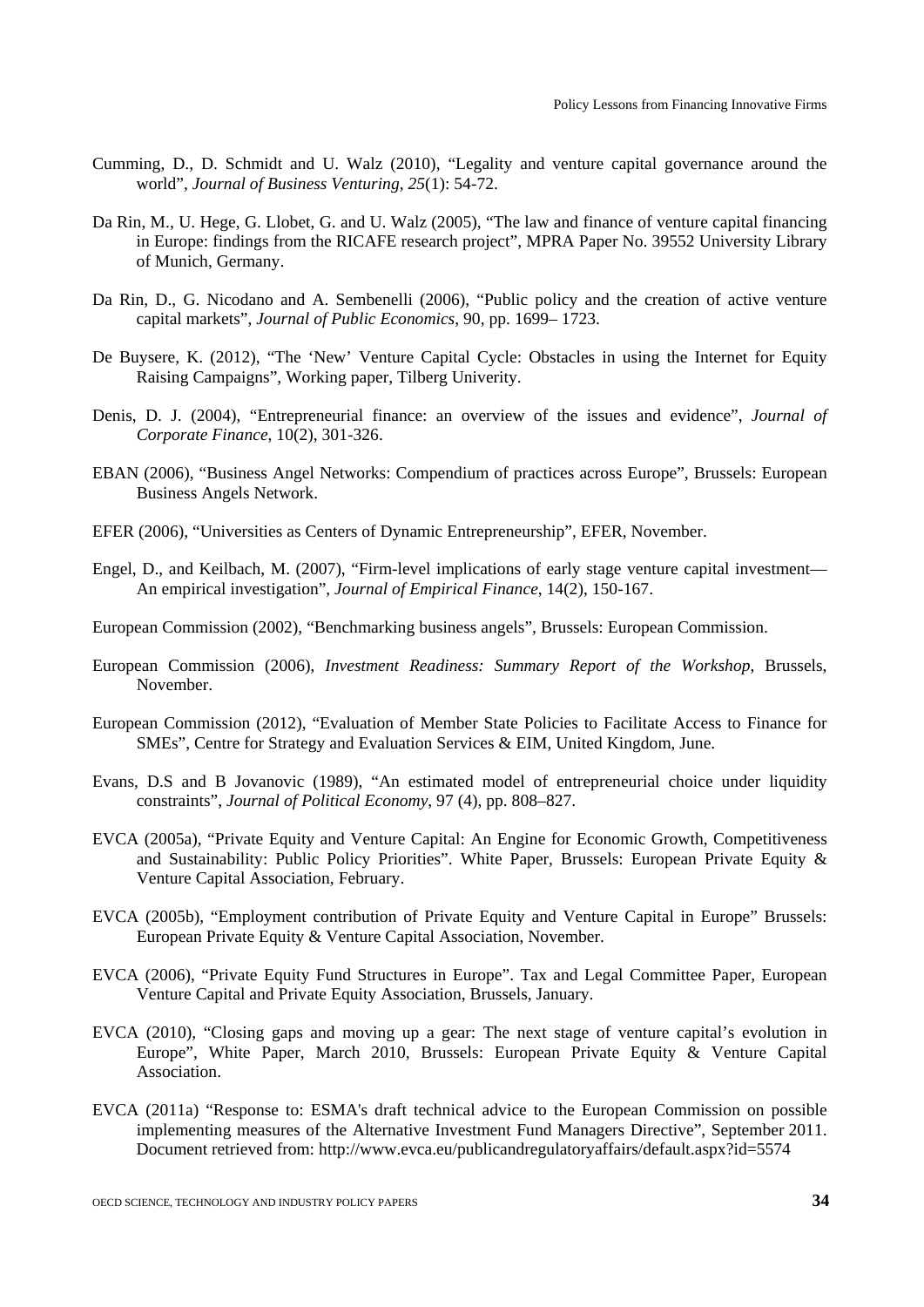- Cumming, D., D. Schmidt and U. Walz (2010), "Legality and venture capital governance around the world", *Journal of Business Venturing*, *25*(1): 54-72.
- Da Rin, M., U. Hege, G. Llobet, G. and U. Walz (2005), "The law and finance of venture capital financing in Europe: findings from the RICAFE research project", MPRA Paper No. 39552 University Library of Munich, Germany.
- Da Rin, D., G. Nicodano and A. Sembenelli (2006), "Public policy and the creation of active venture capital markets", *Journal of Public Economics*, 90, pp. 1699– 1723.
- De Buysere, K. (2012), "The 'New' Venture Capital Cycle: Obstacles in using the Internet for Equity Raising Campaigns", Working paper, Tilberg Univerity.
- Denis, D. J. (2004), "Entrepreneurial finance: an overview of the issues and evidence", *Journal of Corporate Finance*, 10(2), 301-326.
- EBAN (2006), "Business Angel Networks: Compendium of practices across Europe", Brussels: European Business Angels Network.
- EFER (2006), "Universities as Centers of Dynamic Entrepreneurship", EFER, November.
- Engel, D., and Keilbach, M. (2007), "Firm-level implications of early stage venture capital investment— An empirical investigation", *Journal of Empirical Finance*, 14(2), 150-167.
- European Commission (2002), "Benchmarking business angels", Brussels: European Commission.
- European Commission (2006), *Investment Readiness: Summary Report of the Workshop*, Brussels, November.
- European Commission (2012), "Evaluation of Member State Policies to Facilitate Access to Finance for SMEs", Centre for Strategy and Evaluation Services & EIM, United Kingdom, June.
- Evans, D.S and B Jovanovic (1989), "An estimated model of entrepreneurial choice under liquidity constraints", *Journal of Political Economy*, 97 (4), pp. 808–827.
- EVCA (2005a), "Private Equity and Venture Capital: An Engine for Economic Growth, Competitiveness and Sustainability: Public Policy Priorities". White Paper, Brussels: European Private Equity & Venture Capital Association, February.
- EVCA (2005b), "Employment contribution of Private Equity and Venture Capital in Europe" Brussels: European Private Equity & Venture Capital Association, November.
- EVCA (2006), "Private Equity Fund Structures in Europe". Tax and Legal Committee Paper, European Venture Capital and Private Equity Association, Brussels, January.
- EVCA (2010), "Closing gaps and moving up a gear: The next stage of venture capital's evolution in Europe", White Paper, March 2010, Brussels: European Private Equity & Venture Capital Association.
- EVCA (2011a) "Response to: ESMA's draft technical advice to the European Commission on possible implementing measures of the Alternative Investment Fund Managers Directive", September 2011. Document retrieved from: http://www.evca.eu/publicandregulatoryaffairs/default.aspx?id=5574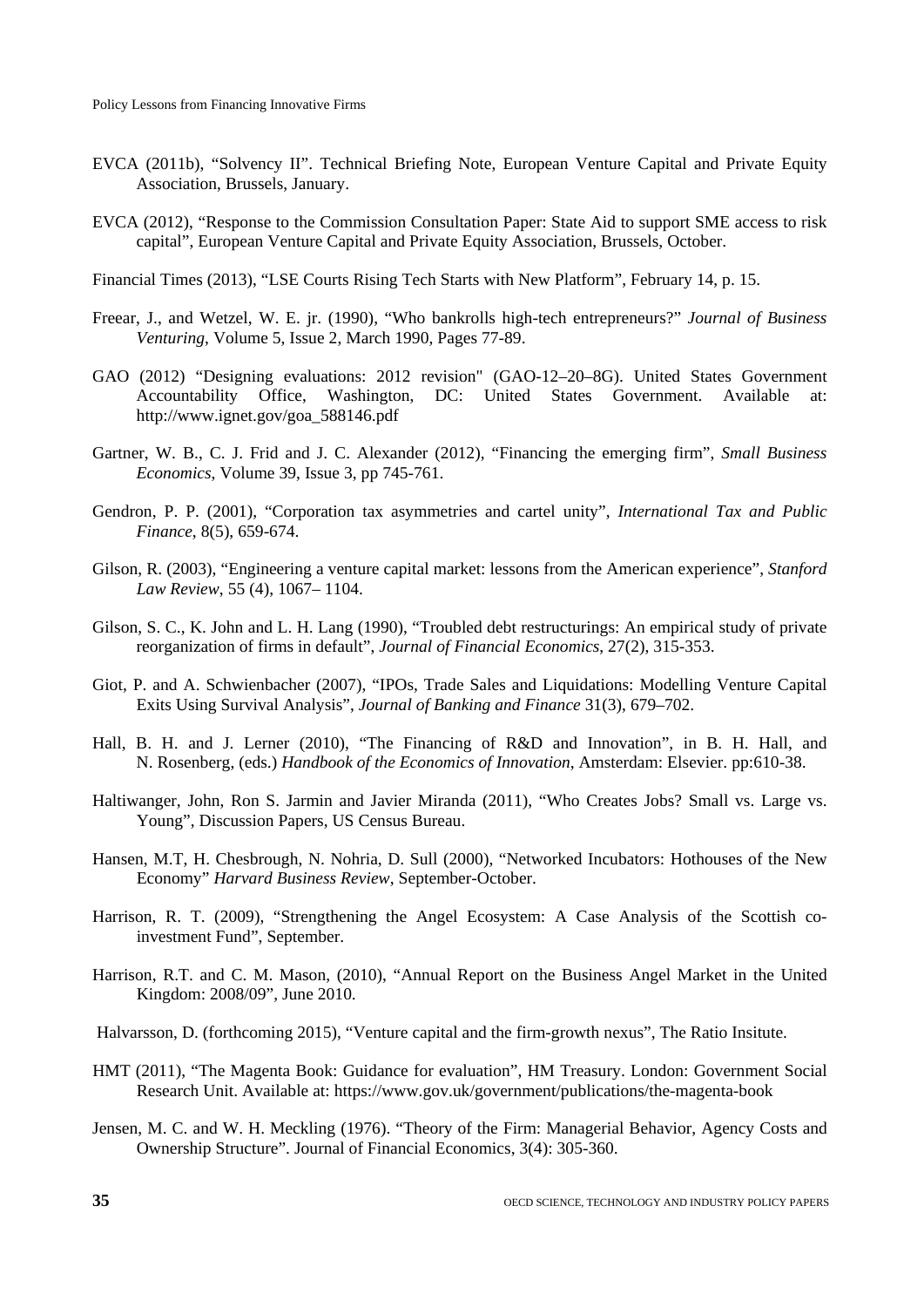- EVCA (2011b), "Solvency II". Technical Briefing Note, European Venture Capital and Private Equity Association, Brussels, January.
- EVCA (2012), "Response to the Commission Consultation Paper: State Aid to support SME access to risk capital", European Venture Capital and Private Equity Association, Brussels, October.
- Financial Times (2013), "LSE Courts Rising Tech Starts with New Platform", February 14, p. 15.
- Freear, J., and Wetzel, W. E. jr. (1990), "Who bankrolls high-tech entrepreneurs?" *Journal of Business Venturing*, Volume 5, Issue 2, March 1990, Pages 77-89.
- GAO (2012) "Designing evaluations: 2012 revision" (GAO-12–20–8G). United States Government Accountability Office, Washington, DC: United States Government. Available at: http://www.ignet.gov/goa\_588146.pdf
- Gartner, W. B., C. J. Frid and J. C. Alexander (2012), "Financing the emerging firm", *Small Business Economics*, Volume 39, Issue 3, pp 745-761.
- Gendron, P. P. (2001), "Corporation tax asymmetries and cartel unity", *International Tax and Public Finance*, 8(5), 659-674.
- Gilson, R. (2003), "Engineering a venture capital market: lessons from the American experience", *Stanford Law Review*, 55 (4), 1067– 1104.
- Gilson, S. C., K. John and L. H. Lang (1990), "Troubled debt restructurings: An empirical study of private reorganization of firms in default", *Journal of Financial Economics*, 27(2), 315-353.
- Giot, P. and A. Schwienbacher (2007), "IPOs, Trade Sales and Liquidations: Modelling Venture Capital Exits Using Survival Analysis", *Journal of Banking and Finance* 31(3), 679–702.
- Hall, B. H. and J. Lerner (2010), "The Financing of R&D and Innovation", in B. H. Hall, and N. Rosenberg, (eds.) *Handbook of the Economics of Innovation*, Amsterdam: Elsevier. pp:610-38.
- Haltiwanger, John, Ron S. Jarmin and Javier Miranda (2011), "Who Creates Jobs? Small vs. Large vs. Young", Discussion Papers, US Census Bureau.
- Hansen, M.T, H. Chesbrough, N. Nohria, D. Sull (2000), "Networked Incubators: Hothouses of the New Economy" *Harvard Business Review*, September-October.
- Harrison, R. T. (2009), "Strengthening the Angel Ecosystem: A Case Analysis of the Scottish coinvestment Fund", September.
- Harrison, R.T. and C. M. Mason, (2010), "Annual Report on the Business Angel Market in the United Kingdom: 2008/09", June 2010.
- Halvarsson, D. (forthcoming 2015), "Venture capital and the firm-growth nexus", The Ratio Insitute.
- HMT (2011), "The Magenta Book: Guidance for evaluation", HM Treasury. London: Government Social Research Unit. Available at: https://www.gov.uk/government/publications/the-magenta-book
- Jensen, M. C. and W. H. Meckling (1976). "Theory of the Firm: Managerial Behavior, Agency Costs and Ownership Structure". Journal of Financial Economics, 3(4): 305-360.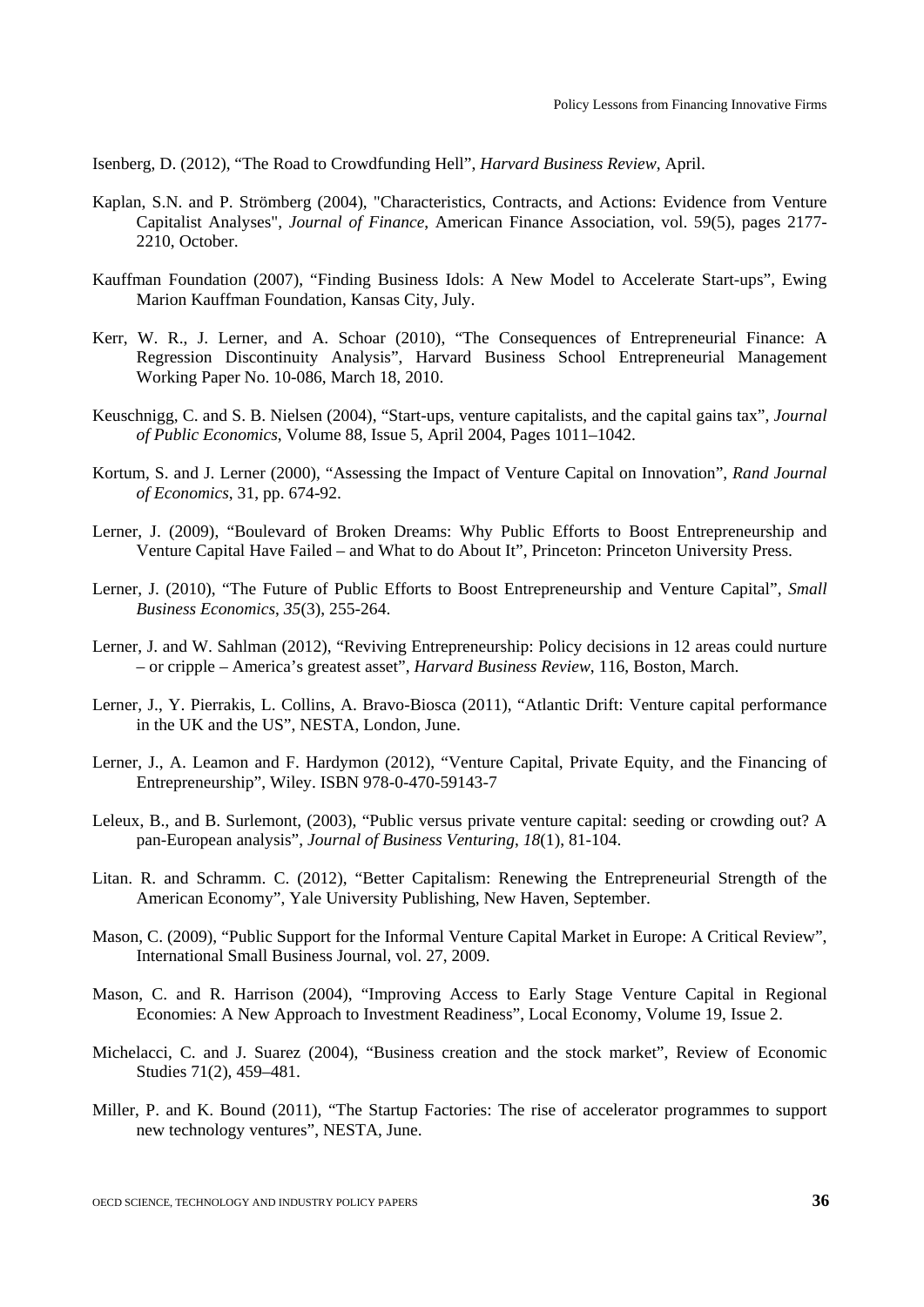Isenberg, D. (2012), "The Road to Crowdfunding Hell", *Harvard Business Review*, April.

- Kaplan, S.N. and P. Strömberg (2004), "Characteristics, Contracts, and Actions: Evidence from Venture Capitalist Analyses", *Journal of Finance*, American Finance Association, vol. 59(5), pages 2177- 2210, October.
- Kauffman Foundation (2007), "Finding Business Idols: A New Model to Accelerate Start-ups", Ewing Marion Kauffman Foundation, Kansas City, July.
- Kerr, W. R., J. Lerner, and A. Schoar (2010), "The Consequences of Entrepreneurial Finance: A Regression Discontinuity Analysis", Harvard Business School Entrepreneurial Management Working Paper No. 10-086, March 18, 2010.
- Keuschnigg, C. and S. B. Nielsen (2004), "Start-ups, venture capitalists, and the capital gains tax", *Journal of Public Economics*, Volume 88, Issue 5, April 2004, Pages 1011–1042.
- Kortum, S. and J. Lerner (2000), "Assessing the Impact of Venture Capital on Innovation", *Rand Journal of Economics*, 31, pp. 674-92.
- Lerner, J. (2009), "Boulevard of Broken Dreams: Why Public Efforts to Boost Entrepreneurship and Venture Capital Have Failed – and What to do About It", Princeton: Princeton University Press.
- Lerner, J. (2010), "The Future of Public Efforts to Boost Entrepreneurship and Venture Capital", *Small Business Economics*, *35*(3), 255-264.
- Lerner, J. and W. Sahlman (2012), "Reviving Entrepreneurship: Policy decisions in 12 areas could nurture – or cripple – America's greatest asset", *Harvard Business Review*, 116, Boston, March.
- Lerner, J., Y. Pierrakis, L. Collins, A. Bravo-Biosca (2011), "Atlantic Drift: Venture capital performance in the UK and the US", NESTA, London, June.
- Lerner, J., A. Leamon and F. Hardymon (2012), "Venture Capital, Private Equity, and the Financing of Entrepreneurship", Wiley. ISBN 978-0-470-59143-7
- Leleux, B., and B. Surlemont, (2003), "Public versus private venture capital: seeding or crowding out? A pan-European analysis", *Journal of Business Venturing*, *18*(1), 81-104.
- Litan. R. and Schramm. C. (2012), "Better Capitalism: Renewing the Entrepreneurial Strength of the American Economy", Yale University Publishing, New Haven, September.
- Mason, C. (2009), "Public Support for the Informal Venture Capital Market in Europe: A Critical Review", International Small Business Journal, vol. 27, 2009.
- Mason, C. and R. Harrison (2004), "Improving Access to Early Stage Venture Capital in Regional Economies: A New Approach to Investment Readiness", Local Economy, Volume 19, Issue 2.
- Michelacci, C. and J. Suarez (2004), "Business creation and the stock market", Review of Economic Studies 71(2), 459–481.
- Miller, P. and K. Bound (2011), "The Startup Factories: The rise of accelerator programmes to support new technology ventures", NESTA, June.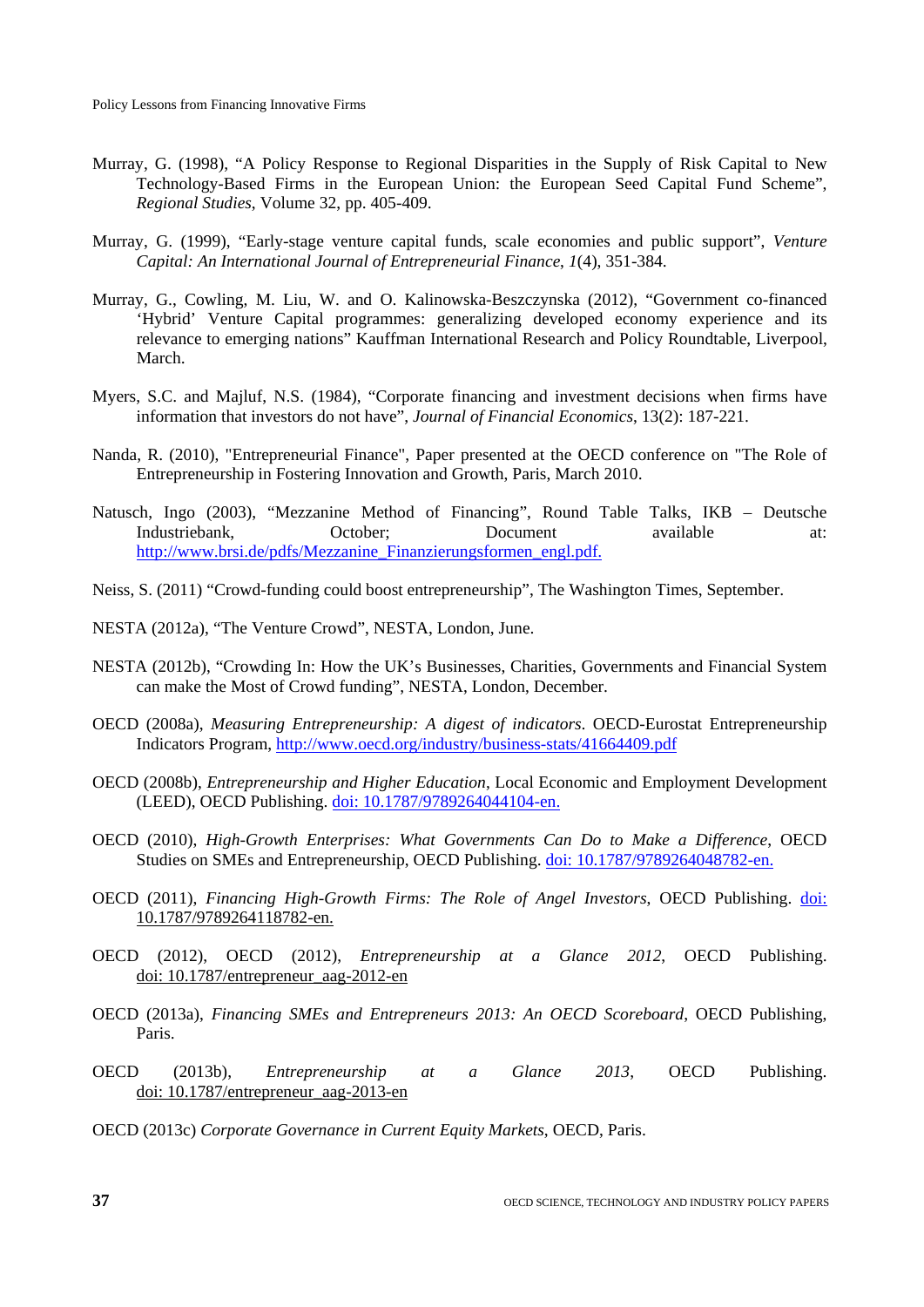- Murray, G. (1998), "A Policy Response to Regional Disparities in the Supply of Risk Capital to New Technology-Based Firms in the European Union: the European Seed Capital Fund Scheme", *Regional Studies*, Volume 32, pp. 405-409.
- Murray, G. (1999), "Early-stage venture capital funds, scale economies and public support", *Venture Capital: An International Journal of Entrepreneurial Finance*, *1*(4), 351-384.
- Murray, G., Cowling, M. Liu, W. and O. Kalinowska-Beszczynska (2012), "Government co-financed 'Hybrid' Venture Capital programmes: generalizing developed economy experience and its relevance to emerging nations" Kauffman International Research and Policy Roundtable, Liverpool, March.
- Myers, S.C. and Majluf, N.S. (1984), "Corporate financing and investment decisions when firms have information that investors do not have", *Journal of Financial Economics*, 13(2): 187-221.
- Nanda, R. (2010), "Entrepreneurial Finance", Paper presented at the OECD conference on "The Role of Entrepreneurship in Fostering Innovation and Growth, Paris, March 2010.
- Natusch, Ingo (2003), "Mezzanine Method of Financing", Round Table Talks, IKB Deutsche Industriebank, October; Document available at: http://www.brsi.de/pdfs/Mezzanine\_Finanzierungsformen\_engl.pdf.
- Neiss, S. (2011) "Crowd-funding could boost entrepreneurship", The Washington Times, September.
- NESTA (2012a), "The Venture Crowd", NESTA, London, June.
- NESTA (2012b), "Crowding In: How the UK's Businesses, Charities, Governments and Financial System can make the Most of Crowd funding", NESTA, London, December.
- OECD (2008a), *Measuring Entrepreneurship: A digest of indicators*. OECD-Eurostat Entrepreneurship Indicators Program, http://www.oecd.org/industry/business-stats/41664409.pdf
- OECD (2008b), *Entrepreneurship and Higher Education*, Local Economic and Employment Development (LEED), OECD Publishing. doi: 10.1787/9789264044104-en.
- OECD (2010), *High-Growth Enterprises: What Governments Can Do to Make a Difference*, OECD Studies on SMEs and Entrepreneurship, OECD Publishing. doi: 10.1787/9789264048782-en.
- OECD (2011), *Financing High-Growth Firms: The Role of Angel Investors*, OECD Publishing. doi: 10.1787/9789264118782-en.
- OECD (2012), OECD (2012), *Entrepreneurship at a Glance 2012*, OECD Publishing. doi: 10.1787/entrepreneur\_aag-2012-en
- OECD (2013a), *Financing SMEs and Entrepreneurs 2013: An OECD Scoreboard*, OECD Publishing, Paris.
- OECD (2013b), *Entrepreneurship at a Glance 2013*, OECD Publishing. doi: 10.1787/entrepreneur\_aag-2013-en
- OECD (2013c) *Corporate Governance in Current Equity Markets*, OECD, Paris.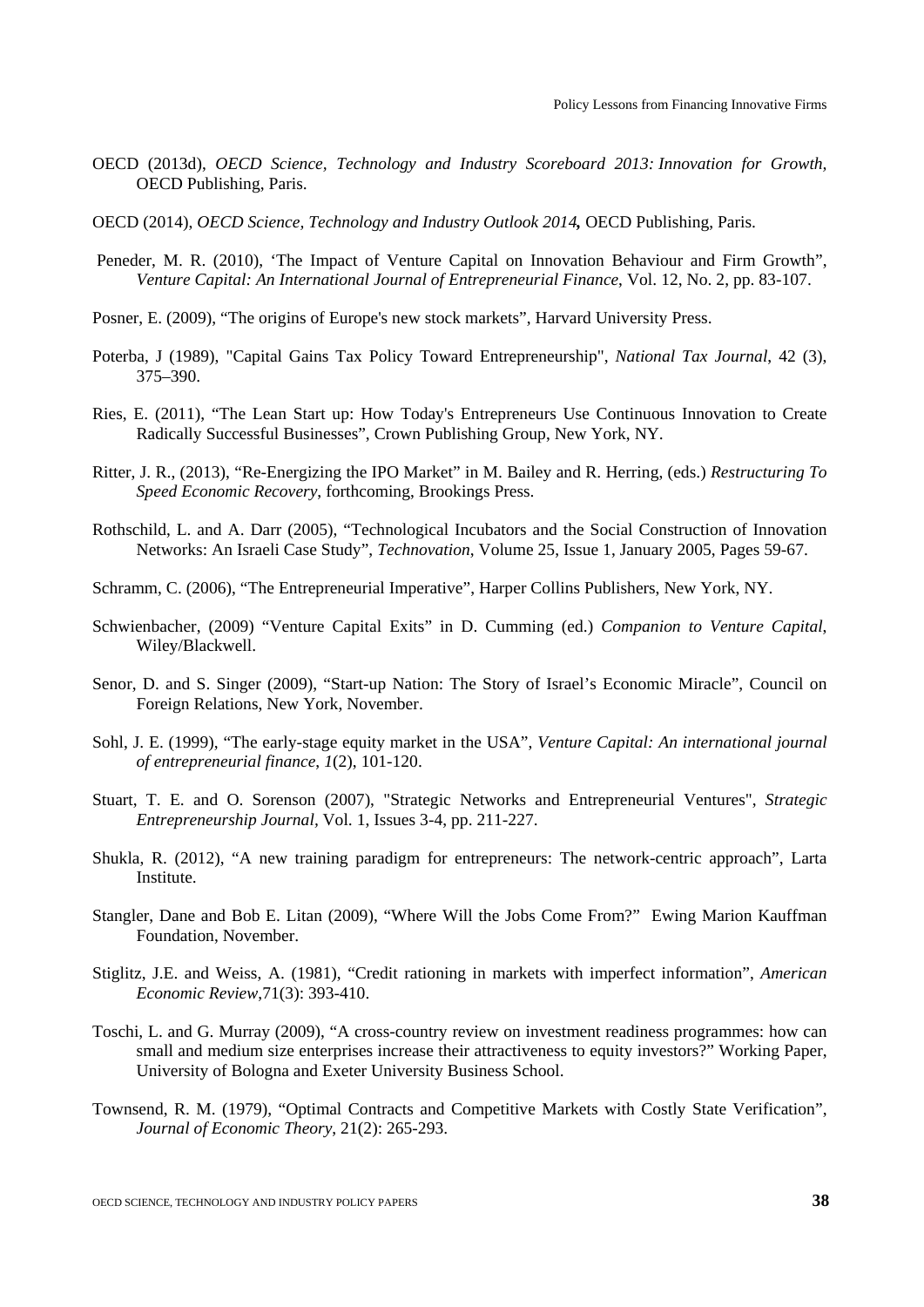- OECD (2013d), *[OECD Science, Technology and Industry Scoreboard 2013:](http://www.oecd-ilibrary.org/science-and-technology/oecd-science-technology-and-industry-scoreboard-2013_sti_scoreboard-2013-en) Innovation for Growth,* OECD Publishing, Paris.
- OECD (2014), *[OECD Science, Technology and Industry Outlook 2014](http://www.oecd-ilibrary.org/science-and-technology/oecd-science-technology-and-industry-outlook-2014_sti_outlook-2014-en),* OECD Publishing, Paris.
- Peneder, M. R. (2010), 'The Impact of Venture Capital on Innovation Behaviour and Firm Growth", *Venture Capital: An International Journal of Entrepreneurial Finance*, Vol. 12, No. 2, pp. 83-107.
- Posner, E. (2009), "The origins of Europe's new stock markets", Harvard University Press.
- Poterba, J (1989), "Capital Gains Tax Policy Toward Entrepreneurship", *National Tax Journal*, 42 (3), 375–390.
- Ries, E. (2011), "The Lean Start up: How Today's Entrepreneurs Use Continuous Innovation to Create Radically Successful Businesses", Crown Publishing Group, New York, NY.
- Ritter, J. R., (2013), "Re-Energizing the IPO Market" in M. Bailey and R. Herring, (eds.) *Restructuring To Speed Economic Recovery*, forthcoming, Brookings Press.
- Rothschild, L. and A. Darr (2005), "Technological Incubators and the Social Construction of Innovation Networks: An Israeli Case Study", *Technovation*, Volume 25, Issue 1, January 2005, Pages 59-67.
- Schramm, C. (2006), "The Entrepreneurial Imperative", Harper Collins Publishers, New York, NY.
- Schwienbacher, (2009) "Venture Capital Exits" in D. Cumming (ed.) *Companion to Venture Capital*, Wiley/Blackwell.
- Senor, D. and S. Singer (2009), "Start-up Nation: The Story of Israel's Economic Miracle", Council on Foreign Relations, New York, November.
- Sohl, J. E. (1999), "The early-stage equity market in the USA", *Venture Capital: An international journal of entrepreneurial finance*, *1*(2), 101-120.
- Stuart, T. E. and O. Sorenson (2007), "Strategic Networks and Entrepreneurial Ventures", *Strategic Entrepreneurship Journal,* Vol. 1, Issues 3-4, pp. 211-227.
- Shukla, R. (2012), "A new training paradigm for entrepreneurs: The network-centric approach", Larta Institute.
- Stangler, Dane and Bob E. Litan (2009), "Where Will the Jobs Come From?" Ewing Marion Kauffman Foundation, November.
- Stiglitz, J.E. and Weiss, A. (1981), "Credit rationing in markets with imperfect information", *American Economic Review*,71(3): 393-410.
- Toschi, L. and G. Murray (2009), "A cross-country review on investment readiness programmes: how can small and medium size enterprises increase their attractiveness to equity investors?" Working Paper, University of Bologna and Exeter University Business School.
- Townsend, R. M. (1979), "Optimal Contracts and Competitive Markets with Costly State Verification", *Journal of Economic Theory*, 21(2): 265-293.